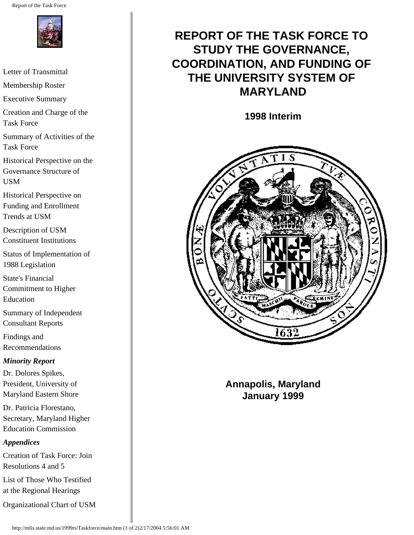Report of the Task Force



[Letter of Transmittal](#page-2-0) [Membership Roster](#page-5-0) [Executive Summary](#page-7-0) [Creation and Charge of the](#page-16-0)  [Task Force](#page-16-0) [Summary of Activities of the](#page-18-0)  [Task Force](#page-18-0) [Historical Perspective on the](#page-25-0) [Governance Structure of](#page-25-0)  [USM](#page-25-0) [Historical Perspective on](#page-34-0) [Funding and Enrollment](#page-34-0) [Trends at USM](#page-34-0) [Description of USM](#page-41-0) [Constituent Institutions](#page-41-0) [Status of Implementation of](#page-49-0) [1988 Legislation](#page-49-0) [State's Financial](#page-51-0)  [Commitment to Higher](#page-51-0)  [Education](#page-51-0) [Summary of Independent](#page-55-0) [Consultant Reports](#page-55-0) [Findings and](#page-67-0) [Recommendations](#page-67-0) *Minority Report* [Dr. Dolores Spikes,](#page-92-0) [President, University of](#page-92-0) [Maryland Eastern Shore](#page-92-0) [Dr. Patricia Florestano,](#page-101-0)  [Secretary, Maryland Higher](#page-101-0) [Education Commission](#page-101-0) *Appendices* [Creation of Task Force: Join](#page-102-0) [Resolutions 4 and 5](#page-102-0) [List of Those Who Testified](#page-110-0)  [at the Regional Hearings](#page-110-0) [Organizational Chart of USM](#page-114-0)

# **REPORT OF THE TASK FORCE TO STUDY THE GOVERNANCE, COORDINATION, AND FUNDING OF THE UNIVERSITY SYSTEM OF MARYLAND**

**1998 Interim**



**Annapolis, Maryland January 1999**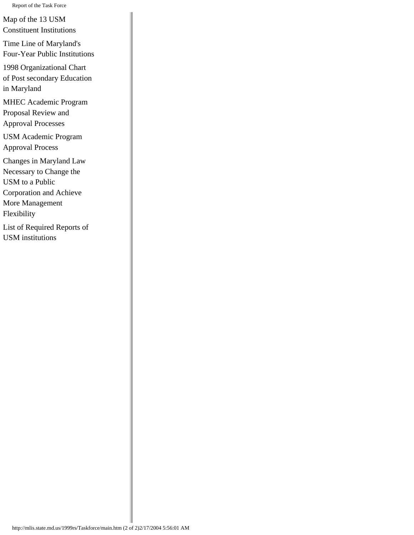Report of the Task Force

[Map of the 13 USM](#page-115-0) [Constituent Institutions](#page-115-0)

[Time Line of Maryland's](#page-116-0) [Four-Year Public Institutions](#page-116-0)

[1998 Organizational Chart](#page-118-0) [of Post secondary Education](#page-118-0)  [in Maryland](#page-118-0)

[MHEC Academic Program](#page-119-0)  [Proposal Review and](#page-119-0) [Approval Processes](#page-119-0)

[USM Academic Program](#page-122-0) [Approval Process](#page-122-0)

[Changes in Maryland Law](#page-131-0)  [Necessary to Change the](#page-131-0)  [USM to a Public](#page-131-0)  [Corporation and Achieve](#page-131-0)  [More Management](#page-131-0) [Flexibility](#page-131-0)

[List of Required Reports of](#page-139-0) [USM institutions](#page-139-0)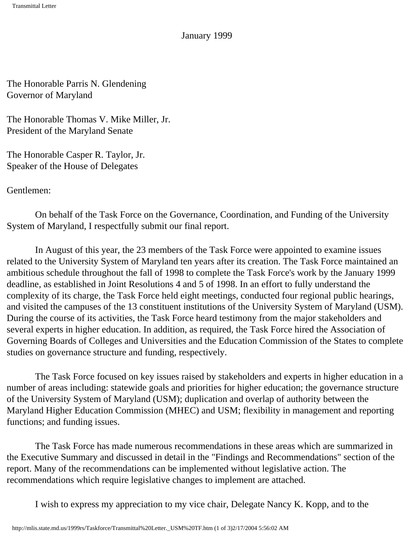January 1999

<span id="page-2-0"></span>The Honorable Parris N. Glendening Governor of Maryland

The Honorable Thomas V. Mike Miller, Jr. President of the Maryland Senate

The Honorable Casper R. Taylor, Jr. Speaker of the House of Delegates

Gentlemen:

 On behalf of the Task Force on the Governance, Coordination, and Funding of the University System of Maryland, I respectfully submit our final report.

 In August of this year, the 23 members of the Task Force were appointed to examine issues related to the University System of Maryland ten years after its creation. The Task Force maintained an ambitious schedule throughout the fall of 1998 to complete the Task Force's work by the January 1999 deadline, as established in Joint Resolutions 4 and 5 of 1998. In an effort to fully understand the complexity of its charge, the Task Force held eight meetings, conducted four regional public hearings, and visited the campuses of the 13 constituent institutions of the University System of Maryland (USM). During the course of its activities, the Task Force heard testimony from the major stakeholders and several experts in higher education. In addition, as required, the Task Force hired the Association of Governing Boards of Colleges and Universities and the Education Commission of the States to complete studies on governance structure and funding, respectively.

 The Task Force focused on key issues raised by stakeholders and experts in higher education in a number of areas including: statewide goals and priorities for higher education; the governance structure of the University System of Maryland (USM); duplication and overlap of authority between the Maryland Higher Education Commission (MHEC) and USM; flexibility in management and reporting functions; and funding issues.

 The Task Force has made numerous recommendations in these areas which are summarized in the Executive Summary and discussed in detail in the "Findings and Recommendations" section of the report. Many of the recommendations can be implemented without legislative action. The recommendations which require legislative changes to implement are attached.

I wish to express my appreciation to my vice chair, Delegate Nancy K. Kopp, and to the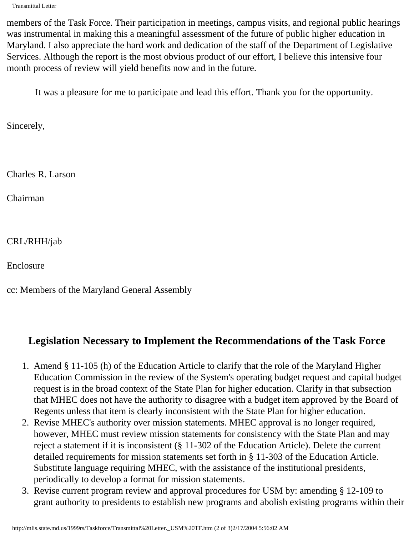Transmittal Letter

members of the Task Force. Their participation in meetings, campus visits, and regional public hearings was instrumental in making this a meaningful assessment of the future of public higher education in Maryland. I also appreciate the hard work and dedication of the staff of the Department of Legislative Services. Although the report is the most obvious product of our effort, I believe this intensive four month process of review will yield benefits now and in the future.

It was a pleasure for me to participate and lead this effort. Thank you for the opportunity.

Sincerely,

Charles R. Larson

Chairman

CRL/RHH/jab

Enclosure

cc: Members of the Maryland General Assembly

### **Legislation Necessary to Implement the Recommendations of the Task Force**

- 1. Amend § 11-105 (h) of the Education Article to clarify that the role of the Maryland Higher Education Commission in the review of the System's operating budget request and capital budget request is in the broad context of the State Plan for higher education. Clarify in that subsection that MHEC does not have the authority to disagree with a budget item approved by the Board of Regents unless that item is clearly inconsistent with the State Plan for higher education.
- 2. Revise MHEC's authority over mission statements. MHEC approval is no longer required, however, MHEC must review mission statements for consistency with the State Plan and may reject a statement if it is inconsistent (§ 11-302 of the Education Article). Delete the current detailed requirements for mission statements set forth in § 11-303 of the Education Article. Substitute language requiring MHEC, with the assistance of the institutional presidents, periodically to develop a format for mission statements.
- 3. Revise current program review and approval procedures for USM by: amending § 12-109 to grant authority to presidents to establish new programs and abolish existing programs within their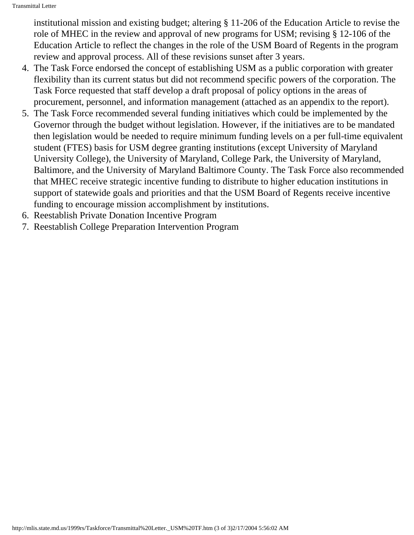institutional mission and existing budget; altering § 11-206 of the Education Article to revise the role of MHEC in the review and approval of new programs for USM; revising § 12-106 of the Education Article to reflect the changes in the role of the USM Board of Regents in the program review and approval process. All of these revisions sunset after 3 years.

- 4. The Task Force endorsed the concept of establishing USM as a public corporation with greater flexibility than its current status but did not recommend specific powers of the corporation. The Task Force requested that staff develop a draft proposal of policy options in the areas of procurement, personnel, and information management (attached as an appendix to the report).
- 5. The Task Force recommended several funding initiatives which could be implemented by the Governor through the budget without legislation. However, if the initiatives are to be mandated then legislation would be needed to require minimum funding levels on a per full-time equivalent student (FTES) basis for USM degree granting institutions (except University of Maryland University College), the University of Maryland, College Park, the University of Maryland, Baltimore, and the University of Maryland Baltimore County. The Task Force also recommended that MHEC receive strategic incentive funding to distribute to higher education institutions in support of statewide goals and priorities and that the USM Board of Regents receive incentive funding to encourage mission accomplishment by institutions.
- 6. Reestablish Private Donation Incentive Program
- 7. Reestablish College Preparation Intervention Program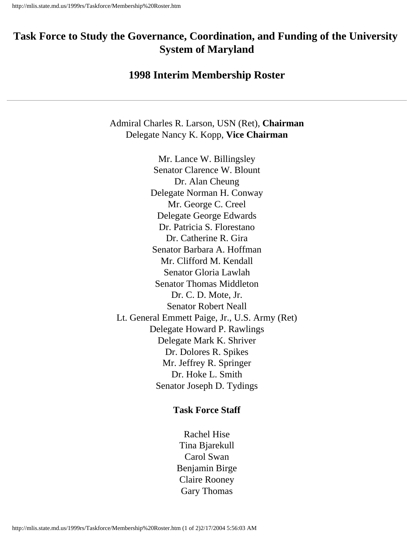# <span id="page-5-0"></span>**Task Force to Study the Governance, Coordination, and Funding of the University System of Maryland**

#### **1998 Interim Membership Roster**

Admiral Charles R. Larson, USN (Ret), **Chairman** Delegate Nancy K. Kopp, **Vice Chairman**

Mr. Lance W. Billingsley Senator Clarence W. Blount Dr. Alan Cheung Delegate Norman H. Conway Mr. George C. Creel Delegate George Edwards Dr. Patricia S. Florestano Dr. Catherine R. Gira Senator Barbara A. Hoffman Mr. Clifford M. Kendall Senator Gloria Lawlah Senator Thomas Middleton Dr. C. D. Mote, Jr. Senator Robert Neall Lt. General Emmett Paige, Jr., U.S. Army (Ret) Delegate Howard P. Rawlings Delegate Mark K. Shriver Dr. Dolores R. Spikes Mr. Jeffrey R. Springer Dr. Hoke L. Smith Senator Joseph D. Tydings

#### **Task Force Staff**

Rachel Hise Tina Bjarekull Carol Swan Benjamin Birge Claire Rooney Gary Thomas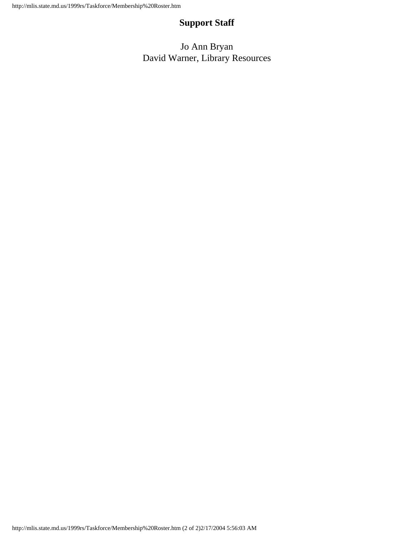#### **Support Staff**

Jo Ann Bryan David Warner, Library Resources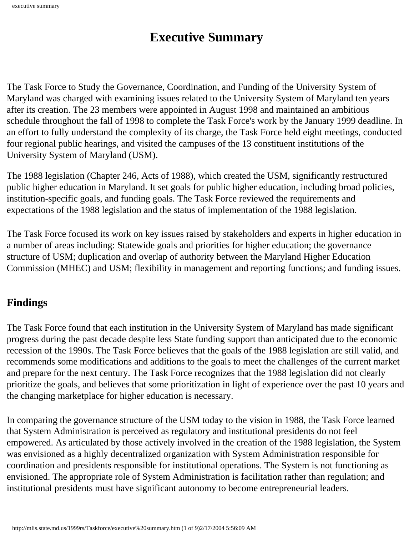<span id="page-7-0"></span>The Task Force to Study the Governance, Coordination, and Funding of the University System of Maryland was charged with examining issues related to the University System of Maryland ten years after its creation. The 23 members were appointed in August 1998 and maintained an ambitious schedule throughout the fall of 1998 to complete the Task Force's work by the January 1999 deadline. In an effort to fully understand the complexity of its charge, the Task Force held eight meetings, conducted four regional public hearings, and visited the campuses of the 13 constituent institutions of the University System of Maryland (USM).

The 1988 legislation (Chapter 246, Acts of 1988), which created the USM, significantly restructured public higher education in Maryland. It set goals for public higher education, including broad policies, institution-specific goals, and funding goals. The Task Force reviewed the requirements and expectations of the 1988 legislation and the status of implementation of the 1988 legislation.

The Task Force focused its work on key issues raised by stakeholders and experts in higher education in a number of areas including: Statewide goals and priorities for higher education; the governance structure of USM; duplication and overlap of authority between the Maryland Higher Education Commission (MHEC) and USM; flexibility in management and reporting functions; and funding issues.

# **Findings**

The Task Force found that each institution in the University System of Maryland has made significant progress during the past decade despite less State funding support than anticipated due to the economic recession of the 1990s. The Task Force believes that the goals of the 1988 legislation are still valid, and recommends some modifications and additions to the goals to meet the challenges of the current market and prepare for the next century. The Task Force recognizes that the 1988 legislation did not clearly prioritize the goals, and believes that some prioritization in light of experience over the past 10 years and the changing marketplace for higher education is necessary.

In comparing the governance structure of the USM today to the vision in 1988, the Task Force learned that System Administration is perceived as regulatory and institutional presidents do not feel empowered. As articulated by those actively involved in the creation of the 1988 legislation, the System was envisioned as a highly decentralized organization with System Administration responsible for coordination and presidents responsible for institutional operations. The System is not functioning as envisioned. The appropriate role of System Administration is facilitation rather than regulation; and institutional presidents must have significant autonomy to become entrepreneurial leaders.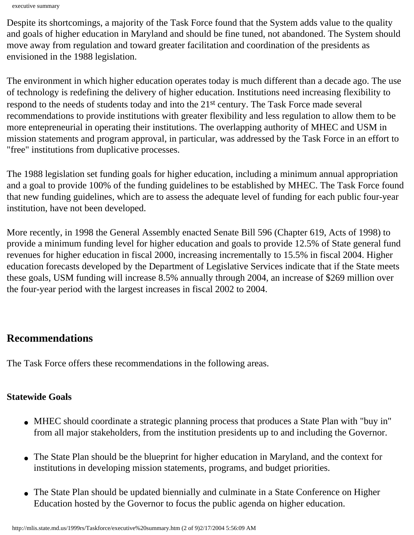executive summary

Despite its shortcomings, a majority of the Task Force found that the System adds value to the quality and goals of higher education in Maryland and should be fine tuned, not abandoned. The System should move away from regulation and toward greater facilitation and coordination of the presidents as envisioned in the 1988 legislation.

The environment in which higher education operates today is much different than a decade ago. The use of technology is redefining the delivery of higher education. Institutions need increasing flexibility to respond to the needs of students today and into the 21<sup>st</sup> century. The Task Force made several recommendations to provide institutions with greater flexibility and less regulation to allow them to be more entepreneurial in operating their institutions. The overlapping authority of MHEC and USM in mission statements and program approval, in particular, was addressed by the Task Force in an effort to "free" institutions from duplicative processes.

The 1988 legislation set funding goals for higher education, including a minimum annual appropriation and a goal to provide 100% of the funding guidelines to be established by MHEC. The Task Force found that new funding guidelines, which are to assess the adequate level of funding for each public four-year institution, have not been developed.

More recently, in 1998 the General Assembly enacted Senate Bill 596 (Chapter 619, Acts of 1998) to provide a minimum funding level for higher education and goals to provide 12.5% of State general fund revenues for higher education in fiscal 2000, increasing incrementally to 15.5% in fiscal 2004. Higher education forecasts developed by the Department of Legislative Services indicate that if the State meets these goals, USM funding will increase 8.5% annually through 2004, an increase of \$269 million over the four-year period with the largest increases in fiscal 2002 to 2004.

### **Recommendations**

The Task Force offers these recommendations in the following areas.

#### **Statewide Goals**

- MHEC should coordinate a strategic planning process that produces a State Plan with "buy in" from all major stakeholders, from the institution presidents up to and including the Governor.
- The State Plan should be the blueprint for higher education in Maryland, and the context for institutions in developing mission statements, programs, and budget priorities.
- The State Plan should be updated biennially and culminate in a State Conference on Higher Education hosted by the Governor to focus the public agenda on higher education.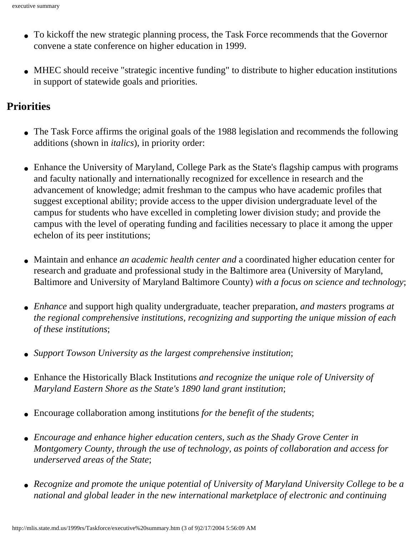- To kickoff the new strategic planning process, the Task Force recommends that the Governor convene a state conference on higher education in 1999.
- MHEC should receive "strategic incentive funding" to distribute to higher education institutions in support of statewide goals and priorities.

#### **Priorities**

- The Task Force affirms the original goals of the 1988 legislation and recommends the following additions (shown in *italics*), in priority order:
- Enhance the University of Maryland, College Park as the State's flagship campus with programs and faculty nationally and internationally recognized for excellence in research and the advancement of knowledge; admit freshman to the campus who have academic profiles that suggest exceptional ability; provide access to the upper division undergraduate level of the campus for students who have excelled in completing lower division study; and provide the campus with the level of operating funding and facilities necessary to place it among the upper echelon of its peer institutions;
- Maintain and enhance *an academic health center and* a coordinated higher education center for research and graduate and professional study in the Baltimore area (University of Maryland, Baltimore and University of Maryland Baltimore County) *with a focus on science and technology*;
- *Enhance* and support high quality undergraduate, teacher preparation, *and masters* programs *at the regional comprehensive institutions, recognizing and supporting the unique mission of each of these institutions*;
- *Support Towson University as the largest comprehensive institution*;
- Enhance the Historically Black Institutions *and recognize the unique role of University of Maryland Eastern Shore as the State's 1890 land grant institution*;
- Encourage collaboration among institutions *for the benefit of the students*;
- *Encourage and enhance higher education centers, such as the Shady Grove Center in Montgomery County, through the use of technology, as points of collaboration and access for underserved areas of the State*;
- *Recognize and promote the unique potential of University of Maryland University College to be a national and global leader in the new international marketplace of electronic and continuing*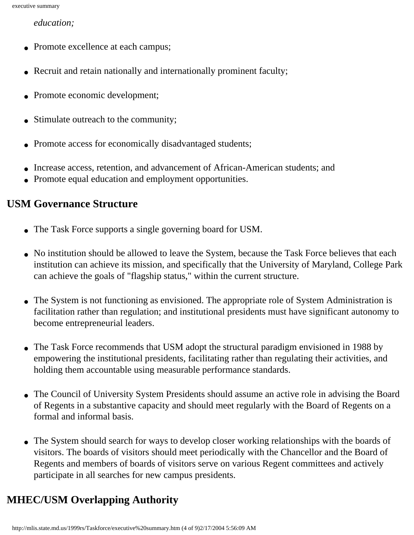*education;* 

- Promote excellence at each campus;
- Recruit and retain nationally and internationally prominent faculty;
- Promote economic development;
- Stimulate outreach to the community;
- Promote access for economically disadvantaged students;
- Increase access, retention, and advancement of African-American students; and
- Promote equal education and employment opportunities.

#### **USM Governance Structure**

- The Task Force supports a single governing board for USM.
- No institution should be allowed to leave the System, because the Task Force believes that each institution can achieve its mission, and specifically that the University of Maryland, College Park can achieve the goals of "flagship status," within the current structure.
- The System is not functioning as envisioned. The appropriate role of System Administration is facilitation rather than regulation; and institutional presidents must have significant autonomy to become entrepreneurial leaders.
- The Task Force recommends that USM adopt the structural paradigm envisioned in 1988 by empowering the institutional presidents, facilitating rather than regulating their activities, and holding them accountable using measurable performance standards.
- The Council of University System Presidents should assume an active role in advising the Board of Regents in a substantive capacity and should meet regularly with the Board of Regents on a formal and informal basis.
- The System should search for ways to develop closer working relationships with the boards of visitors. The boards of visitors should meet periodically with the Chancellor and the Board of Regents and members of boards of visitors serve on various Regent committees and actively participate in all searches for new campus presidents.

# **MHEC/USM Overlapping Authority**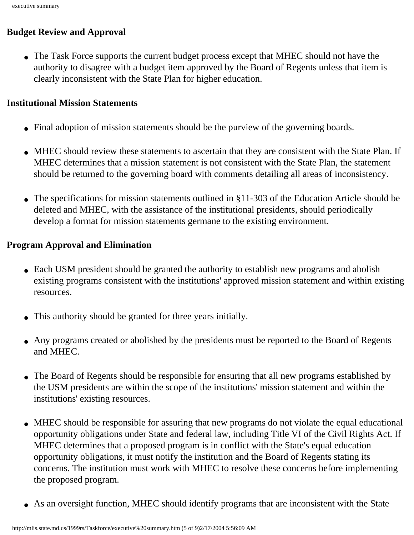#### **Budget Review and Approval**

• The Task Force supports the current budget process except that MHEC should not have the authority to disagree with a budget item approved by the Board of Regents unless that item is clearly inconsistent with the State Plan for higher education.

#### **Institutional Mission Statements**

- Final adoption of mission statements should be the purview of the governing boards.
- MHEC should review these statements to ascertain that they are consistent with the State Plan. If MHEC determines that a mission statement is not consistent with the State Plan, the statement should be returned to the governing board with comments detailing all areas of inconsistency.
- The specifications for mission statements outlined in §11-303 of the Education Article should be deleted and MHEC, with the assistance of the institutional presidents, should periodically develop a format for mission statements germane to the existing environment.

#### **Program Approval and Elimination**

- Each USM president should be granted the authority to establish new programs and abolish existing programs consistent with the institutions' approved mission statement and within existing resources.
- This authority should be granted for three years initially.
- Any programs created or abolished by the presidents must be reported to the Board of Regents and MHEC.
- The Board of Regents should be responsible for ensuring that all new programs established by the USM presidents are within the scope of the institutions' mission statement and within the institutions' existing resources.
- MHEC should be responsible for assuring that new programs do not violate the equal educational opportunity obligations under State and federal law, including Title VI of the Civil Rights Act. If MHEC determines that a proposed program is in conflict with the State's equal education opportunity obligations, it must notify the institution and the Board of Regents stating its concerns. The institution must work with MHEC to resolve these concerns before implementing the proposed program.
- As an oversight function, MHEC should identify programs that are inconsistent with the State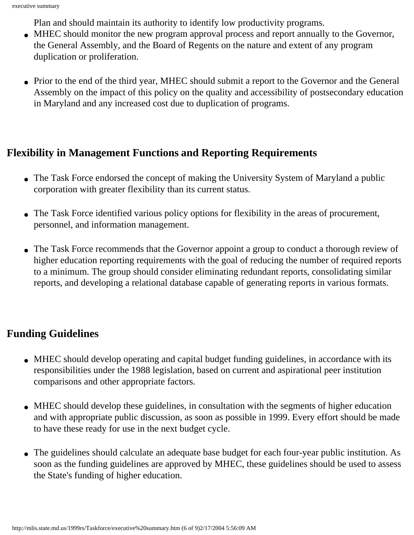Plan and should maintain its authority to identify low productivity programs.

- MHEC should monitor the new program approval process and report annually to the Governor, the General Assembly, and the Board of Regents on the nature and extent of any program duplication or proliferation.
- Prior to the end of the third year, MHEC should submit a report to the Governor and the General Assembly on the impact of this policy on the quality and accessibility of postsecondary education in Maryland and any increased cost due to duplication of programs.

# **Flexibility in Management Functions and Reporting Requirements**

- The Task Force endorsed the concept of making the University System of Maryland a public corporation with greater flexibility than its current status.
- The Task Force identified various policy options for flexibility in the areas of procurement, personnel, and information management.
- The Task Force recommends that the Governor appoint a group to conduct a thorough review of higher education reporting requirements with the goal of reducing the number of required reports to a minimum. The group should consider eliminating redundant reports, consolidating similar reports, and developing a relational database capable of generating reports in various formats.

# **Funding Guidelines**

- MHEC should develop operating and capital budget funding guidelines, in accordance with its responsibilities under the 1988 legislation, based on current and aspirational peer institution comparisons and other appropriate factors.
- MHEC should develop these guidelines, in consultation with the segments of higher education and with appropriate public discussion, as soon as possible in 1999. Every effort should be made to have these ready for use in the next budget cycle.
- The guidelines should calculate an adequate base budget for each four-year public institution. As soon as the funding guidelines are approved by MHEC, these guidelines should be used to assess the State's funding of higher education.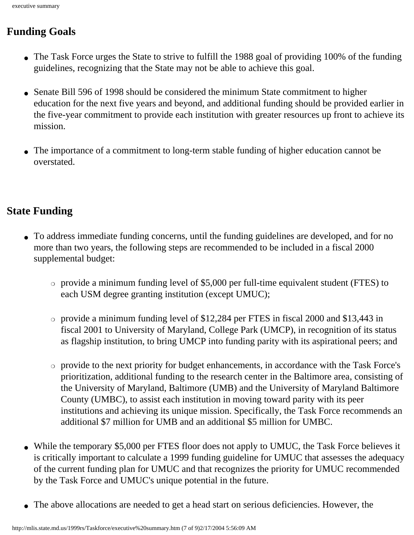# **Funding Goals**

- The Task Force urges the State to strive to fulfill the 1988 goal of providing 100% of the funding guidelines, recognizing that the State may not be able to achieve this goal.
- Senate Bill 596 of 1998 should be considered the minimum State commitment to higher education for the next five years and beyond, and additional funding should be provided earlier in the five-year commitment to provide each institution with greater resources up front to achieve its mission.
- The importance of a commitment to long-term stable funding of higher education cannot be overstated.

# **State Funding**

- To address immediate funding concerns, until the funding guidelines are developed, and for no more than two years, the following steps are recommended to be included in a fiscal 2000 supplemental budget:
	- $\circ$  provide a minimum funding level of \$5,000 per full-time equivalent student (FTES) to each USM degree granting institution (except UMUC);
	- ❍ provide a minimum funding level of \$12,284 per FTES in fiscal 2000 and \$13,443 in fiscal 2001 to University of Maryland, College Park (UMCP), in recognition of its status as flagship institution, to bring UMCP into funding parity with its aspirational peers; and
	- ❍ provide to the next priority for budget enhancements, in accordance with the Task Force's prioritization, additional funding to the research center in the Baltimore area, consisting of the University of Maryland, Baltimore (UMB) and the University of Maryland Baltimore County (UMBC), to assist each institution in moving toward parity with its peer institutions and achieving its unique mission. Specifically, the Task Force recommends an additional \$7 million for UMB and an additional \$5 million for UMBC.
- While the temporary \$5,000 per FTES floor does not apply to UMUC, the Task Force believes it is critically important to calculate a 1999 funding guideline for UMUC that assesses the adequacy of the current funding plan for UMUC and that recognizes the priority for UMUC recommended by the Task Force and UMUC's unique potential in the future.
- The above allocations are needed to get a head start on serious deficiencies. However, the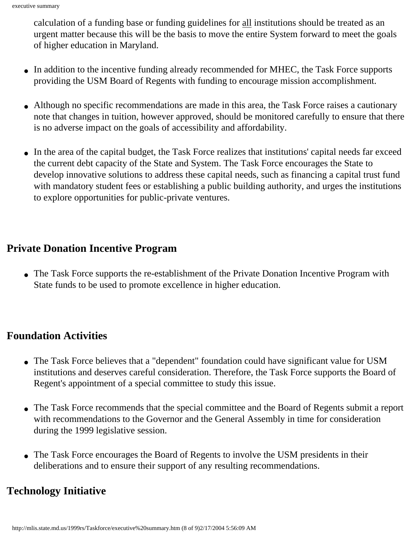calculation of a funding base or funding guidelines for all institutions should be treated as an urgent matter because this will be the basis to move the entire System forward to meet the goals of higher education in Maryland.

- In addition to the incentive funding already recommended for MHEC, the Task Force supports providing the USM Board of Regents with funding to encourage mission accomplishment.
- Although no specific recommendations are made in this area, the Task Force raises a cautionary note that changes in tuition, however approved, should be monitored carefully to ensure that there is no adverse impact on the goals of accessibility and affordability.
- In the area of the capital budget, the Task Force realizes that institutions' capital needs far exceed the current debt capacity of the State and System. The Task Force encourages the State to develop innovative solutions to address these capital needs, such as financing a capital trust fund with mandatory student fees or establishing a public building authority, and urges the institutions to explore opportunities for public-private ventures.

### **Private Donation Incentive Program**

• The Task Force supports the re-establishment of the Private Donation Incentive Program with State funds to be used to promote excellence in higher education.

### **Foundation Activities**

- The Task Force believes that a "dependent" foundation could have significant value for USM institutions and deserves careful consideration. Therefore, the Task Force supports the Board of Regent's appointment of a special committee to study this issue.
- The Task Force recommends that the special committee and the Board of Regents submit a report with recommendations to the Governor and the General Assembly in time for consideration during the 1999 legislative session.
- The Task Force encourages the Board of Regents to involve the USM presidents in their deliberations and to ensure their support of any resulting recommendations.

# **Technology Initiative**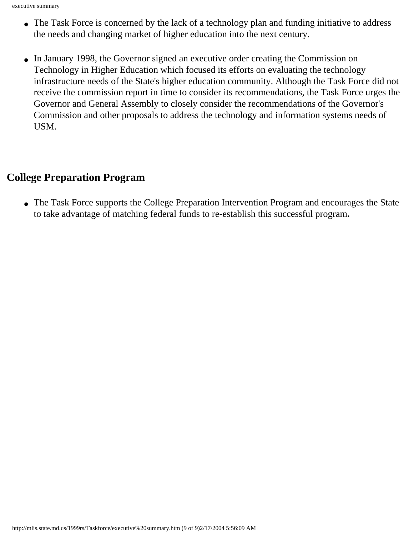- The Task Force is concerned by the lack of a technology plan and funding initiative to address the needs and changing market of higher education into the next century.
- In January 1998, the Governor signed an executive order creating the Commission on Technology in Higher Education which focused its efforts on evaluating the technology infrastructure needs of the State's higher education community. Although the Task Force did not receive the commission report in time to consider its recommendations, the Task Force urges the Governor and General Assembly to closely consider the recommendations of the Governor's Commission and other proposals to address the technology and information systems needs of USM.

### **College Preparation Program**

• The Task Force supports the College Preparation Intervention Program and encourages the State to take advantage of matching federal funds to re-establish this successful program**.**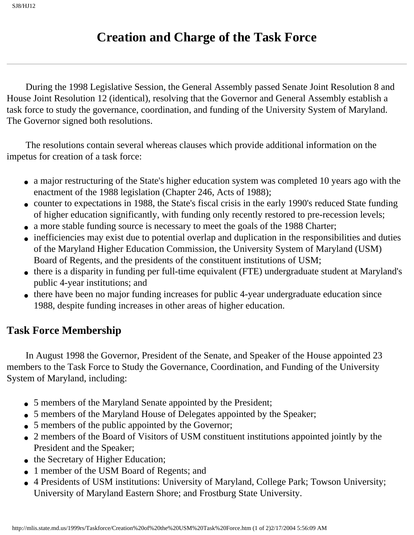# **Creation and Charge of the Task Force**

<span id="page-16-0"></span> During the 1998 Legislative Session, the General Assembly passed Senate Joint Resolution 8 and House Joint Resolution 12 (identical), resolving that the Governor and General Assembly establish a task force to study the governance, coordination, and funding of the University System of Maryland. The Governor signed both resolutions.

 The resolutions contain several whereas clauses which provide additional information on the impetus for creation of a task force:

- a major restructuring of the State's higher education system was completed 10 years ago with the enactment of the 1988 legislation (Chapter 246, Acts of 1988);
- counter to expectations in 1988, the State's fiscal crisis in the early 1990's reduced State funding of higher education significantly, with funding only recently restored to pre-recession levels;
- a more stable funding source is necessary to meet the goals of the 1988 Charter;
- inefficiencies may exist due to potential overlap and duplication in the responsibilities and duties of the Maryland Higher Education Commission, the University System of Maryland (USM) Board of Regents, and the presidents of the constituent institutions of USM;
- there is a disparity in funding per full-time equivalent (FTE) undergraduate student at Maryland's public 4-year institutions; and
- there have been no major funding increases for public 4-year undergraduate education since 1988, despite funding increases in other areas of higher education.

# **Task Force Membership**

 In August 1998 the Governor, President of the Senate, and Speaker of the House appointed 23 members to the Task Force to Study the Governance, Coordination, and Funding of the University System of Maryland, including:

- 5 members of the Maryland Senate appointed by the President;
- 5 members of the Maryland House of Delegates appointed by the Speaker;
- 5 members of the public appointed by the Governor;
- 2 members of the Board of Visitors of USM constituent institutions appointed jointly by the President and the Speaker;
- the Secretary of Higher Education;
- 1 member of the USM Board of Regents; and
- 4 Presidents of USM institutions: University of Maryland, College Park; Towson University; University of Maryland Eastern Shore; and Frostburg State University.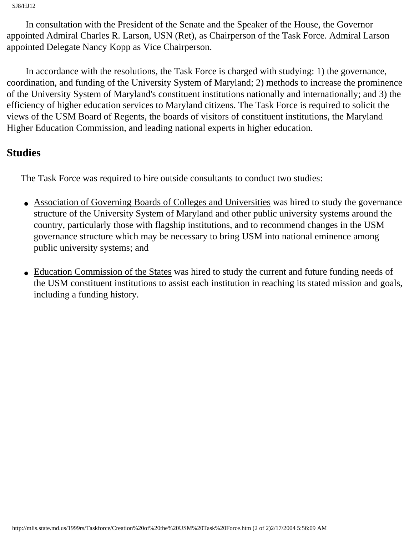SJ8/HJ12

 In consultation with the President of the Senate and the Speaker of the House, the Governor appointed Admiral Charles R. Larson, USN (Ret), as Chairperson of the Task Force. Admiral Larson appointed Delegate Nancy Kopp as Vice Chairperson.

 In accordance with the resolutions, the Task Force is charged with studying: 1) the governance, coordination, and funding of the University System of Maryland; 2) methods to increase the prominence of the University System of Maryland's constituent institutions nationally and internationally; and 3) the efficiency of higher education services to Maryland citizens. The Task Force is required to solicit the views of the USM Board of Regents, the boards of visitors of constituent institutions, the Maryland Higher Education Commission, and leading national experts in higher education.

#### **Studies**

The Task Force was required to hire outside consultants to conduct two studies:

- Association of Governing Boards of Colleges and Universities was hired to study the governance structure of the University System of Maryland and other public university systems around the country, particularly those with flagship institutions, and to recommend changes in the USM governance structure which may be necessary to bring USM into national eminence among public university systems; and
- Education Commission of the States was hired to study the current and future funding needs of the USM constituent institutions to assist each institution in reaching its stated mission and goals, including a funding history.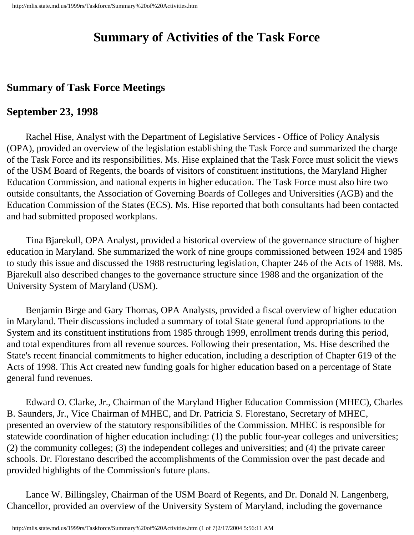# **Summary of Activities of the Task Force**

### <span id="page-18-0"></span>**Summary of Task Force Meetings**

### **September 23, 1998**

 Rachel Hise, Analyst with the Department of Legislative Services - Office of Policy Analysis (OPA), provided an overview of the legislation establishing the Task Force and summarized the charge of the Task Force and its responsibilities. Ms. Hise explained that the Task Force must solicit the views of the USM Board of Regents, the boards of visitors of constituent institutions, the Maryland Higher Education Commission, and national experts in higher education. The Task Force must also hire two outside consultants, the Association of Governing Boards of Colleges and Universities (AGB) and the Education Commission of the States (ECS). Ms. Hise reported that both consultants had been contacted and had submitted proposed workplans.

 Tina Bjarekull, OPA Analyst, provided a historical overview of the governance structure of higher education in Maryland. She summarized the work of nine groups commissioned between 1924 and 1985 to study this issue and discussed the 1988 restructuring legislation, Chapter 246 of the Acts of 1988. Ms. Bjarekull also described changes to the governance structure since 1988 and the organization of the University System of Maryland (USM).

 Benjamin Birge and Gary Thomas, OPA Analysts, provided a fiscal overview of higher education in Maryland. Their discussions included a summary of total State general fund appropriations to the System and its constituent institutions from 1985 through 1999, enrollment trends during this period, and total expenditures from all revenue sources. Following their presentation, Ms. Hise described the State's recent financial commitments to higher education, including a description of Chapter 619 of the Acts of 1998. This Act created new funding goals for higher education based on a percentage of State general fund revenues.

 Edward O. Clarke, Jr., Chairman of the Maryland Higher Education Commission (MHEC), Charles B. Saunders, Jr., Vice Chairman of MHEC, and Dr. Patricia S. Florestano, Secretary of MHEC, presented an overview of the statutory responsibilities of the Commission. MHEC is responsible for statewide coordination of higher education including: (1) the public four-year colleges and universities; (2) the community colleges; (3) the independent colleges and universities; and (4) the private career schools. Dr. Florestano described the accomplishments of the Commission over the past decade and provided highlights of the Commission's future plans.

 Lance W. Billingsley, Chairman of the USM Board of Regents, and Dr. Donald N. Langenberg, Chancellor, provided an overview of the University System of Maryland, including the governance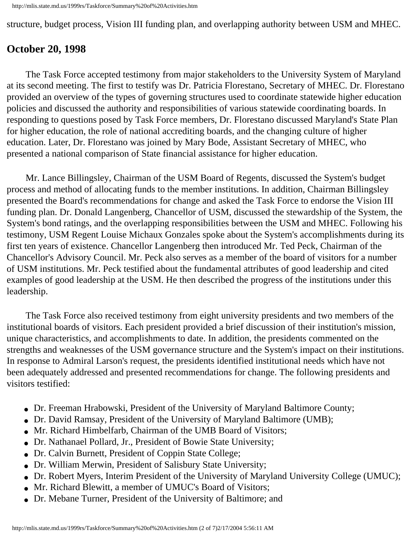structure, budget process, Vision III funding plan, and overlapping authority between USM and MHEC.

### **October 20, 1998**

 The Task Force accepted testimony from major stakeholders to the University System of Maryland at its second meeting. The first to testify was Dr. Patricia Florestano, Secretary of MHEC. Dr. Florestano provided an overview of the types of governing structures used to coordinate statewide higher education policies and discussed the authority and responsibilities of various statewide coordinating boards. In responding to questions posed by Task Force members, Dr. Florestano discussed Maryland's State Plan for higher education, the role of national accrediting boards, and the changing culture of higher education. Later, Dr. Florestano was joined by Mary Bode, Assistant Secretary of MHEC, who presented a national comparison of State financial assistance for higher education.

 Mr. Lance Billingsley, Chairman of the USM Board of Regents, discussed the System's budget process and method of allocating funds to the member institutions. In addition, Chairman Billingsley presented the Board's recommendations for change and asked the Task Force to endorse the Vision III funding plan. Dr. Donald Langenberg, Chancellor of USM, discussed the stewardship of the System, the System's bond ratings, and the overlapping responsibilities between the USM and MHEC. Following his testimony, USM Regent Louise Michaux Gonzales spoke about the System's accomplishments during its first ten years of existence. Chancellor Langenberg then introduced Mr. Ted Peck, Chairman of the Chancellor's Advisory Council. Mr. Peck also serves as a member of the board of visitors for a number of USM institutions. Mr. Peck testified about the fundamental attributes of good leadership and cited examples of good leadership at the USM. He then described the progress of the institutions under this leadership.

 The Task Force also received testimony from eight university presidents and two members of the institutional boards of visitors. Each president provided a brief discussion of their institution's mission, unique characteristics, and accomplishments to date. In addition, the presidents commented on the strengths and weaknesses of the USM governance structure and the System's impact on their institutions. In response to Admiral Larson's request, the presidents identified institutional needs which have not been adequately addressed and presented recommendations for change. The following presidents and visitors testified:

- Dr. Freeman Hrabowski, President of the University of Maryland Baltimore County;
- Dr. David Ramsay, President of the University of Maryland Baltimore (UMB);
- Mr. Richard Himbelfarb, Chairman of the UMB Board of Visitors;
- Dr. Nathanael Pollard, Jr., President of Bowie State University;
- Dr. Calvin Burnett, President of Coppin State College;
- Dr. William Merwin, President of Salisbury State University;
- Dr. Robert Myers, Interim President of the University of Maryland University College (UMUC);
- Mr. Richard Blewitt, a member of UMUC's Board of Visitors;
- Dr. Mebane Turner, President of the University of Baltimore; and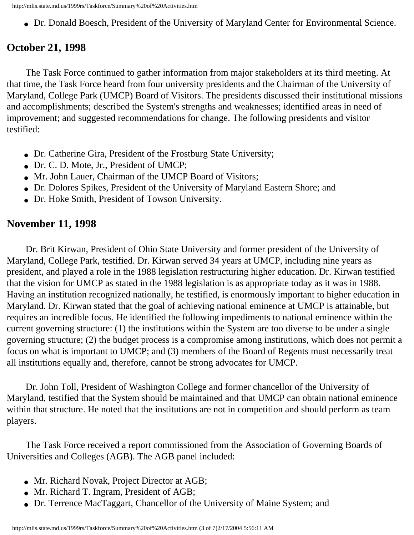http://mlis.state.md.us/1999rs/Taskforce/Summary%20of%20Activities.htm

• Dr. Donald Boesch, President of the University of Maryland Center for Environmental Science.

### **October 21, 1998**

 The Task Force continued to gather information from major stakeholders at its third meeting. At that time, the Task Force heard from four university presidents and the Chairman of the University of Maryland, College Park (UMCP) Board of Visitors. The presidents discussed their institutional missions and accomplishments; described the System's strengths and weaknesses; identified areas in need of improvement; and suggested recommendations for change. The following presidents and visitor testified:

- Dr. Catherine Gira, President of the Frostburg State University;
- Dr. C. D. Mote, Jr., President of UMCP;
- Mr. John Lauer, Chairman of the UMCP Board of Visitors;
- Dr. Dolores Spikes, President of the University of Maryland Eastern Shore; and
- Dr. Hoke Smith, President of Towson University.

### **November 11, 1998**

 Dr. Brit Kirwan, President of Ohio State University and former president of the University of Maryland, College Park, testified. Dr. Kirwan served 34 years at UMCP, including nine years as president, and played a role in the 1988 legislation restructuring higher education. Dr. Kirwan testified that the vision for UMCP as stated in the 1988 legislation is as appropriate today as it was in 1988. Having an institution recognized nationally, he testified, is enormously important to higher education in Maryland. Dr. Kirwan stated that the goal of achieving national eminence at UMCP is attainable, but requires an incredible focus. He identified the following impediments to national eminence within the current governing structure: (1) the institutions within the System are too diverse to be under a single governing structure; (2) the budget process is a compromise among institutions, which does not permit a focus on what is important to UMCP; and (3) members of the Board of Regents must necessarily treat all institutions equally and, therefore, cannot be strong advocates for UMCP.

 Dr. John Toll, President of Washington College and former chancellor of the University of Maryland, testified that the System should be maintained and that UMCP can obtain national eminence within that structure. He noted that the institutions are not in competition and should perform as team players.

 The Task Force received a report commissioned from the Association of Governing Boards of Universities and Colleges (AGB). The AGB panel included:

- Mr. Richard Novak, Project Director at AGB;
- Mr. Richard T. Ingram, President of AGB;
- Dr. Terrence MacTaggart, Chancellor of the University of Maine System; and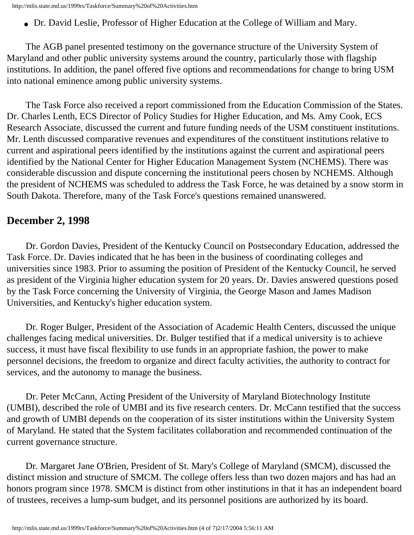• Dr. David Leslie, Professor of Higher Education at the College of William and Mary.

 The AGB panel presented testimony on the governance structure of the University System of Maryland and other public university systems around the country, particularly those with flagship institutions. In addition, the panel offered five options and recommendations for change to bring USM into national eminence among public university systems.

 The Task Force also received a report commissioned from the Education Commission of the States. Dr. Charles Lenth, ECS Director of Policy Studies for Higher Education, and Ms. Amy Cook, ECS Research Associate, discussed the current and future funding needs of the USM constituent institutions. Mr. Lenth discussed comparative revenues and expenditures of the constituent institutions relative to current and aspirational peers identified by the institutions against the current and aspirational peers identified by the National Center for Higher Education Management System (NCHEMS). There was considerable discussion and dispute concerning the institutional peers chosen by NCHEMS. Although the president of NCHEMS was scheduled to address the Task Force, he was detained by a snow storm in South Dakota. Therefore, many of the Task Force's questions remained unanswered.

#### **December 2, 1998**

 Dr. Gordon Davies, President of the Kentucky Council on Postsecondary Education, addressed the Task Force. Dr. Davies indicated that he has been in the business of coordinating colleges and universities since 1983. Prior to assuming the position of President of the Kentucky Council, he served as president of the Virginia higher education system for 20 years. Dr. Davies answered questions posed by the Task Force concerning the University of Virginia, the George Mason and James Madison Universities, and Kentucky's higher education system.

 Dr. Roger Bulger, President of the Association of Academic Health Centers, discussed the unique challenges facing medical universities. Dr. Bulger testified that if a medical university is to achieve success, it must have fiscal flexibility to use funds in an appropriate fashion, the power to make personnel decisions, the freedom to organize and direct faculty activities, the authority to contract for services, and the autonomy to manage the business.

 Dr. Peter McCann, Acting President of the University of Maryland Biotechnology Institute (UMBI), described the role of UMBI and its five research centers. Dr. McCann testified that the success and growth of UMBI depends on the cooperation of its sister institutions within the University System of Maryland. He stated that the System facilitates collaboration and recommended continuation of the current governance structure.

 Dr. Margaret Jane O'Brien, President of St. Mary's College of Maryland (SMCM), discussed the distinct mission and structure of SMCM. The college offers less than two dozen majors and has had an honors program since 1978. SMCM is distinct from other institutions in that it has an independent board of trustees, receives a lump-sum budget, and its personnel positions are authorized by its board.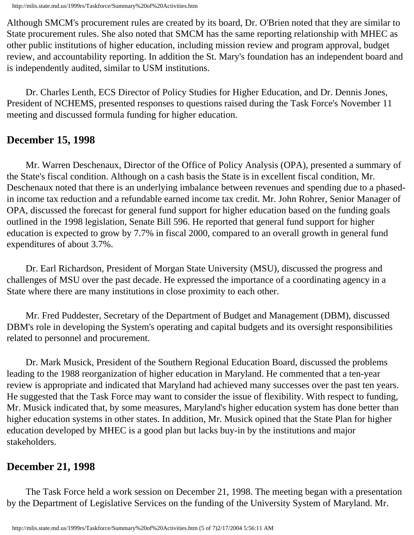Although SMCM's procurement rules are created by its board, Dr. O'Brien noted that they are similar to State procurement rules. She also noted that SMCM has the same reporting relationship with MHEC as other public institutions of higher education, including mission review and program approval, budget review, and accountability reporting. In addition the St. Mary's foundation has an independent board and is independently audited, similar to USM institutions.

 Dr. Charles Lenth, ECS Director of Policy Studies for Higher Education, and Dr. Dennis Jones, President of NCHEMS, presented responses to questions raised during the Task Force's November 11 meeting and discussed formula funding for higher education.

#### **December 15, 1998**

 Mr. Warren Deschenaux, Director of the Office of Policy Analysis (OPA), presented a summary of the State's fiscal condition. Although on a cash basis the State is in excellent fiscal condition, Mr. Deschenaux noted that there is an underlying imbalance between revenues and spending due to a phasedin income tax reduction and a refundable earned income tax credit. Mr. John Rohrer, Senior Manager of OPA, discussed the forecast for general fund support for higher education based on the funding goals outlined in the 1998 legislation, Senate Bill 596. He reported that general fund support for higher education is expected to grow by 7.7% in fiscal 2000, compared to an overall growth in general fund expenditures of about 3.7%.

 Dr. Earl Richardson, President of Morgan State University (MSU), discussed the progress and challenges of MSU over the past decade. He expressed the importance of a coordinating agency in a State where there are many institutions in close proximity to each other.

 Mr. Fred Puddester, Secretary of the Department of Budget and Management (DBM), discussed DBM's role in developing the System's operating and capital budgets and its oversight responsibilities related to personnel and procurement.

 Dr. Mark Musick, President of the Southern Regional Education Board, discussed the problems leading to the 1988 reorganization of higher education in Maryland. He commented that a ten-year review is appropriate and indicated that Maryland had achieved many successes over the past ten years. He suggested that the Task Force may want to consider the issue of flexibility. With respect to funding, Mr. Musick indicated that, by some measures, Maryland's higher education system has done better than higher education systems in other states. In addition, Mr. Musick opined that the State Plan for higher education developed by MHEC is a good plan but lacks buy-in by the institutions and major stakeholders.

### **December 21, 1998**

 The Task Force held a work session on December 21, 1998. The meeting began with a presentation by the Department of Legislative Services on the funding of the University System of Maryland. Mr.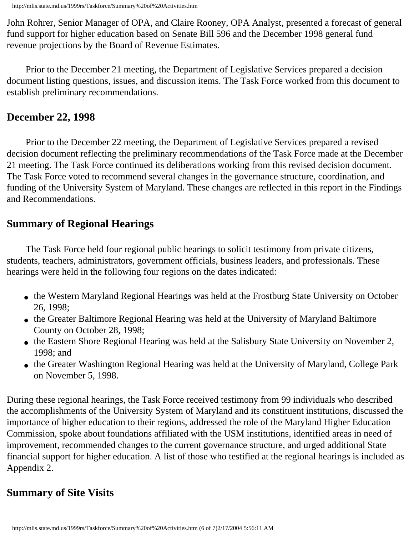John Rohrer, Senior Manager of OPA, and Claire Rooney, OPA Analyst, presented a forecast of general fund support for higher education based on Senate Bill 596 and the December 1998 general fund revenue projections by the Board of Revenue Estimates.

 Prior to the December 21 meeting, the Department of Legislative Services prepared a decision document listing questions, issues, and discussion items. The Task Force worked from this document to establish preliminary recommendations.

#### **December 22, 1998**

 Prior to the December 22 meeting, the Department of Legislative Services prepared a revised decision document reflecting the preliminary recommendations of the Task Force made at the December 21 meeting. The Task Force continued its deliberations working from this revised decision document. The Task Force voted to recommend several changes in the governance structure, coordination, and funding of the University System of Maryland. These changes are reflected in this report in the Findings and Recommendations.

### **Summary of Regional Hearings**

 The Task Force held four regional public hearings to solicit testimony from private citizens, students, teachers, administrators, government officials, business leaders, and professionals. These hearings were held in the following four regions on the dates indicated:

- the Western Maryland Regional Hearings was held at the Frostburg State University on October 26, 1998;
- the Greater Baltimore Regional Hearing was held at the University of Maryland Baltimore County on October 28, 1998;
- the Eastern Shore Regional Hearing was held at the Salisbury State University on November 2, 1998; and
- the Greater Washington Regional Hearing was held at the University of Maryland, College Park on November 5, 1998.

During these regional hearings, the Task Force received testimony from 99 individuals who described the accomplishments of the University System of Maryland and its constituent institutions, discussed the importance of higher education to their regions, addressed the role of the Maryland Higher Education Commission, spoke about foundations affiliated with the USM institutions, identified areas in need of improvement, recommended changes to the current governance structure, and urged additional State financial support for higher education. A list of those who testified at the regional hearings is included as Appendix 2.

# **Summary of Site Visits**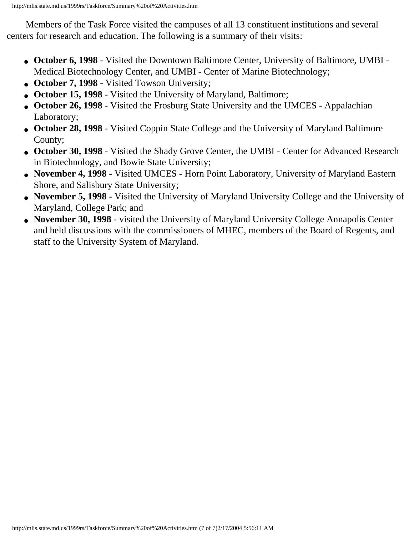Members of the Task Force visited the campuses of all 13 constituent institutions and several centers for research and education. The following is a summary of their visits:

- **October 6, 1998** Visited the Downtown Baltimore Center, University of Baltimore, UMBI Medical Biotechnology Center, and UMBI - Center of Marine Biotechnology;
- October 7, 1998 Visited Towson University;
- October 15, 1998 Visited the University of Maryland, Baltimore;
- **October 26, 1998** Visited the Frosburg State University and the UMCES Appalachian Laboratory;
- **October 28, 1998** Visited Coppin State College and the University of Maryland Baltimore County;
- **October 30, 1998** Visited the Shady Grove Center, the UMBI Center for Advanced Research in Biotechnology, and Bowie State University;
- **November 4, 1998**  Visited UMCES Horn Point Laboratory, University of Maryland Eastern Shore, and Salisbury State University;
- **November 5, 1998** Visited the University of Maryland University College and the University of Maryland, College Park; and
- **November 30, 1998** visited the University of Maryland University College Annapolis Center and held discussions with the commissioners of MHEC, members of the Board of Regents, and staff to the University System of Maryland.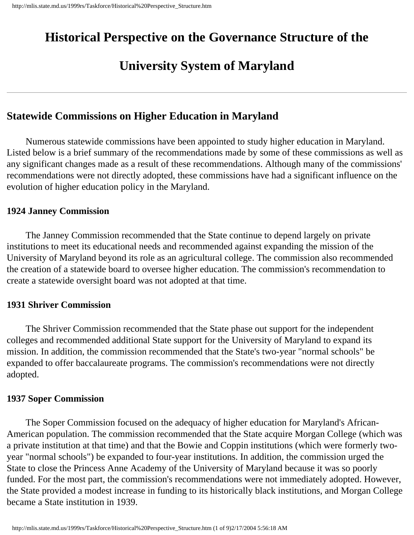# <span id="page-25-0"></span>**Historical Perspective on the Governance Structure of the**

# **University System of Maryland**

### **Statewide Commissions on Higher Education in Maryland**

 Numerous statewide commissions have been appointed to study higher education in Maryland. Listed below is a brief summary of the recommendations made by some of these commissions as well as any significant changes made as a result of these recommendations. Although many of the commissions' recommendations were not directly adopted, these commissions have had a significant influence on the evolution of higher education policy in the Maryland.

#### **1924 Janney Commission**

 The Janney Commission recommended that the State continue to depend largely on private institutions to meet its educational needs and recommended against expanding the mission of the University of Maryland beyond its role as an agricultural college. The commission also recommended the creation of a statewide board to oversee higher education. The commission's recommendation to create a statewide oversight board was not adopted at that time.

#### **1931 Shriver Commission**

 The Shriver Commission recommended that the State phase out support for the independent colleges and recommended additional State support for the University of Maryland to expand its mission. In addition, the commission recommended that the State's two-year "normal schools" be expanded to offer baccalaureate programs. The commission's recommendations were not directly adopted.

#### **1937 Soper Commission**

 The Soper Commission focused on the adequacy of higher education for Maryland's African-American population. The commission recommended that the State acquire Morgan College (which was a private institution at that time) and that the Bowie and Coppin institutions (which were formerly twoyear "normal schools") be expanded to four-year institutions. In addition, the commission urged the State to close the Princess Anne Academy of the University of Maryland because it was so poorly funded. For the most part, the commission's recommendations were not immediately adopted. However, the State provided a modest increase in funding to its historically black institutions, and Morgan College became a State institution in 1939.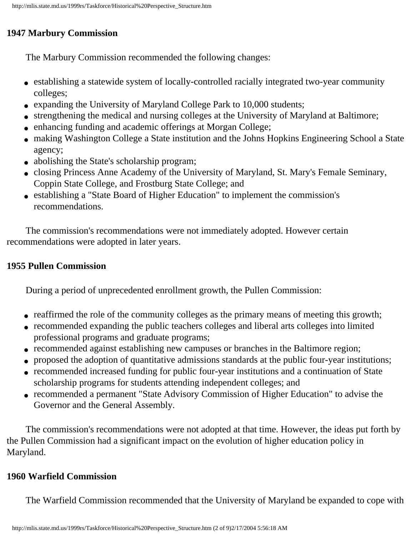#### **1947 Marbury Commission**

The Marbury Commission recommended the following changes:

- establishing a statewide system of locally-controlled racially integrated two-year community colleges;
- expanding the University of Maryland College Park to 10,000 students;
- strengthening the medical and nursing colleges at the University of Maryland at Baltimore;
- enhancing funding and academic offerings at Morgan College;
- making Washington College a State institution and the Johns Hopkins Engineering School a State agency;
- abolishing the State's scholarship program;
- closing Princess Anne Academy of the University of Maryland, St. Mary's Female Seminary, Coppin State College, and Frostburg State College; and
- establishing a "State Board of Higher Education" to implement the commission's recommendations.

 The commission's recommendations were not immediately adopted. However certain recommendations were adopted in later years.

#### **1955 Pullen Commission**

During a period of unprecedented enrollment growth, the Pullen Commission:

- reaffirmed the role of the community colleges as the primary means of meeting this growth;
- recommended expanding the public teachers colleges and liberal arts colleges into limited professional programs and graduate programs;
- recommended against establishing new campuses or branches in the Baltimore region;
- proposed the adoption of quantitative admissions standards at the public four-year institutions;
- recommended increased funding for public four-year institutions and a continuation of State scholarship programs for students attending independent colleges; and
- recommended a permanent "State Advisory Commission of Higher Education" to advise the Governor and the General Assembly.

 The commission's recommendations were not adopted at that time. However, the ideas put forth by the Pullen Commission had a significant impact on the evolution of higher education policy in Maryland.

#### **1960 Warfield Commission**

The Warfield Commission recommended that the University of Maryland be expanded to cope with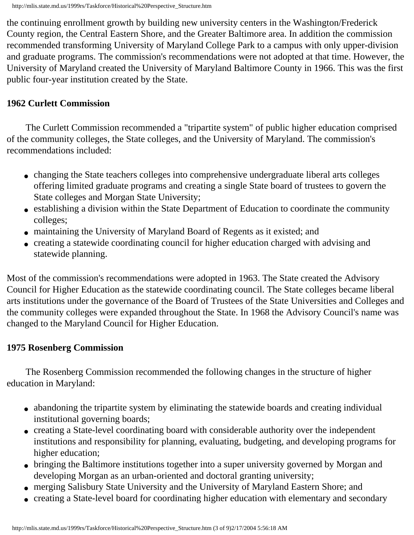the continuing enrollment growth by building new university centers in the Washington/Frederick County region, the Central Eastern Shore, and the Greater Baltimore area. In addition the commission recommended transforming University of Maryland College Park to a campus with only upper-division and graduate programs. The commission's recommendations were not adopted at that time. However, the University of Maryland created the University of Maryland Baltimore County in 1966. This was the first public four-year institution created by the State.

#### **1962 Curlett Commission**

 The Curlett Commission recommended a "tripartite system" of public higher education comprised of the community colleges, the State colleges, and the University of Maryland. The commission's recommendations included:

- changing the State teachers colleges into comprehensive undergraduate liberal arts colleges offering limited graduate programs and creating a single State board of trustees to govern the State colleges and Morgan State University;
- establishing a division within the State Department of Education to coordinate the community colleges;
- maintaining the University of Maryland Board of Regents as it existed; and
- creating a statewide coordinating council for higher education charged with advising and statewide planning.

Most of the commission's recommendations were adopted in 1963. The State created the Advisory Council for Higher Education as the statewide coordinating council. The State colleges became liberal arts institutions under the governance of the Board of Trustees of the State Universities and Colleges and the community colleges were expanded throughout the State. In 1968 the Advisory Council's name was changed to the Maryland Council for Higher Education.

#### **1975 Rosenberg Commission**

 The Rosenberg Commission recommended the following changes in the structure of higher education in Maryland:

- abandoning the tripartite system by eliminating the statewide boards and creating individual institutional governing boards;
- creating a State-level coordinating board with considerable authority over the independent institutions and responsibility for planning, evaluating, budgeting, and developing programs for higher education;
- bringing the Baltimore institutions together into a super university governed by Morgan and developing Morgan as an urban-oriented and doctoral granting university;
- merging Salisbury State University and the University of Maryland Eastern Shore; and
- creating a State-level board for coordinating higher education with elementary and secondary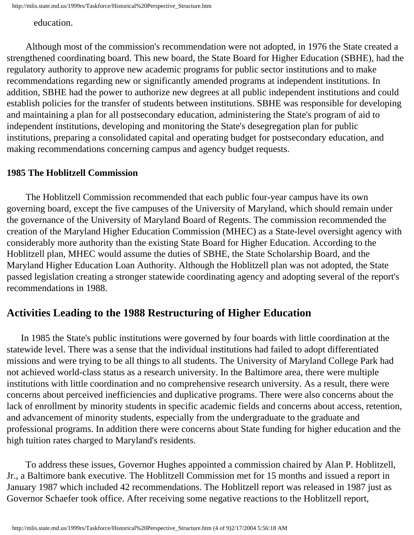education.

 Although most of the commission's recommendation were not adopted, in 1976 the State created a strengthened coordinating board. This new board, the State Board for Higher Education (SBHE), had the regulatory authority to approve new academic programs for public sector institutions and to make recommendations regarding new or significantly amended programs at independent institutions. In addition, SBHE had the power to authorize new degrees at all public independent institutions and could establish policies for the transfer of students between institutions. SBHE was responsible for developing and maintaining a plan for all postsecondary education, administering the State's program of aid to independent institutions, developing and monitoring the State's desegregation plan for public institutions, preparing a consolidated capital and operating budget for postsecondary education, and making recommendations concerning campus and agency budget requests.

#### **1985 The Hoblitzell Commission**

 The Hoblitzell Commission recommended that each public four-year campus have its own governing board, except the five campuses of the University of Maryland, which should remain under the governance of the University of Maryland Board of Regents. The commission recommended the creation of the Maryland Higher Education Commission (MHEC) as a State-level oversight agency with considerably more authority than the existing State Board for Higher Education. According to the Hoblitzell plan, MHEC would assume the duties of SBHE, the State Scholarship Board, and the Maryland Higher Education Loan Authority. Although the Hoblitzell plan was not adopted, the State passed legislation creating a stronger statewide coordinating agency and adopting several of the report's recommendations in 1988.

#### **Activities Leading to the 1988 Restructuring of Higher Education**

 In 1985 the State's public institutions were governed by four boards with little coordination at the statewide level. There was a sense that the individual institutions had failed to adopt differentiated missions and were trying to be all things to all students. The University of Maryland College Park had not achieved world-class status as a research university. In the Baltimore area, there were multiple institutions with little coordination and no comprehensive research university. As a result, there were concerns about perceived inefficiencies and duplicative programs. There were also concerns about the lack of enrollment by minority students in specific academic fields and concerns about access, retention, and advancement of minority students, especially from the undergraduate to the graduate and professional programs. In addition there were concerns about State funding for higher education and the high tuition rates charged to Maryland's residents.

 To address these issues, Governor Hughes appointed a commission chaired by Alan P. Hoblitzell, Jr., a Baltimore bank executive. The Hoblitzell Commission met for 15 months and issued a report in January 1987 which included 42 recommendations. The Hoblitzell report was released in 1987 just as Governor Schaefer took office. After receiving some negative reactions to the Hoblitzell report,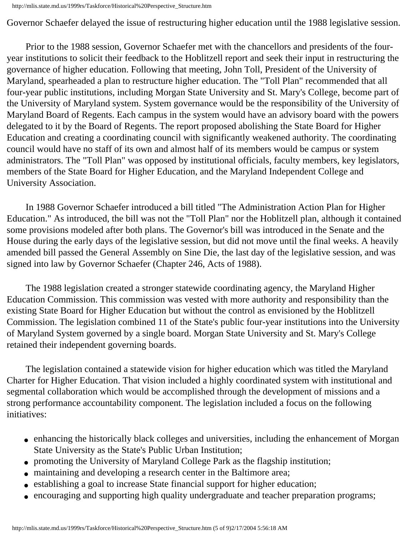Governor Schaefer delayed the issue of restructuring higher education until the 1988 legislative session.

 Prior to the 1988 session, Governor Schaefer met with the chancellors and presidents of the fouryear institutions to solicit their feedback to the Hoblitzell report and seek their input in restructuring the governance of higher education. Following that meeting, John Toll, President of the University of Maryland, spearheaded a plan to restructure higher education. The "Toll Plan" recommended that all four-year public institutions, including Morgan State University and St. Mary's College, become part of the University of Maryland system. System governance would be the responsibility of the University of Maryland Board of Regents. Each campus in the system would have an advisory board with the powers delegated to it by the Board of Regents. The report proposed abolishing the State Board for Higher Education and creating a coordinating council with significantly weakened authority. The coordinating council would have no staff of its own and almost half of its members would be campus or system administrators. The "Toll Plan" was opposed by institutional officials, faculty members, key legislators, members of the State Board for Higher Education, and the Maryland Independent College and University Association.

 In 1988 Governor Schaefer introduced a bill titled "The Administration Action Plan for Higher Education." As introduced, the bill was not the "Toll Plan" nor the Hoblitzell plan, although it contained some provisions modeled after both plans. The Governor's bill was introduced in the Senate and the House during the early days of the legislative session, but did not move until the final weeks. A heavily amended bill passed the General Assembly on Sine Die, the last day of the legislative session, and was signed into law by Governor Schaefer (Chapter 246, Acts of 1988).

 The 1988 legislation created a stronger statewide coordinating agency, the Maryland Higher Education Commission. This commission was vested with more authority and responsibility than the existing State Board for Higher Education but without the control as envisioned by the Hoblitzell Commission. The legislation combined 11 of the State's public four-year institutions into the University of Maryland System governed by a single board. Morgan State University and St. Mary's College retained their independent governing boards.

 The legislation contained a statewide vision for higher education which was titled the Maryland Charter for Higher Education. That vision included a highly coordinated system with institutional and segmental collaboration which would be accomplished through the development of missions and a strong performance accountability component. The legislation included a focus on the following initiatives:

- enhancing the historically black colleges and universities, including the enhancement of Morgan State University as the State's Public Urban Institution;
- promoting the University of Maryland College Park as the flagship institution;
- maintaining and developing a research center in the Baltimore area;
- establishing a goal to increase State financial support for higher education;
- encouraging and supporting high quality undergraduate and teacher preparation programs;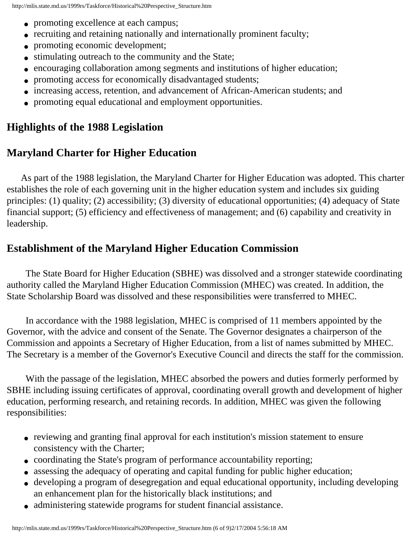- promoting excellence at each campus;
- recruiting and retaining nationally and internationally prominent faculty;
- promoting economic development;
- stimulating outreach to the community and the State;
- encouraging collaboration among segments and institutions of higher education;
- promoting access for economically disadvantaged students;
- increasing access, retention, and advancement of African-American students; and
- promoting equal educational and employment opportunities.

# **Highlights of the 1988 Legislation**

# **Maryland Charter for Higher Education**

 As part of the 1988 legislation, the Maryland Charter for Higher Education was adopted. This charter establishes the role of each governing unit in the higher education system and includes six guiding principles: (1) quality; (2) accessibility; (3) diversity of educational opportunities; (4) adequacy of State financial support; (5) efficiency and effectiveness of management; and (6) capability and creativity in leadership.

# **Establishment of the Maryland Higher Education Commission**

 The State Board for Higher Education (SBHE) was dissolved and a stronger statewide coordinating authority called the Maryland Higher Education Commission (MHEC) was created. In addition, the State Scholarship Board was dissolved and these responsibilities were transferred to MHEC.

 In accordance with the 1988 legislation, MHEC is comprised of 11 members appointed by the Governor, with the advice and consent of the Senate. The Governor designates a chairperson of the Commission and appoints a Secretary of Higher Education, from a list of names submitted by MHEC. The Secretary is a member of the Governor's Executive Council and directs the staff for the commission.

 With the passage of the legislation, MHEC absorbed the powers and duties formerly performed by SBHE including issuing certificates of approval, coordinating overall growth and development of higher education, performing research, and retaining records. In addition, MHEC was given the following responsibilities:

- reviewing and granting final approval for each institution's mission statement to ensure consistency with the Charter;
- coordinating the State's program of performance accountability reporting;
- assessing the adequacy of operating and capital funding for public higher education;
- developing a program of desegregation and equal educational opportunity, including developing an enhancement plan for the historically black institutions; and
- administering statewide programs for student financial assistance.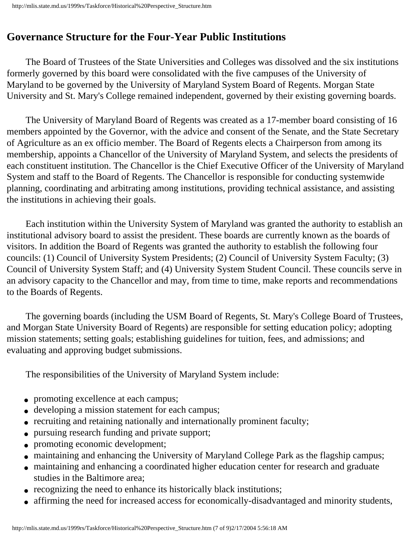# **Governance Structure for the Four-Year Public Institutions**

 The Board of Trustees of the State Universities and Colleges was dissolved and the six institutions formerly governed by this board were consolidated with the five campuses of the University of Maryland to be governed by the University of Maryland System Board of Regents. Morgan State University and St. Mary's College remained independent, governed by their existing governing boards.

 The University of Maryland Board of Regents was created as a 17-member board consisting of 16 members appointed by the Governor, with the advice and consent of the Senate, and the State Secretary of Agriculture as an ex officio member. The Board of Regents elects a Chairperson from among its membership, appoints a Chancellor of the University of Maryland System, and selects the presidents of each constituent institution. The Chancellor is the Chief Executive Officer of the University of Maryland System and staff to the Board of Regents. The Chancellor is responsible for conducting systemwide planning, coordinating and arbitrating among institutions, providing technical assistance, and assisting the institutions in achieving their goals.

 Each institution within the University System of Maryland was granted the authority to establish an institutional advisory board to assist the president. These boards are currently known as the boards of visitors. In addition the Board of Regents was granted the authority to establish the following four councils: (1) Council of University System Presidents; (2) Council of University System Faculty; (3) Council of University System Staff; and (4) University System Student Council. These councils serve in an advisory capacity to the Chancellor and may, from time to time, make reports and recommendations to the Boards of Regents.

 The governing boards (including the USM Board of Regents, St. Mary's College Board of Trustees, and Morgan State University Board of Regents) are responsible for setting education policy; adopting mission statements; setting goals; establishing guidelines for tuition, fees, and admissions; and evaluating and approving budget submissions.

The responsibilities of the University of Maryland System include:

- promoting excellence at each campus;
- developing a mission statement for each campus;
- recruiting and retaining nationally and internationally prominent faculty;
- pursuing research funding and private support;
- promoting economic development;
- maintaining and enhancing the University of Maryland College Park as the flagship campus;
- maintaining and enhancing a coordinated higher education center for research and graduate studies in the Baltimore area;
- recognizing the need to enhance its historically black institutions;
- affirming the need for increased access for economically-disadvantaged and minority students,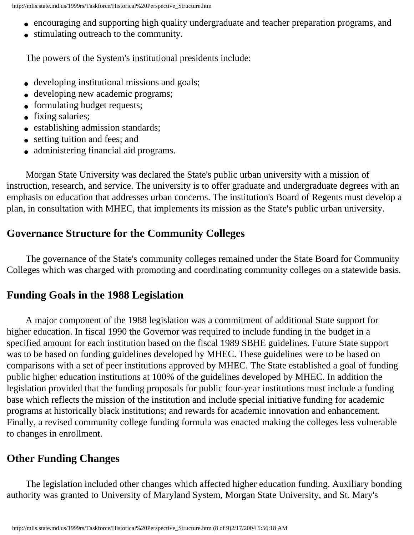- encouraging and supporting high quality undergraduate and teacher preparation programs, and
- stimulating outreach to the community.

The powers of the System's institutional presidents include:

- developing institutional missions and goals;
- developing new academic programs;
- formulating budget requests;
- fixing salaries;
- establishing admission standards;
- setting tuition and fees; and
- administering financial aid programs.

 Morgan State University was declared the State's public urban university with a mission of instruction, research, and service. The university is to offer graduate and undergraduate degrees with an emphasis on education that addresses urban concerns. The institution's Board of Regents must develop a plan, in consultation with MHEC, that implements its mission as the State's public urban university.

# **Governance Structure for the Community Colleges**

 The governance of the State's community colleges remained under the State Board for Community Colleges which was charged with promoting and coordinating community colleges on a statewide basis.

# **Funding Goals in the 1988 Legislation**

 A major component of the 1988 legislation was a commitment of additional State support for higher education. In fiscal 1990 the Governor was required to include funding in the budget in a specified amount for each institution based on the fiscal 1989 SBHE guidelines. Future State support was to be based on funding guidelines developed by MHEC. These guidelines were to be based on comparisons with a set of peer institutions approved by MHEC. The State established a goal of funding public higher education institutions at 100% of the guidelines developed by MHEC. In addition the legislation provided that the funding proposals for public four-year institutions must include a funding base which reflects the mission of the institution and include special initiative funding for academic programs at historically black institutions; and rewards for academic innovation and enhancement. Finally, a revised community college funding formula was enacted making the colleges less vulnerable to changes in enrollment.

# **Other Funding Changes**

 The legislation included other changes which affected higher education funding. Auxiliary bonding authority was granted to University of Maryland System, Morgan State University, and St. Mary's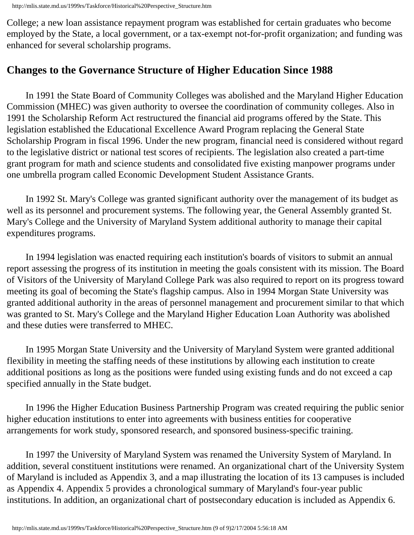College; a new loan assistance repayment program was established for certain graduates who become employed by the State, a local government, or a tax-exempt not-for-profit organization; and funding was enhanced for several scholarship programs.

# **Changes to the Governance Structure of Higher Education Since 1988**

 In 1991 the State Board of Community Colleges was abolished and the Maryland Higher Education Commission (MHEC) was given authority to oversee the coordination of community colleges. Also in 1991 the Scholarship Reform Act restructured the financial aid programs offered by the State. This legislation established the Educational Excellence Award Program replacing the General State Scholarship Program in fiscal 1996. Under the new program, financial need is considered without regard to the legislative district or national test scores of recipients. The legislation also created a part-time grant program for math and science students and consolidated five existing manpower programs under one umbrella program called Economic Development Student Assistance Grants.

 In 1992 St. Mary's College was granted significant authority over the management of its budget as well as its personnel and procurement systems. The following year, the General Assembly granted St. Mary's College and the University of Maryland System additional authority to manage their capital expenditures programs.

 In 1994 legislation was enacted requiring each institution's boards of visitors to submit an annual report assessing the progress of its institution in meeting the goals consistent with its mission. The Board of Visitors of the University of Maryland College Park was also required to report on its progress toward meeting its goal of becoming the State's flagship campus. Also in 1994 Morgan State University was granted additional authority in the areas of personnel management and procurement similar to that which was granted to St. Mary's College and the Maryland Higher Education Loan Authority was abolished and these duties were transferred to MHEC.

 In 1995 Morgan State University and the University of Maryland System were granted additional flexibility in meeting the staffing needs of these institutions by allowing each institution to create additional positions as long as the positions were funded using existing funds and do not exceed a cap specified annually in the State budget.

 In 1996 the Higher Education Business Partnership Program was created requiring the public senior higher education institutions to enter into agreements with business entities for cooperative arrangements for work study, sponsored research, and sponsored business-specific training.

 In 1997 the University of Maryland System was renamed the University System of Maryland. In addition, several constituent institutions were renamed. An organizational chart of the University System of Maryland is included as Appendix 3, and a map illustrating the location of its 13 campuses is included as Appendix 4. Appendix 5 provides a chronological summary of Maryland's four-year public institutions. In addition, an organizational chart of postsecondary education is included as Appendix 6.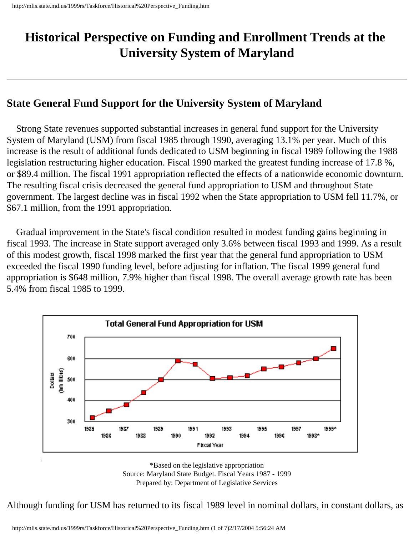# <span id="page-34-0"></span>**Historical Perspective on Funding and Enrollment Trends at the University System of Maryland**

### **State General Fund Support for the University System of Maryland**

 Strong State revenues supported substantial increases in general fund support for the University System of Maryland (USM) from fiscal 1985 through 1990, averaging 13.1% per year. Much of this increase is the result of additional funds dedicated to USM beginning in fiscal 1989 following the 1988 legislation restructuring higher education. Fiscal 1990 marked the greatest funding increase of 17.8 %, or \$89.4 million. The fiscal 1991 appropriation reflected the effects of a nationwide economic downturn. The resulting fiscal crisis decreased the general fund appropriation to USM and throughout State government. The largest decline was in fiscal 1992 when the State appropriation to USM fell 11.7%, or \$67.1 million, from the 1991 appropriation.

 Gradual improvement in the State's fiscal condition resulted in modest funding gains beginning in fiscal 1993. The increase in State support averaged only 3.6% between fiscal 1993 and 1999. As a result of this modest growth, fiscal 1998 marked the first year that the general fund appropriation to USM exceeded the fiscal 1990 funding level, before adjusting for inflation. The fiscal 1999 general fund appropriation is \$648 million, 7.9% higher than fiscal 1998. The overall average growth rate has been 5.4% from fiscal 1985 to 1999.



\*Based on the legislative appropriation Source: Maryland State Budget. Fiscal Years 1987 - 1999 Prepared by: Department of Legislative Services

Although funding for USM has returned to its fiscal 1989 level in nominal dollars, in constant dollars, as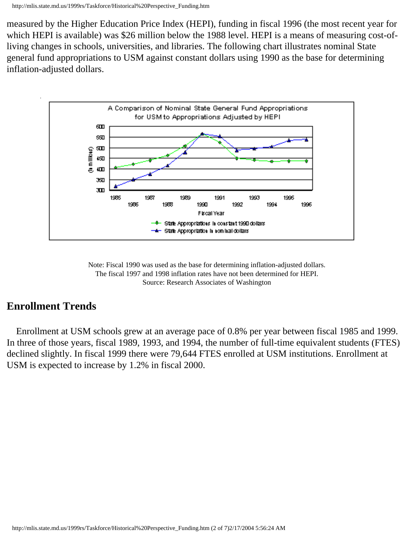measured by the Higher Education Price Index (HEPI), funding in fiscal 1996 (the most recent year for which HEPI is available) was \$26 million below the 1988 level. HEPI is a means of measuring cost-ofliving changes in schools, universities, and libraries. The following chart illustrates nominal State general fund appropriations to USM against constant dollars using 1990 as the base for determining inflation-adjusted dollars.





# **Enrollment Trends**

 Enrollment at USM schools grew at an average pace of 0.8% per year between fiscal 1985 and 1999. In three of those years, fiscal 1989, 1993, and 1994, the number of full-time equivalent students (FTES) declined slightly. In fiscal 1999 there were 79,644 FTES enrolled at USM institutions. Enrollment at USM is expected to increase by 1.2% in fiscal 2000.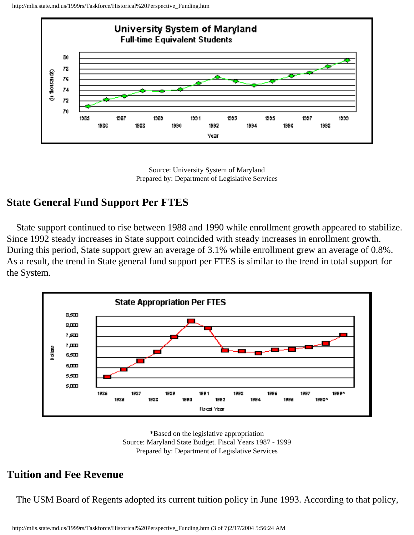http://mlis.state.md.us/1999rs/Taskforce/Historical%20Perspective\_Funding.htm



Source: University System of Maryland Prepared by: Department of Legislative Services

## **State General Fund Support Per FTES**

 State support continued to rise between 1988 and 1990 while enrollment growth appeared to stabilize. Since 1992 steady increases in State support coincided with steady increases in enrollment growth. During this period, State support grew an average of 3.1% while enrollment grew an average of 0.8%. As a result, the trend in State general fund support per FTES is similar to the trend in total support for the System.





## **Tuition and Fee Revenue**

The USM Board of Regents adopted its current tuition policy in June 1993. According to that policy,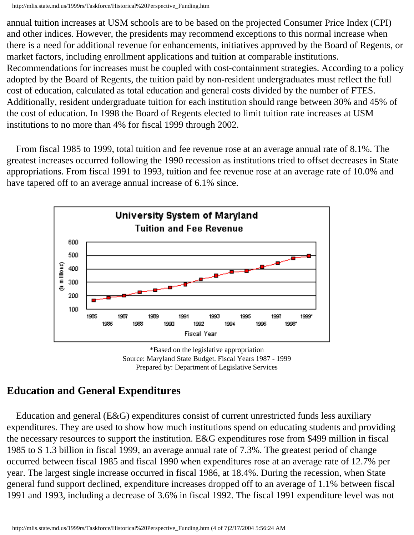annual tuition increases at USM schools are to be based on the projected Consumer Price Index (CPI) and other indices. However, the presidents may recommend exceptions to this normal increase when there is a need for additional revenue for enhancements, initiatives approved by the Board of Regents, or market factors, including enrollment applications and tuition at comparable institutions. Recommendations for increases must be coupled with cost-containment strategies. According to a policy adopted by the Board of Regents, the tuition paid by non-resident undergraduates must reflect the full cost of education, calculated as total education and general costs divided by the number of FTES. Additionally, resident undergraduate tuition for each institution should range between 30% and 45% of the cost of education. In 1998 the Board of Regents elected to limit tuition rate increases at USM institutions to no more than 4% for fiscal 1999 through 2002.

 From fiscal 1985 to 1999, total tuition and fee revenue rose at an average annual rate of 8.1%. The greatest increases occurred following the 1990 recession as institutions tried to offset decreases in State appropriations. From fiscal 1991 to 1993, tuition and fee revenue rose at an average rate of 10.0% and have tapered off to an average annual increase of 6.1% since.





# **Education and General Expenditures**

 Education and general (E&G) expenditures consist of current unrestricted funds less auxiliary expenditures. They are used to show how much institutions spend on educating students and providing the necessary resources to support the institution. E&G expenditures rose from \$499 million in fiscal 1985 to \$ 1.3 billion in fiscal 1999, an average annual rate of 7.3%. The greatest period of change occurred between fiscal 1985 and fiscal 1990 when expenditures rose at an average rate of 12.7% per year. The largest single increase occurred in fiscal 1986, at 18.4%. During the recession, when State general fund support declined, expenditure increases dropped off to an average of 1.1% between fiscal 1991 and 1993, including a decrease of 3.6% in fiscal 1992. The fiscal 1991 expenditure level was not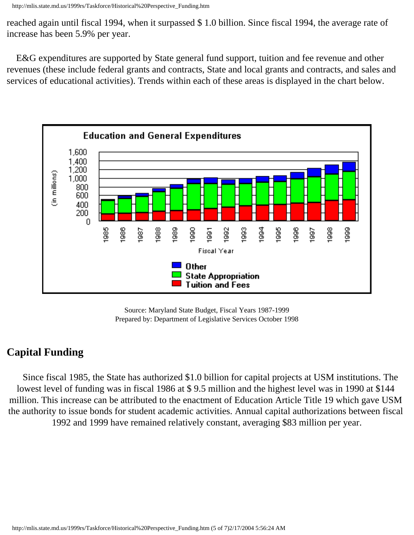reached again until fiscal 1994, when it surpassed \$ 1.0 billion. Since fiscal 1994, the average rate of increase has been 5.9% per year.

 E&G expenditures are supported by State general fund support, tuition and fee revenue and other revenues (these include federal grants and contracts, State and local grants and contracts, and sales and services of educational activities). Trends within each of these areas is displayed in the chart below.



Source: Maryland State Budget, Fiscal Years 1987-1999 Prepared by: Department of Legislative Services October 1998

# **Capital Funding**

 Since fiscal 1985, the State has authorized \$1.0 billion for capital projects at USM institutions. The lowest level of funding was in fiscal 1986 at \$ 9.5 million and the highest level was in 1990 at \$144 million. This increase can be attributed to the enactment of Education Article Title 19 which gave USM the authority to issue bonds for student academic activities. Annual capital authorizations between fiscal 1992 and 1999 have remained relatively constant, averaging \$83 million per year.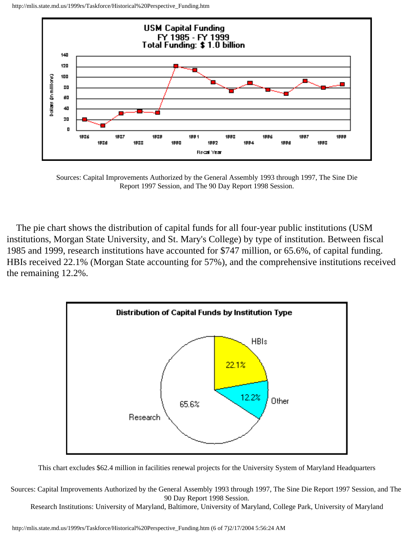

Sources: Capital Improvements Authorized by the General Assembly 1993 through 1997, The Sine Die Report 1997 Session, and The 90 Day Report 1998 Session.

 The pie chart shows the distribution of capital funds for all four-year public institutions (USM institutions, Morgan State University, and St. Mary's College) by type of institution. Between fiscal 1985 and 1999, research institutions have accounted for \$747 million, or 65.6%, of capital funding. HBIs received 22.1% (Morgan State accounting for 57%), and the comprehensive institutions received the remaining 12.2%.



This chart excludes \$62.4 million in facilities renewal projects for the University System of Maryland Headquarters

Sources: Capital Improvements Authorized by the General Assembly 1993 through 1997, The Sine Die Report 1997 Session, and The 90 Day Report 1998 Session.

Research Institutions: University of Maryland, Baltimore, University of Maryland, College Park, University of Maryland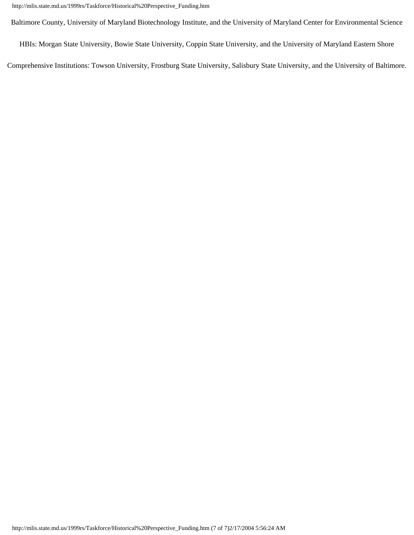Baltimore County, University of Maryland Biotechnology Institute, and the University of Maryland Center for Environmental Science

HBIs: Morgan State University, Bowie State University, Coppin State University, and the University of Maryland Eastern Shore

Comprehensive Institutions: Towson University, Frostburg State University, Salisbury State University, and the University of Baltimore.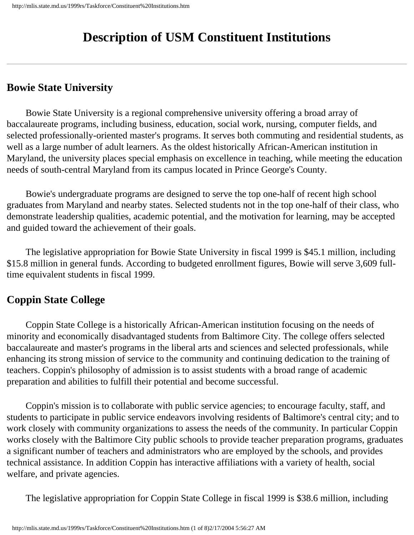# **Description of USM Constituent Institutions**

## **Bowie State University**

 Bowie State University is a regional comprehensive university offering a broad array of baccalaureate programs, including business, education, social work, nursing, computer fields, and selected professionally-oriented master's programs. It serves both commuting and residential students, as well as a large number of adult learners. As the oldest historically African-American institution in Maryland, the university places special emphasis on excellence in teaching, while meeting the education needs of south-central Maryland from its campus located in Prince George's County.

 Bowie's undergraduate programs are designed to serve the top one-half of recent high school graduates from Maryland and nearby states. Selected students not in the top one-half of their class, who demonstrate leadership qualities, academic potential, and the motivation for learning, may be accepted and guided toward the achievement of their goals.

 The legislative appropriation for Bowie State University in fiscal 1999 is \$45.1 million, including \$15.8 million in general funds. According to budgeted enrollment figures, Bowie will serve 3,609 fulltime equivalent students in fiscal 1999.

# **Coppin State College**

 Coppin State College is a historically African-American institution focusing on the needs of minority and economically disadvantaged students from Baltimore City. The college offers selected baccalaureate and master's programs in the liberal arts and sciences and selected professionals, while enhancing its strong mission of service to the community and continuing dedication to the training of teachers. Coppin's philosophy of admission is to assist students with a broad range of academic preparation and abilities to fulfill their potential and become successful.

 Coppin's mission is to collaborate with public service agencies; to encourage faculty, staff, and students to participate in public service endeavors involving residents of Baltimore's central city; and to work closely with community organizations to assess the needs of the community. In particular Coppin works closely with the Baltimore City public schools to provide teacher preparation programs, graduates a significant number of teachers and administrators who are employed by the schools, and provides technical assistance. In addition Coppin has interactive affiliations with a variety of health, social welfare, and private agencies.

The legislative appropriation for Coppin State College in fiscal 1999 is \$38.6 million, including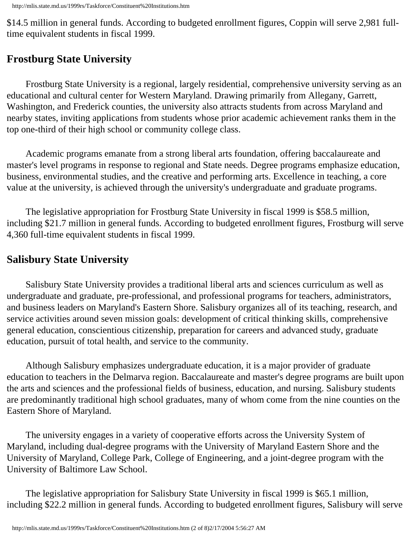\$14.5 million in general funds. According to budgeted enrollment figures, Coppin will serve 2,981 fulltime equivalent students in fiscal 1999.

# **Frostburg State University**

 Frostburg State University is a regional, largely residential, comprehensive university serving as an educational and cultural center for Western Maryland. Drawing primarily from Allegany, Garrett, Washington, and Frederick counties, the university also attracts students from across Maryland and nearby states, inviting applications from students whose prior academic achievement ranks them in the top one-third of their high school or community college class.

 Academic programs emanate from a strong liberal arts foundation, offering baccalaureate and master's level programs in response to regional and State needs. Degree programs emphasize education, business, environmental studies, and the creative and performing arts. Excellence in teaching, a core value at the university, is achieved through the university's undergraduate and graduate programs.

 The legislative appropriation for Frostburg State University in fiscal 1999 is \$58.5 million, including \$21.7 million in general funds. According to budgeted enrollment figures, Frostburg will serve 4,360 full-time equivalent students in fiscal 1999.

## **Salisbury State University**

 Salisbury State University provides a traditional liberal arts and sciences curriculum as well as undergraduate and graduate, pre-professional, and professional programs for teachers, administrators, and business leaders on Maryland's Eastern Shore. Salisbury organizes all of its teaching, research, and service activities around seven mission goals: development of critical thinking skills, comprehensive general education, conscientious citizenship, preparation for careers and advanced study, graduate education, pursuit of total health, and service to the community.

 Although Salisbury emphasizes undergraduate education, it is a major provider of graduate education to teachers in the Delmarva region. Baccalaureate and master's degree programs are built upon the arts and sciences and the professional fields of business, education, and nursing. Salisbury students are predominantly traditional high school graduates, many of whom come from the nine counties on the Eastern Shore of Maryland.

 The university engages in a variety of cooperative efforts across the University System of Maryland, including dual-degree programs with the University of Maryland Eastern Shore and the University of Maryland, College Park, College of Engineering, and a joint-degree program with the University of Baltimore Law School.

 The legislative appropriation for Salisbury State University in fiscal 1999 is \$65.1 million, including \$22.2 million in general funds. According to budgeted enrollment figures, Salisbury will serve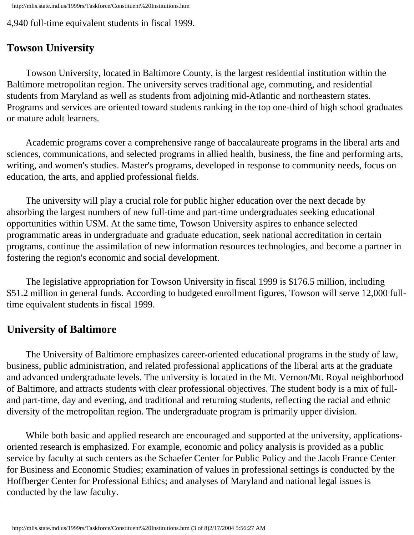http://mlis.state.md.us/1999rs/Taskforce/Constituent%20Institutions.htm

4,940 full-time equivalent students in fiscal 1999.

# **Towson University**

 Towson University, located in Baltimore County, is the largest residential institution within the Baltimore metropolitan region. The university serves traditional age, commuting, and residential students from Maryland as well as students from adjoining mid-Atlantic and northeastern states. Programs and services are oriented toward students ranking in the top one-third of high school graduates or mature adult learners.

 Academic programs cover a comprehensive range of baccalaureate programs in the liberal arts and sciences, communications, and selected programs in allied health, business, the fine and performing arts, writing, and women's studies. Master's programs, developed in response to community needs, focus on education, the arts, and applied professional fields.

 The university will play a crucial role for public higher education over the next decade by absorbing the largest numbers of new full-time and part-time undergraduates seeking educational opportunities within USM. At the same time, Towson University aspires to enhance selected programmatic areas in undergraduate and graduate education, seek national accreditation in certain programs, continue the assimilation of new information resources technologies, and become a partner in fostering the region's economic and social development.

 The legislative appropriation for Towson University in fiscal 1999 is \$176.5 million, including \$51.2 million in general funds. According to budgeted enrollment figures, Towson will serve 12,000 fulltime equivalent students in fiscal 1999.

## **University of Baltimore**

 The University of Baltimore emphasizes career-oriented educational programs in the study of law, business, public administration, and related professional applications of the liberal arts at the graduate and advanced undergraduate levels. The university is located in the Mt. Vernon/Mt. Royal neighborhood of Baltimore, and attracts students with clear professional objectives. The student body is a mix of fulland part-time, day and evening, and traditional and returning students, reflecting the racial and ethnic diversity of the metropolitan region. The undergraduate program is primarily upper division.

 While both basic and applied research are encouraged and supported at the university, applicationsoriented research is emphasized. For example, economic and policy analysis is provided as a public service by faculty at such centers as the Schaefer Center for Public Policy and the Jacob France Center for Business and Economic Studies; examination of values in professional settings is conducted by the Hoffberger Center for Professional Ethics; and analyses of Maryland and national legal issues is conducted by the law faculty.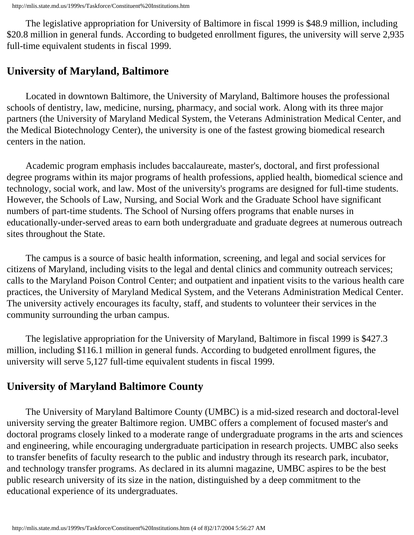The legislative appropriation for University of Baltimore in fiscal 1999 is \$48.9 million, including \$20.8 million in general funds. According to budgeted enrollment figures, the university will serve 2,935 full-time equivalent students in fiscal 1999.

# **University of Maryland, Baltimore**

 Located in downtown Baltimore, the University of Maryland, Baltimore houses the professional schools of dentistry, law, medicine, nursing, pharmacy, and social work. Along with its three major partners (the University of Maryland Medical System, the Veterans Administration Medical Center, and the Medical Biotechnology Center), the university is one of the fastest growing biomedical research centers in the nation.

 Academic program emphasis includes baccalaureate, master's, doctoral, and first professional degree programs within its major programs of health professions, applied health, biomedical science and technology, social work, and law. Most of the university's programs are designed for full-time students. However, the Schools of Law, Nursing, and Social Work and the Graduate School have significant numbers of part-time students. The School of Nursing offers programs that enable nurses in educationally-under-served areas to earn both undergraduate and graduate degrees at numerous outreach sites throughout the State.

 The campus is a source of basic health information, screening, and legal and social services for citizens of Maryland, including visits to the legal and dental clinics and community outreach services; calls to the Maryland Poison Control Center; and outpatient and inpatient visits to the various health care practices, the University of Maryland Medical System, and the Veterans Administration Medical Center. The university actively encourages its faculty, staff, and students to volunteer their services in the community surrounding the urban campus.

 The legislative appropriation for the University of Maryland, Baltimore in fiscal 1999 is \$427.3 million, including \$116.1 million in general funds. According to budgeted enrollment figures, the university will serve 5,127 full-time equivalent students in fiscal 1999.

# **University of Maryland Baltimore County**

 The University of Maryland Baltimore County (UMBC) is a mid-sized research and doctoral-level university serving the greater Baltimore region. UMBC offers a complement of focused master's and doctoral programs closely linked to a moderate range of undergraduate programs in the arts and sciences and engineering, while encouraging undergraduate participation in research projects. UMBC also seeks to transfer benefits of faculty research to the public and industry through its research park, incubator, and technology transfer programs. As declared in its alumni magazine, UMBC aspires to be the best public research university of its size in the nation, distinguished by a deep commitment to the educational experience of its undergraduates.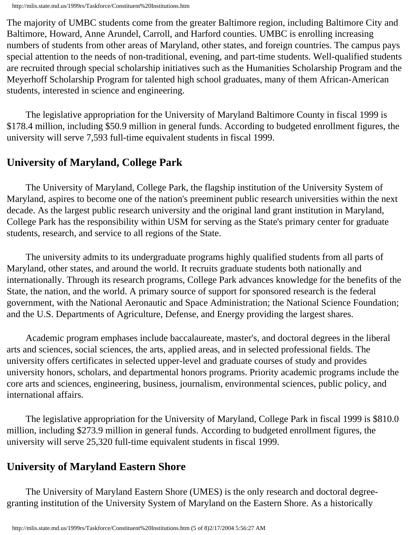The majority of UMBC students come from the greater Baltimore region, including Baltimore City and Baltimore, Howard, Anne Arundel, Carroll, and Harford counties. UMBC is enrolling increasing numbers of students from other areas of Maryland, other states, and foreign countries. The campus pays special attention to the needs of non-traditional, evening, and part-time students. Well-qualified students are recruited through special scholarship initiatives such as the Humanities Scholarship Program and the Meyerhoff Scholarship Program for talented high school graduates, many of them African-American students, interested in science and engineering.

 The legislative appropriation for the University of Maryland Baltimore County in fiscal 1999 is \$178.4 million, including \$50.9 million in general funds. According to budgeted enrollment figures, the university will serve 7,593 full-time equivalent students in fiscal 1999.

## **University of Maryland, College Park**

 The University of Maryland, College Park, the flagship institution of the University System of Maryland, aspires to become one of the nation's preeminent public research universities within the next decade. As the largest public research university and the original land grant institution in Maryland, College Park has the responsibility within USM for serving as the State's primary center for graduate students, research, and service to all regions of the State.

 The university admits to its undergraduate programs highly qualified students from all parts of Maryland, other states, and around the world. It recruits graduate students both nationally and internationally. Through its research programs, College Park advances knowledge for the benefits of the State, the nation, and the world. A primary source of support for sponsored research is the federal government, with the National Aeronautic and Space Administration; the National Science Foundation; and the U.S. Departments of Agriculture, Defense, and Energy providing the largest shares.

 Academic program emphases include baccalaureate, master's, and doctoral degrees in the liberal arts and sciences, social sciences, the arts, applied areas, and in selected professional fields. The university offers certificates in selected upper-level and graduate courses of study and provides university honors, scholars, and departmental honors programs. Priority academic programs include the core arts and sciences, engineering, business, journalism, environmental sciences, public policy, and international affairs.

 The legislative appropriation for the University of Maryland, College Park in fiscal 1999 is \$810.0 million, including \$273.9 million in general funds. According to budgeted enrollment figures, the university will serve 25,320 full-time equivalent students in fiscal 1999.

## **University of Maryland Eastern Shore**

 The University of Maryland Eastern Shore (UMES) is the only research and doctoral degreegranting institution of the University System of Maryland on the Eastern Shore. As a historically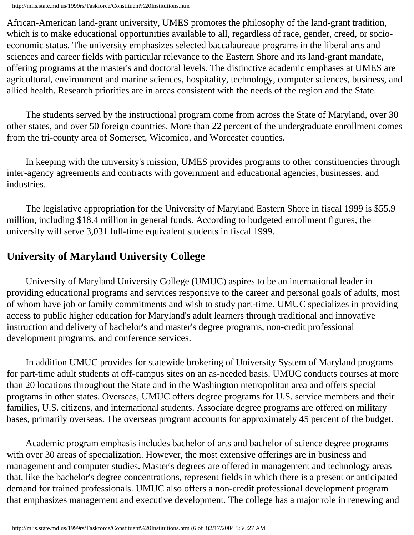African-American land-grant university, UMES promotes the philosophy of the land-grant tradition, which is to make educational opportunities available to all, regardless of race, gender, creed, or socioeconomic status. The university emphasizes selected baccalaureate programs in the liberal arts and sciences and career fields with particular relevance to the Eastern Shore and its land-grant mandate, offering programs at the master's and doctoral levels. The distinctive academic emphases at UMES are agricultural, environment and marine sciences, hospitality, technology, computer sciences, business, and allied health. Research priorities are in areas consistent with the needs of the region and the State.

 The students served by the instructional program come from across the State of Maryland, over 30 other states, and over 50 foreign countries. More than 22 percent of the undergraduate enrollment comes from the tri-county area of Somerset, Wicomico, and Worcester counties.

 In keeping with the university's mission, UMES provides programs to other constituencies through inter-agency agreements and contracts with government and educational agencies, businesses, and industries.

 The legislative appropriation for the University of Maryland Eastern Shore in fiscal 1999 is \$55.9 million, including \$18.4 million in general funds. According to budgeted enrollment figures, the university will serve 3,031 full-time equivalent students in fiscal 1999.

## **University of Maryland University College**

 University of Maryland University College (UMUC) aspires to be an international leader in providing educational programs and services responsive to the career and personal goals of adults, most of whom have job or family commitments and wish to study part-time. UMUC specializes in providing access to public higher education for Maryland's adult learners through traditional and innovative instruction and delivery of bachelor's and master's degree programs, non-credit professional development programs, and conference services.

 In addition UMUC provides for statewide brokering of University System of Maryland programs for part-time adult students at off-campus sites on an as-needed basis. UMUC conducts courses at more than 20 locations throughout the State and in the Washington metropolitan area and offers special programs in other states. Overseas, UMUC offers degree programs for U.S. service members and their families, U.S. citizens, and international students. Associate degree programs are offered on military bases, primarily overseas. The overseas program accounts for approximately 45 percent of the budget.

 Academic program emphasis includes bachelor of arts and bachelor of science degree programs with over 30 areas of specialization. However, the most extensive offerings are in business and management and computer studies. Master's degrees are offered in management and technology areas that, like the bachelor's degree concentrations, represent fields in which there is a present or anticipated demand for trained professionals. UMUC also offers a non-credit professional development program that emphasizes management and executive development. The college has a major role in renewing and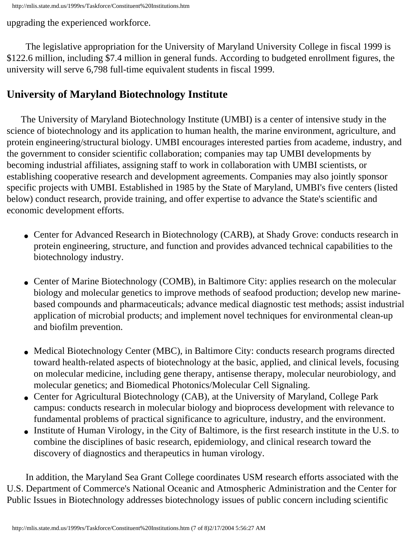upgrading the experienced workforce.

 The legislative appropriation for the University of Maryland University College in fiscal 1999 is \$122.6 million, including \$7.4 million in general funds. According to budgeted enrollment figures, the university will serve 6,798 full-time equivalent students in fiscal 1999.

# **University of Maryland Biotechnology Institute**

 The University of Maryland Biotechnology Institute (UMBI) is a center of intensive study in the science of biotechnology and its application to human health, the marine environment, agriculture, and protein engineering/structural biology. UMBI encourages interested parties from academe, industry, and the government to consider scientific collaboration; companies may tap UMBI developments by becoming industrial affiliates, assigning staff to work in collaboration with UMBI scientists, or establishing cooperative research and development agreements. Companies may also jointly sponsor specific projects with UMBI. Established in 1985 by the State of Maryland, UMBI's five centers (listed below) conduct research, provide training, and offer expertise to advance the State's scientific and economic development efforts.

- Center for Advanced Research in Biotechnology (CARB), at Shady Grove: conducts research in protein engineering, structure, and function and provides advanced technical capabilities to the biotechnology industry.
- Center of Marine Biotechnology (COMB), in Baltimore City: applies research on the molecular biology and molecular genetics to improve methods of seafood production; develop new marinebased compounds and pharmaceuticals; advance medical diagnostic test methods; assist industrial application of microbial products; and implement novel techniques for environmental clean-up and biofilm prevention.
- Medical Biotechnology Center (MBC), in Baltimore City: conducts research programs directed toward health-related aspects of biotechnology at the basic, applied, and clinical levels, focusing on molecular medicine, including gene therapy, antisense therapy, molecular neurobiology, and molecular genetics; and Biomedical Photonics/Molecular Cell Signaling.
- Center for Agricultural Biotechnology (CAB), at the University of Maryland, College Park campus: conducts research in molecular biology and bioprocess development with relevance to fundamental problems of practical significance to agriculture, industry, and the environment.
- Institute of Human Virology, in the City of Baltimore, is the first research institute in the U.S. to combine the disciplines of basic research, epidemiology, and clinical research toward the discovery of diagnostics and therapeutics in human virology.

 In addition, the Maryland Sea Grant College coordinates USM research efforts associated with the U.S. Department of Commerce's National Oceanic and Atmospheric Administration and the Center for Public Issues in Biotechnology addresses biotechnology issues of public concern including scientific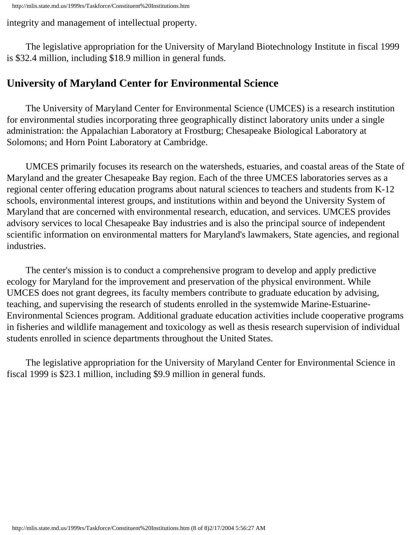integrity and management of intellectual property.

 The legislative appropriation for the University of Maryland Biotechnology Institute in fiscal 1999 is \$32.4 million, including \$18.9 million in general funds.

## **University of Maryland Center for Environmental Science**

 The University of Maryland Center for Environmental Science (UMCES) is a research institution for environmental studies incorporating three geographically distinct laboratory units under a single administration: the Appalachian Laboratory at Frostburg; Chesapeake Biological Laboratory at Solomons; and Horn Point Laboratory at Cambridge.

 UMCES primarily focuses its research on the watersheds, estuaries, and coastal areas of the State of Maryland and the greater Chesapeake Bay region. Each of the three UMCES laboratories serves as a regional center offering education programs about natural sciences to teachers and students from K-12 schools, environmental interest groups, and institutions within and beyond the University System of Maryland that are concerned with environmental research, education, and services. UMCES provides advisory services to local Chesapeake Bay industries and is also the principal source of independent scientific information on environmental matters for Maryland's lawmakers, State agencies, and regional industries.

 The center's mission is to conduct a comprehensive program to develop and apply predictive ecology for Maryland for the improvement and preservation of the physical environment. While UMCES does not grant degrees, its faculty members contribute to graduate education by advising, teaching, and supervising the research of students enrolled in the systemwide Marine-Estuarine-Environmental Sciences program. Additional graduate education activities include cooperative programs in fisheries and wildlife management and toxicology as well as thesis research supervision of individual students enrolled in science departments throughout the United States.

 The legislative appropriation for the University of Maryland Center for Environmental Science in fiscal 1999 is \$23.1 million, including \$9.9 million in general funds.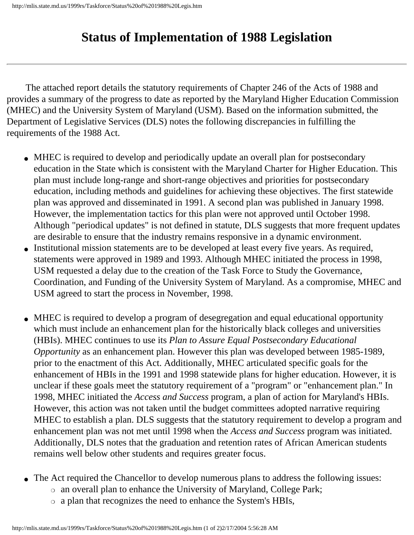# **Status of Implementation of 1988 Legislation**

 The attached report details the statutory requirements of Chapter 246 of the Acts of 1988 and provides a summary of the progress to date as reported by the Maryland Higher Education Commission (MHEC) and the University System of Maryland (USM). Based on the information submitted, the Department of Legislative Services (DLS) notes the following discrepancies in fulfilling the requirements of the 1988 Act.

- MHEC is required to develop and periodically update an overall plan for postsecondary education in the State which is consistent with the Maryland Charter for Higher Education. This plan must include long-range and short-range objectives and priorities for postsecondary education, including methods and guidelines for achieving these objectives. The first statewide plan was approved and disseminated in 1991. A second plan was published in January 1998. However, the implementation tactics for this plan were not approved until October 1998. Although "periodical updates" is not defined in statute, DLS suggests that more frequent updates are desirable to ensure that the industry remains responsive in a dynamic environment.
- Institutional mission statements are to be developed at least every five years. As required, statements were approved in 1989 and 1993. Although MHEC initiated the process in 1998, USM requested a delay due to the creation of the Task Force to Study the Governance, Coordination, and Funding of the University System of Maryland. As a compromise, MHEC and USM agreed to start the process in November, 1998.
- MHEC is required to develop a program of desegregation and equal educational opportunity which must include an enhancement plan for the historically black colleges and universities (HBIs). MHEC continues to use its *Plan to Assure Equal Postsecondary Educational Opportunity* as an enhancement plan. However this plan was developed between 1985-1989, prior to the enactment of this Act. Additionally, MHEC articulated specific goals for the enhancement of HBIs in the 1991 and 1998 statewide plans for higher education. However, it is unclear if these goals meet the statutory requirement of a "program" or "enhancement plan." In 1998, MHEC initiated the *Access and Success* program, a plan of action for Maryland's HBIs. However, this action was not taken until the budget committees adopted narrative requiring MHEC to establish a plan. DLS suggests that the statutory requirement to develop a program and enhancement plan was not met until 1998 when the *Access and Success* program was initiated. Additionally, DLS notes that the graduation and retention rates of African American students remains well below other students and requires greater focus.
- The Act required the Chancellor to develop numerous plans to address the following issues:
	- ❍ an overall plan to enhance the University of Maryland, College Park;
	- ❍ a plan that recognizes the need to enhance the System's HBIs,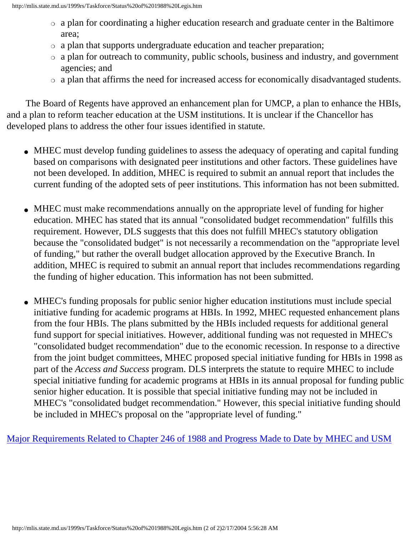- ❍ a plan for coordinating a higher education research and graduate center in the Baltimore area;
- ❍ a plan that supports undergraduate education and teacher preparation;
- ❍ a plan for outreach to community, public schools, business and industry, and government agencies; and
- ❍ a plan that affirms the need for increased access for economically disadvantaged students.

 The Board of Regents have approved an enhancement plan for UMCP, a plan to enhance the HBIs, and a plan to reform teacher education at the USM institutions. It is unclear if the Chancellor has developed plans to address the other four issues identified in statute.

- MHEC must develop funding guidelines to assess the adequacy of operating and capital funding based on comparisons with designated peer institutions and other factors. These guidelines have not been developed. In addition, MHEC is required to submit an annual report that includes the current funding of the adopted sets of peer institutions. This information has not been submitted.
- MHEC must make recommendations annually on the appropriate level of funding for higher education. MHEC has stated that its annual "consolidated budget recommendation" fulfills this requirement. However, DLS suggests that this does not fulfill MHEC's statutory obligation because the "consolidated budget" is not necessarily a recommendation on the "appropriate level of funding," but rather the overall budget allocation approved by the Executive Branch. In addition, MHEC is required to submit an annual report that includes recommendations regarding the funding of higher education. This information has not been submitted.
- MHEC's funding proposals for public senior higher education institutions must include special initiative funding for academic programs at HBIs. In 1992, MHEC requested enhancement plans from the four HBIs. The plans submitted by the HBIs included requests for additional general fund support for special initiatives. However, additional funding was not requested in MHEC's "consolidated budget recommendation" due to the economic recession. In response to a directive from the joint budget committees, MHEC proposed special initiative funding for HBIs in 1998 as part of the *Access and Success* program. DLS interprets the statute to require MHEC to include special initiative funding for academic programs at HBIs in its annual proposal for funding public senior higher education. It is possible that special initiative funding may not be included in MHEC's "consolidated budget recommendation." However, this special initiative funding should be included in MHEC's proposal on the "appropriate level of funding."

[Major Requirements Related to Chapter 246 of 1988 and Progress Made to Date by MHEC and USM](http://mlis.state.md.us/1999rs/Taskforce/Major%20Requirements.htm)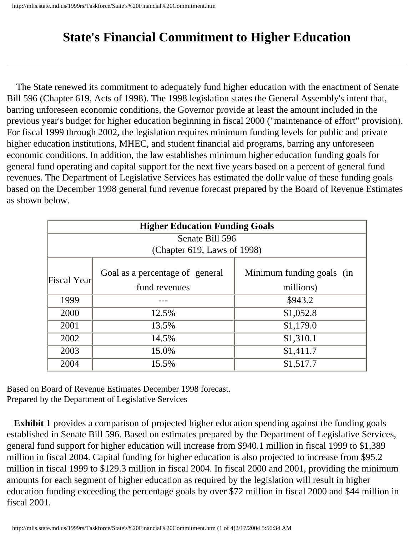# **State's Financial Commitment to Higher Education**

 The State renewed its commitment to adequately fund higher education with the enactment of Senate Bill 596 (Chapter 619, Acts of 1998). The 1998 legislation states the General Assembly's intent that, barring unforeseen economic conditions, the Governor provide at least the amount included in the previous year's budget for higher education beginning in fiscal 2000 ("maintenance of effort" provision). For fiscal 1999 through 2002, the legislation requires minimum funding levels for public and private higher education institutions, MHEC, and student financial aid programs, barring any unforeseen economic conditions. In addition, the law establishes minimum higher education funding goals for general fund operating and capital support for the next five years based on a percent of general fund revenues. The Department of Legislative Services has estimated the dollr value of these funding goals based on the December 1998 general fund revenue forecast prepared by the Board of Revenue Estimates as shown below.

| <b>Higher Education Funding Goals</b> |                                 |                           |  |  |  |
|---------------------------------------|---------------------------------|---------------------------|--|--|--|
| Senate Bill 596                       |                                 |                           |  |  |  |
| (Chapter 619, Laws of 1998)           |                                 |                           |  |  |  |
| Fiscal Yearl                          | Goal as a percentage of general | Minimum funding goals (in |  |  |  |
|                                       | fund revenues                   | millions)                 |  |  |  |
| 1999                                  |                                 | \$943.2                   |  |  |  |
| 2000                                  | 12.5%                           | \$1,052.8                 |  |  |  |
| 2001                                  | 13.5%                           | \$1,179.0                 |  |  |  |
| 2002                                  | 14.5%                           | \$1,310.1                 |  |  |  |
| 2003                                  | 15.0%                           | \$1,411.7                 |  |  |  |
| 2004                                  | 15.5%                           | \$1,517.7                 |  |  |  |

Based on Board of Revenue Estimates December 1998 forecast. Prepared by the Department of Legislative Services

**Exhibit 1** provides a comparison of projected higher education spending against the funding goals established in Senate Bill 596. Based on estimates prepared by the Department of Legislative Services, general fund support for higher education will increase from \$940.1 million in fiscal 1999 to \$1,389 million in fiscal 2004. Capital funding for higher education is also projected to increase from \$95.2 million in fiscal 1999 to \$129.3 million in fiscal 2004. In fiscal 2000 and 2001, providing the minimum amounts for each segment of higher education as required by the legislation will result in higher education funding exceeding the percentage goals by over \$72 million in fiscal 2000 and \$44 million in fiscal 2001.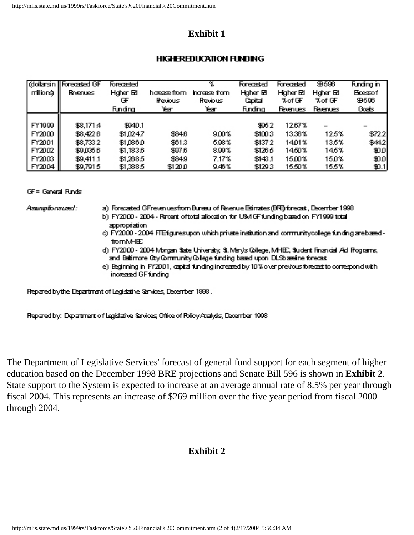#### **Exhibit 1**

#### **HIGHEREDUCATION FUNDING**

| milione)      | dolarsin    Forecasted GF<br><b>Roenues</b> | <b>Forecasted</b><br>Hgher Ed<br>Œ<br><b>Funding</b> | hoeaæfrom.<br><b>Revious</b><br><b>Team</b> | $\mathcal{X}$<br>hrees fom<br><b>Revious</b><br>Year | Forecasted<br>Hgher <b>El</b><br>Capital<br><b>Funding</b> | Forecasted<br>Higher Ed<br>%of GF<br><b>Romues</b> | 田596<br>Hgher Ed<br>% of GF<br><b>Reenues</b> | <b>Funding in</b><br><b>Ecesof</b><br><b>39596</b><br>Goals |
|---------------|---------------------------------------------|------------------------------------------------------|---------------------------------------------|------------------------------------------------------|------------------------------------------------------------|----------------------------------------------------|-----------------------------------------------|-------------------------------------------------------------|
| FY1999        | \$8,171.4                                   | \$940.1                                              |                                             |                                                      | 3052                                                       | 12.67%                                             |                                               |                                                             |
| FY2000        | \$8,4226                                    | \$10247                                              | \$84.6                                      | 9.00%                                                | \$1003                                                     | 13.36%                                             | $12.5\%$                                      | \$722                                                       |
| FY2001        | \$8,733.2                                   | \$1,086.0                                            | \$613                                       | 5.98%                                                | \$1372                                                     | 1401ኜ                                              | 135%                                          | \$442                                                       |
| FY2002        | \$9,035.6                                   | \$1,1836                                             | \$97.6                                      | 8.99%                                                | \$126.5                                                    | 1450%                                              | 145%                                          | 30 O                                                        |
| FY2003        | \$9,411.1                                   | \$1,268.5                                            | \$849                                       | 7.17%                                                | \$143.1                                                    | 15.00%                                             | 15ወኧ                                          | 40 O                                                        |
| <b>FY2004</b> | \$9,791.5                                   | \$1,388.5                                            | HAO                                         | 9.46%                                                | \$1293                                                     | 15,50%                                             | 155%                                          | 40.1                                                        |

#### **GF= General Funds**

Assumptions used:

- a) Forecated GFreuenuesfrom Bureau of Reienue Etimates (BFE) forecast, December 1998 b) FY2000 - 2004 - Recent oftotal allocation for U\$M GF funding based on FY1999 total appropriation
- c) FY2000 2004 FTE fgunesupon which private institution and communitycollege funding are based from MHE.
- d) FY2000 2004 Morgan State University, St. Mary's College, MHEC, Student Financial Aid Programs, and Beltimore City/Community/College funding based upon DUSbaseline forecast
- e) Beginning in FY2001, capital funding increased by 10% over previous forecast to correspond with increased GF funding

Repared by the Department of Legislative Services, December 1998.

Repared by: Department of Legislative Services, Office of Rolicy Analysis, December 1998

The Department of Legislative Services' forecast of general fund support for each segment of higher education based on the December 1998 BRE projections and Senate Bill 596 is shown in **Exhibit 2**. State support to the System is expected to increase at an average annual rate of 8.5% per year through fiscal 2004. This represents an increase of \$269 million over the five year period from fiscal 2000 through 2004.

## **Exhibit 2**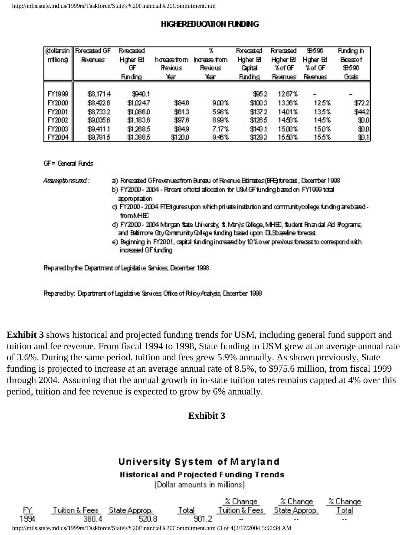#### **HIGHEREDUCATION FUNDING**

| milions       | dollarsin    Forecasted GF<br><b>Roenues</b> | <b>Forecasted</b><br>Hgher Ed<br>Œ | hosse from<br><b>Previous</b> | $\mathcal{V}_\mathrm{c}$<br>hrees fom<br><b>Revious</b> | Forecasted<br>Hgher El<br>Cartal | Forecasted<br>Higher Ed<br>% of <b>F</b> | <b>9596</b><br>Hgher Ed<br>%of GF | <b>Funding in</b><br><b>Ecessof</b><br><b>9596</b> |
|---------------|----------------------------------------------|------------------------------------|-------------------------------|---------------------------------------------------------|----------------------------------|------------------------------------------|-----------------------------------|----------------------------------------------------|
|               |                                              | <b>Funding</b>                     | Year                          | Yеат                                                    | <b>Finding</b>                   | Revenues                                 | <b>Reenues</b>                    | Goals                                              |
|               |                                              |                                    |                               |                                                         |                                  |                                          |                                   |                                                    |
| FY1999        | \$8,171.4                                    | \$940.1                            |                               |                                                         | 9952                             | 12.67%                                   |                                   |                                                    |
| FY2000        | \$3.4226                                     | \$1024.7                           | \$84.6                        | 9.00%                                                   | \$1003                           | 13.36%                                   | 12.5%                             | \$72.2                                             |
| <b>FY2001</b> | \$8,733.2                                    | \$10860                            | \$61.3                        | 5.98%                                                   | \$1372                           | 1401%                                    | 13.5%                             | \$442]                                             |
| <b>FY2002</b> | \$9,035.6                                    | \$1,183.6                          | \$97.6                        | 899%                                                    | \$1265                           | 1450%                                    | 145%.                             | $\mathbf{H}$                                       |
| <b>FY2003</b> | \$9,411.1                                    | \$1,268.5                          | \$84.9                        | 7.17%                                                   | \$143.1                          | 1500%                                    | 15.0%                             | HO.                                                |
| FY2004        | \$9,7915                                     | \$1,385                            | HQO                           | 9.46%                                                   | \$1293                           | 15,50%                                   | 15.5%                             | H.1                                                |

GF= General Funds

Assumptionsused:

a) Forecated GFrevenues from Bureau of Revenue Edimates (BRE) forecast, December 1998.

- b) FY2000 2004 Recent oftotal allocation for USMOF funding based on FY1999 total appropriation
- c) FY2000 2004 FTE figures upon which private institution and communitycollege funding are based **fromMHE**
- d) FY2000 2004 Morgan State University, St. Mary's College, MHEC, Student Financial Aid Programs, and Baltimore Oby Community College funding based upon DUSbaseline forecast
- e) Beginning in FY2001, capital funding increased by 10% over previous forecast to correspond with increased GF funding

Repared by the Department of Legislative Services, December 1998.

Repared by: Department of Legislative Services; Office of Rolicy Analysis, December 1998.

**Exhibit 3** shows historical and projected funding trends for USM, including general fund support and tuition and fee revenue. From fiscal 1994 to 1998, State funding to USM grew at an average annual rate of 3.6%. During the same period, tuition and fees grew 5.9% annually. As shown previously, State funding is projected to increase at an average annual rate of 8.5%, to \$975.6 million, from fiscal 1999 through 2004. Assuming that the annual growth in in-state tuition rates remains capped at 4% over this period, tuition and fee revenue is expected to grow by 6% annually.

#### **Exhibit 3**

# University System of Maryland

**Historical and Projected Funding Trends** 

(Dollar amounts in millions)



http://mlis.state.md.us/1999rs/Taskforce/State's%20Financial%20Commitment.htm (3 of 4)2/17/2004 5:56:34 AM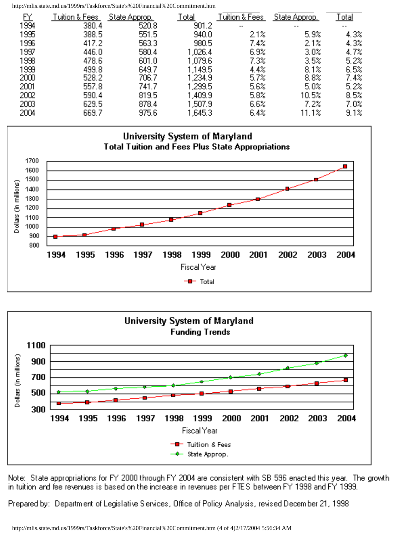http://mlis.state.md.us/1999rs/Taskforce/State's%20Financial%20Commitment.htm

| FΥ   | Tuition & Fees | State Approp. | Total   | Tuition & Fees | State Approp. | <u>Total</u>             |
|------|----------------|---------------|---------|----------------|---------------|--------------------------|
| 1994 | 380.4          | 520.8         | 901.2   |                | $\cdot$ .     | $\overline{\phantom{a}}$ |
| 1995 | 388.5          | 551.5         | 940.0   | 2.1%           | 5.9%          | 4.3%                     |
| 1996 | 417.2          | 563.3         | 980.5   | 7.4%           | 2.1%          | 4.3%                     |
| 1997 | 446.0          | 580.4         | 1,026.4 | 6.9%           | 3.0%          | 4.7%                     |
| 1998 | 478.6          | 601.0         | 1,079.6 | $7.3\%$        | 3.5%          | 5.2%                     |
| 1999 | 499.8          | 649.7         | 1,149.5 | 4.4%           | 8.1%          | 6.5%                     |
| 2000 | 528.2          | 706.7         | 1,234.9 | 5.7%           | 8.8%          | 7.4%                     |
| 2001 | 557.8          | 741.7         | 1,299.5 | 5.6%           | 5.0%          | 5.2%                     |
| 2002 | 590.4          | 819.5         | 1,409.9 | 5.8%           | 10.5%         | 8.5%                     |
| 2003 | 629.5          | 878.4         | 1,507.9 | 6.6%           | 7.2%          | 7.0%                     |
| 2004 | 669.7          | 975.6         | 1,645.3 | 6.4%           | 11.1%         | 9.1%                     |





Note: State appropriations for FY 2000 through FY 2004 are consistent with SB 596 enacted this year. The growth in tuition and fee revenues is based on the increase in revenues per FTES between FY 1998 and FY 1999.

Prepared by: Department of Legislative Services, Office of Policy Analysis, revised December 21, 1998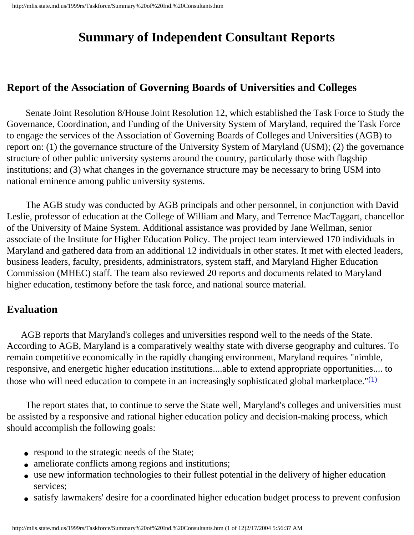# **Summary of Independent Consultant Reports**

## **Report of the Association of Governing Boards of Universities and Colleges**

 Senate Joint Resolution 8/House Joint Resolution 12, which established the Task Force to Study the Governance, Coordination, and Funding of the University System of Maryland, required the Task Force to engage the services of the Association of Governing Boards of Colleges and Universities (AGB) to report on: (1) the governance structure of the University System of Maryland (USM); (2) the governance structure of other public university systems around the country, particularly those with flagship institutions; and (3) what changes in the governance structure may be necessary to bring USM into national eminence among public university systems.

 The AGB study was conducted by AGB principals and other personnel, in conjunction with David Leslie, professor of education at the College of William and Mary, and Terrence MacTaggart, chancellor of the University of Maine System. Additional assistance was provided by Jane Wellman, senior associate of the Institute for Higher Education Policy. The project team interviewed 170 individuals in Maryland and gathered data from an additional 12 individuals in other states. It met with elected leaders, business leaders, faculty, presidents, administrators, system staff, and Maryland Higher Education Commission (MHEC) staff. The team also reviewed 20 reports and documents related to Maryland higher education, testimony before the task force, and national source material.

## **Evaluation**

 AGB reports that Maryland's colleges and universities respond well to the needs of the State. According to AGB, Maryland is a comparatively wealthy state with diverse geography and cultures. To remain competitive economically in the rapidly changing environment, Maryland requires "nimble, responsive, and energetic higher education institutions....able to extend appropriate opportunities.... to those who will need education to compete in an increasingly sophisticated global marketplace." $(1)$ 

 The report states that, to continue to serve the State well, Maryland's colleges and universities must be assisted by a responsive and rational higher education policy and decision-making process, which should accomplish the following goals:

- respond to the strategic needs of the State;
- ameliorate conflicts among regions and institutions;
- use new information technologies to their fullest potential in the delivery of higher education services;
- satisfy lawmakers' desire for a coordinated higher education budget process to prevent confusion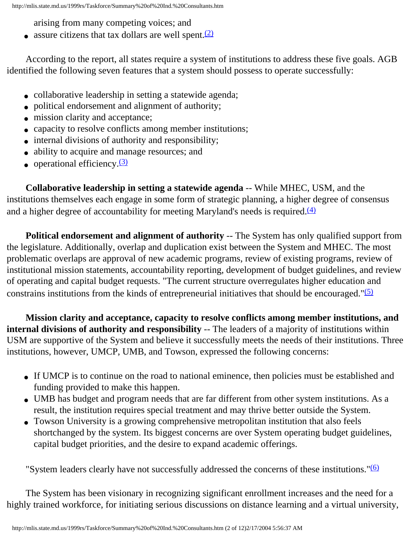arising from many competing voices; and

• assure citizens that tax dollars are well spent. $(2)$ 

 According to the report, all states require a system of institutions to address these five goals. AGB identified the following seven features that a system should possess to operate successfully:

- collaborative leadership in setting a statewide agenda;
- political endorsement and alignment of authority;
- mission clarity and acceptance;
- capacity to resolve conflicts among member institutions;
- internal divisions of authority and responsibility;
- ability to acquire and manage resources; and
- $\bullet$  operational efficiency.  $(3)$

 **Collaborative leadership in setting a statewide agenda** -- While MHEC, USM, and the institutions themselves each engage in some form of strategic planning, a higher degree of consensus and a higher degree of accountability for meeting Maryland's needs is required. $(4)$ 

**Political endorsement and alignment of authority** -- The System has only qualified support from the legislature. Additionally, overlap and duplication exist between the System and MHEC. The most problematic overlaps are approval of new academic programs, review of existing programs, review of institutional mission statements, accountability reporting, development of budget guidelines, and review of operating and capital budget requests. "The current structure overregulates higher education and constrains institutions from the kinds of entrepreneurial initiatives that should be encouraged." $(5)$ 

 **Mission clarity and acceptance, capacity to resolve conflicts among member institutions, and internal divisions of authority and responsibility** -- The leaders of a majority of institutions within USM are supportive of the System and believe it successfully meets the needs of their institutions. Three institutions, however, UMCP, UMB, and Towson, expressed the following concerns:

- If UMCP is to continue on the road to national eminence, then policies must be established and funding provided to make this happen.
- UMB has budget and program needs that are far different from other system institutions. As a result, the institution requires special treatment and may thrive better outside the System.
- Towson University is a growing comprehensive metropolitan institution that also feels shortchanged by the system. Its biggest concerns are over System operating budget guidelines, capital budget priorities, and the desire to expand academic offerings.

"System leaders clearly have not successfully addressed the concerns of these institutions."[\(6\)](#page-65-5)

 The System has been visionary in recognizing significant enrollment increases and the need for a highly trained workforce, for initiating serious discussions on distance learning and a virtual university,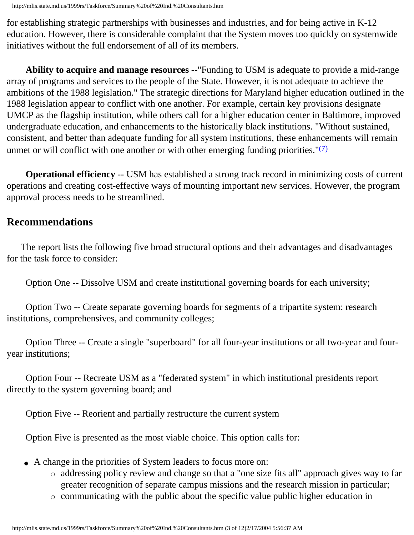for establishing strategic partnerships with businesses and industries, and for being active in K-12 education. However, there is considerable complaint that the System moves too quickly on systemwide initiatives without the full endorsement of all of its members.

 **Ability to acquire and manage resources** --"Funding to USM is adequate to provide a mid-range array of programs and services to the people of the State. However, it is not adequate to achieve the ambitions of the 1988 legislation." The strategic directions for Maryland higher education outlined in the 1988 legislation appear to conflict with one another. For example, certain key provisions designate UMCP as the flagship institution, while others call for a higher education center in Baltimore, improved undergraduate education, and enhancements to the historically black institutions. "Without sustained, consistent, and better than adequate funding for all system institutions, these enhancements will remain unmet or will conflict with one another or with other emerging funding priorities." $(7)$ 

 **Operational efficiency** -- USM has established a strong track record in minimizing costs of current operations and creating cost-effective ways of mounting important new services. However, the program approval process needs to be streamlined.

## **Recommendations**

 The report lists the following five broad structural options and their advantages and disadvantages for the task force to consider:

Option One -- Dissolve USM and create institutional governing boards for each university;

 Option Two -- Create separate governing boards for segments of a tripartite system: research institutions, comprehensives, and community colleges;

 Option Three -- Create a single "superboard" for all four-year institutions or all two-year and fouryear institutions;

 Option Four -- Recreate USM as a "federated system" in which institutional presidents report directly to the system governing board; and

Option Five -- Reorient and partially restructure the current system

Option Five is presented as the most viable choice. This option calls for:

- A change in the priorities of System leaders to focus more on:
	- ❍ addressing policy review and change so that a "one size fits all" approach gives way to far greater recognition of separate campus missions and the research mission in particular;
	- ❍ communicating with the public about the specific value public higher education in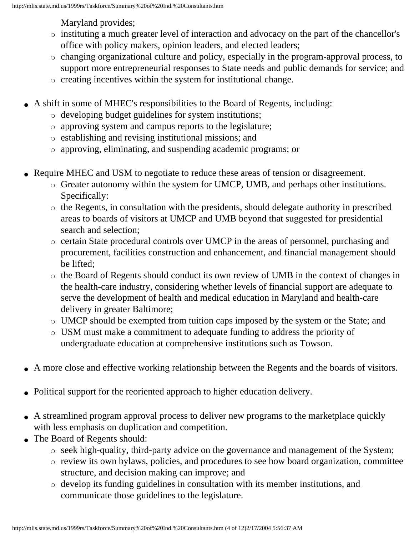Maryland provides;

- ❍ instituting a much greater level of interaction and advocacy on the part of the chancellor's office with policy makers, opinion leaders, and elected leaders;
- ❍ changing organizational culture and policy, especially in the program-approval process, to support more entrepreneurial responses to State needs and public demands for service; and
- ❍ creating incentives within the system for institutional change.
- A shift in some of MHEC's responsibilities to the Board of Regents, including:
	- ❍ developing budget guidelines for system institutions;
	- ❍ approving system and campus reports to the legislature;
	- ❍ establishing and revising institutional missions; and
	- ❍ approving, eliminating, and suspending academic programs; or
- Require MHEC and USM to negotiate to reduce these areas of tension or disagreement.
	- ❍ Greater autonomy within the system for UMCP, UMB, and perhaps other institutions. Specifically:
	- ❍ the Regents, in consultation with the presidents, should delegate authority in prescribed areas to boards of visitors at UMCP and UMB beyond that suggested for presidential search and selection;
	- ❍ certain State procedural controls over UMCP in the areas of personnel, purchasing and procurement, facilities construction and enhancement, and financial management should be lifted;
	- ❍ the Board of Regents should conduct its own review of UMB in the context of changes in the health-care industry, considering whether levels of financial support are adequate to serve the development of health and medical education in Maryland and health-care delivery in greater Baltimore;
	- ❍ UMCP should be exempted from tuition caps imposed by the system or the State; and
	- ❍ USM must make a commitment to adequate funding to address the priority of undergraduate education at comprehensive institutions such as Towson.
- A more close and effective working relationship between the Regents and the boards of visitors.
- Political support for the reoriented approach to higher education delivery.
- A streamlined program approval process to deliver new programs to the marketplace quickly with less emphasis on duplication and competition.
- The Board of Regents should:
	- ❍ seek high-quality, third-party advice on the governance and management of the System;
	- ❍ review its own bylaws, policies, and procedures to see how board organization, committee structure, and decision making can improve; and
	- ❍ develop its funding guidelines in consultation with its member institutions, and communicate those guidelines to the legislature.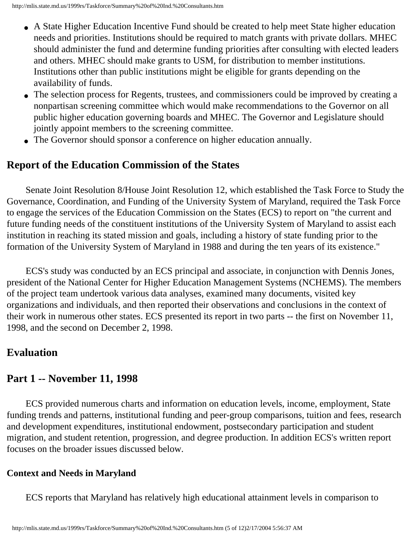- A State Higher Education Incentive Fund should be created to help meet State higher education needs and priorities. Institutions should be required to match grants with private dollars. MHEC should administer the fund and determine funding priorities after consulting with elected leaders and others. MHEC should make grants to USM, for distribution to member institutions. Institutions other than public institutions might be eligible for grants depending on the availability of funds.
- The selection process for Regents, trustees, and commissioners could be improved by creating a nonpartisan screening committee which would make recommendations to the Governor on all public higher education governing boards and MHEC. The Governor and Legislature should jointly appoint members to the screening committee.
- The Governor should sponsor a conference on higher education annually.

#### **Report of the Education Commission of the States**

 Senate Joint Resolution 8/House Joint Resolution 12, which established the Task Force to Study the Governance, Coordination, and Funding of the University System of Maryland, required the Task Force to engage the services of the Education Commission on the States (ECS) to report on "the current and future funding needs of the constituent institutions of the University System of Maryland to assist each institution in reaching its stated mission and goals, including a history of state funding prior to the formation of the University System of Maryland in 1988 and during the ten years of its existence."

 ECS's study was conducted by an ECS principal and associate, in conjunction with Dennis Jones, president of the National Center for Higher Education Management Systems (NCHEMS). The members of the project team undertook various data analyses, examined many documents, visited key organizations and individuals, and then reported their observations and conclusions in the context of their work in numerous other states. ECS presented its report in two parts -- the first on November 11, 1998, and the second on December 2, 1998.

#### **Evaluation**

## **Part 1 -- November 11, 1998**

 ECS provided numerous charts and information on education levels, income, employment, State funding trends and patterns, institutional funding and peer-group comparisons, tuition and fees, research and development expenditures, institutional endowment, postsecondary participation and student migration, and student retention, progression, and degree production. In addition ECS's written report focuses on the broader issues discussed below.

#### **Context and Needs in Maryland**

ECS reports that Maryland has relatively high educational attainment levels in comparison to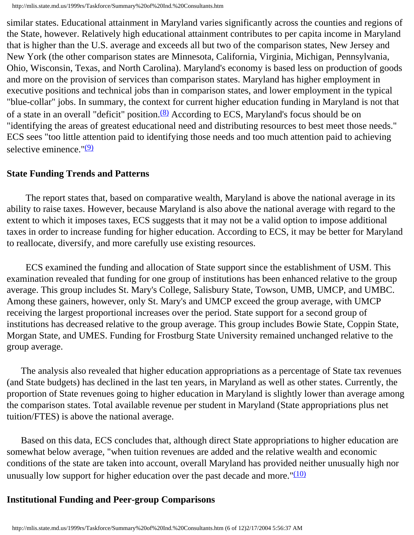similar states. Educational attainment in Maryland varies significantly across the counties and regions of the State, however. Relatively high educational attainment contributes to per capita income in Maryland that is higher than the U.S. average and exceeds all but two of the comparison states, New Jersey and New York (the other comparison states are Minnesota, California, Virginia, Michigan, Pennsylvania, Ohio, Wisconsin, Texas, and North Carolina). Maryland's economy is based less on production of goods and more on the provision of services than comparison states. Maryland has higher employment in executive positions and technical jobs than in comparison states, and lower employment in the typical "blue-collar" jobs. In summary, the context for current higher education funding in Maryland is not that of a state in an overall "deficit" position. $(8)$  According to ECS, Maryland's focus should be on "identifying the areas of greatest educational need and distributing resources to best meet those needs." ECS sees "too little attention paid to identifying those needs and too much attention paid to achieving selective eminence." $(9)$ 

#### **State Funding Trends and Patterns**

 The report states that, based on comparative wealth, Maryland is above the national average in its ability to raise taxes. However, because Maryland is also above the national average with regard to the extent to which it imposes taxes, ECS suggests that it may not be a valid option to impose additional taxes in order to increase funding for higher education. According to ECS, it may be better for Maryland to reallocate, diversify, and more carefully use existing resources.

 ECS examined the funding and allocation of State support since the establishment of USM. This examination revealed that funding for one group of institutions has been enhanced relative to the group average. This group includes St. Mary's College, Salisbury State, Towson, UMB, UMCP, and UMBC. Among these gainers, however, only St. Mary's and UMCP exceed the group average, with UMCP receiving the largest proportional increases over the period. State support for a second group of institutions has decreased relative to the group average. This group includes Bowie State, Coppin State, Morgan State, and UMES. Funding for Frostburg State University remained unchanged relative to the group average.

 The analysis also revealed that higher education appropriations as a percentage of State tax revenues (and State budgets) has declined in the last ten years, in Maryland as well as other states. Currently, the proportion of State revenues going to higher education in Maryland is slightly lower than average among the comparison states. Total available revenue per student in Maryland (State appropriations plus net tuition/FTES) is above the national average.

 Based on this data, ECS concludes that, although direct State appropriations to higher education are somewhat below average, "when tuition revenues are added and the relative wealth and economic conditions of the state are taken into account, overall Maryland has provided neither unusually high nor unusually low support for higher education over the past decade and more." $(10)$ 

#### **Institutional Funding and Peer-group Comparisons**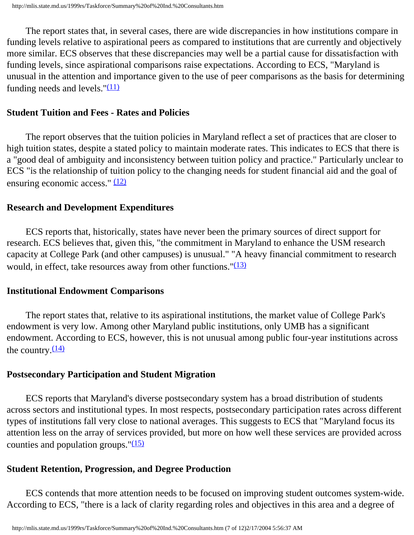The report states that, in several cases, there are wide discrepancies in how institutions compare in funding levels relative to aspirational peers as compared to institutions that are currently and objectively more similar. ECS observes that these discrepancies may well be a partial cause for dissatisfaction with funding levels, since aspirational comparisons raise expectations. According to ECS, "Maryland is unusual in the attention and importance given to the use of peer comparisons as the basis for determining funding needs and levels." $(11)$ 

#### **Student Tuition and Fees - Rates and Policies**

 The report observes that the tuition policies in Maryland reflect a set of practices that are closer to high tuition states, despite a stated policy to maintain moderate rates. This indicates to ECS that there is a "good deal of ambiguity and inconsistency between tuition policy and practice." Particularly unclear to ECS "is the relationship of tuition policy to the changing needs for student financial aid and the goal of ensuring economic access."  $(12)$ 

#### **Research and Development Expenditures**

 ECS reports that, historically, states have never been the primary sources of direct support for research. ECS believes that, given this, "the commitment in Maryland to enhance the USM research capacity at College Park (and other campuses) is unusual." "A heavy financial commitment to research would, in effect, take resources away from other functions." $(13)$ 

#### **Institutional Endowment Comparisons**

 The report states that, relative to its aspirational institutions, the market value of College Park's endowment is very low. Among other Maryland public institutions, only UMB has a significant endowment. According to ECS, however, this is not unusual among public four-year institutions across the country. $(14)$ 

#### **Postsecondary Participation and Student Migration**

 ECS reports that Maryland's diverse postsecondary system has a broad distribution of students across sectors and institutional types. In most respects, postsecondary participation rates across different types of institutions fall very close to national averages. This suggests to ECS that "Maryland focus its attention less on the array of services provided, but more on how well these services are provided across counties and population groups." $(15)$ 

#### **Student Retention, Progression, and Degree Production**

 ECS contends that more attention needs to be focused on improving student outcomes system-wide. According to ECS, "there is a lack of clarity regarding roles and objectives in this area and a degree of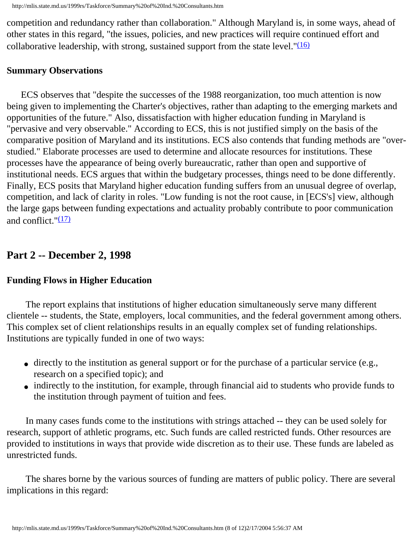competition and redundancy rather than collaboration." Although Maryland is, in some ways, ahead of other states in this regard, "the issues, policies, and new practices will require continued effort and collaborative leadership, with strong, sustained support from the state level." $(16)$ 

#### **Summary Observations**

 ECS observes that "despite the successes of the 1988 reorganization, too much attention is now being given to implementing the Charter's objectives, rather than adapting to the emerging markets and opportunities of the future." Also, dissatisfaction with higher education funding in Maryland is "pervasive and very observable." According to ECS, this is not justified simply on the basis of the comparative position of Maryland and its institutions. ECS also contends that funding methods are "overstudied." Elaborate processes are used to determine and allocate resources for institutions. These processes have the appearance of being overly bureaucratic, rather than open and supportive of institutional needs. ECS argues that within the budgetary processes, things need to be done differently. Finally, ECS posits that Maryland higher education funding suffers from an unusual degree of overlap, competition, and lack of clarity in roles. "Low funding is not the root cause, in [ECS's] view, although the large gaps between funding expectations and actuality probably contribute to poor communication and conflict.  $\sqrt{(17)}$  $\sqrt{(17)}$  $\sqrt{(17)}$ 

#### **Part 2 -- December 2, 1998**

#### **Funding Flows in Higher Education**

 The report explains that institutions of higher education simultaneously serve many different clientele -- students, the State, employers, local communities, and the federal government among others. This complex set of client relationships results in an equally complex set of funding relationships. Institutions are typically funded in one of two ways:

- directly to the institution as general support or for the purchase of a particular service (e.g., research on a specified topic); and
- indirectly to the institution, for example, through financial aid to students who provide funds to the institution through payment of tuition and fees.

 In many cases funds come to the institutions with strings attached -- they can be used solely for research, support of athletic programs, etc. Such funds are called restricted funds. Other resources are provided to institutions in ways that provide wide discretion as to their use. These funds are labeled as unrestricted funds.

 The shares borne by the various sources of funding are matters of public policy. There are several implications in this regard: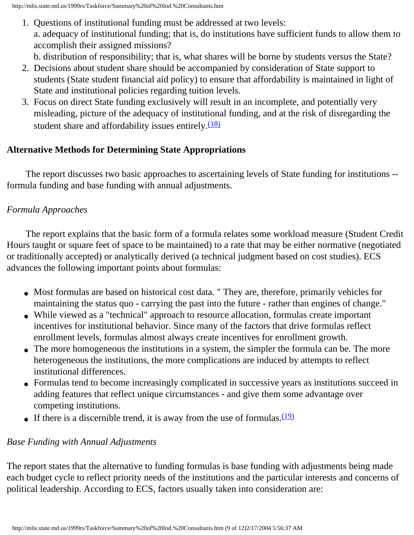1. Questions of institutional funding must be addressed at two levels: a. adequacy of institutional funding; that is, do institutions have sufficient funds to allow them to accomplish their assigned missions?

b. distribution of responsibility; that is, what shares will be borne by students versus the State?

- 2. Decisions about student share should be accompanied by consideration of State support to students (State student financial aid policy) to ensure that affordability is maintained in light of State and institutional policies regarding tuition levels.
- 3. Focus on direct State funding exclusively will result in an incomplete, and potentially very misleading, picture of the adequacy of institutional funding, and at the risk of disregarding the student share and affordability issues entirely.<sup>(18)</sup>

### **Alternative Methods for Determining State Appropriations**

 The report discusses two basic approaches to ascertaining levels of State funding for institutions - formula funding and base funding with annual adjustments.

### *Formula Approaches*

 The report explains that the basic form of a formula relates some workload measure (Student Credit Hours taught or square feet of space to be maintained) to a rate that may be either normative (negotiated or traditionally accepted) or analytically derived (a technical judgment based on cost studies). ECS advances the following important points about formulas:

- Most formulas are based on historical cost data. " They are, therefore, primarily vehicles for maintaining the status quo - carrying the past into the future - rather than engines of change."
- While viewed as a "technical" approach to resource allocation, formulas create important incentives for institutional behavior. Since many of the factors that drive formulas reflect enrollment levels, formulas almost always create incentives for enrollment growth.
- The more homogeneous the institutions in a system, the simpler the formula can be. The more heterogeneous the institutions, the more complications are induced by attempts to reflect institutional differences.
- Formulas tend to become increasingly complicated in successive years as institutions succeed in adding features that reflect unique circumstances - and give them some advantage over competing institutions.
- If there is a discernible trend, it is away from the use of formulas. $\frac{(19)}{(19)}$  $\frac{(19)}{(19)}$  $\frac{(19)}{(19)}$

#### *Base Funding with Annual Adjustments*

The report states that the alternative to funding formulas is base funding with adjustments being made each budget cycle to reflect priority needs of the institutions and the particular interests and concerns of political leadership. According to ECS, factors usually taken into consideration are: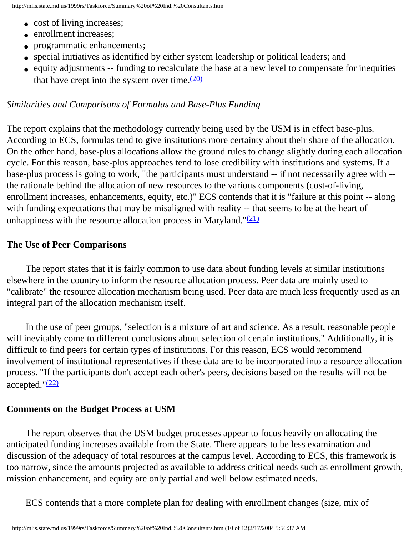- cost of living increases;
- enrollment increases:
- programmatic enhancements;
- special initiatives as identified by either system leadership or political leaders; and
- equity adjustments -- funding to recalculate the base at a new level to compensate for inequities that have crept into the system over time. $(20)$

#### *Similarities and Comparisons of Formulas and Base-Plus Funding*

The report explains that the methodology currently being used by the USM is in effect base-plus. According to ECS, formulas tend to give institutions more certainty about their share of the allocation. On the other hand, base-plus allocations allow the ground rules to change slightly during each allocation cycle. For this reason, base-plus approaches tend to lose credibility with institutions and systems. If a base-plus process is going to work, "the participants must understand -- if not necessarily agree with - the rationale behind the allocation of new resources to the various components (cost-of-living, enrollment increases, enhancements, equity, etc.)" ECS contends that it is "failure at this point -- along with funding expectations that may be misaligned with reality -- that seems to be at the heart of unhappiness with the resource allocation process in Maryland." $(21)$ 

#### **The Use of Peer Comparisons**

 The report states that it is fairly common to use data about funding levels at similar institutions elsewhere in the country to inform the resource allocation process. Peer data are mainly used to "calibrate" the resource allocation mechanism being used. Peer data are much less frequently used as an integral part of the allocation mechanism itself.

 In the use of peer groups, "selection is a mixture of art and science. As a result, reasonable people will inevitably come to different conclusions about selection of certain institutions." Additionally, it is difficult to find peers for certain types of institutions. For this reason, ECS would recommend involvement of institutional representatives if these data are to be incorporated into a resource allocation process. "If the participants don't accept each other's peers, decisions based on the results will not be accepted." $(22)$ 

#### **Comments on the Budget Process at USM**

 The report observes that the USM budget processes appear to focus heavily on allocating the anticipated funding increases available from the State. There appears to be less examination and discussion of the adequacy of total resources at the campus level. According to ECS, this framework is too narrow, since the amounts projected as available to address critical needs such as enrollment growth, mission enhancement, and equity are only partial and well below estimated needs.

ECS contends that a more complete plan for dealing with enrollment changes (size, mix of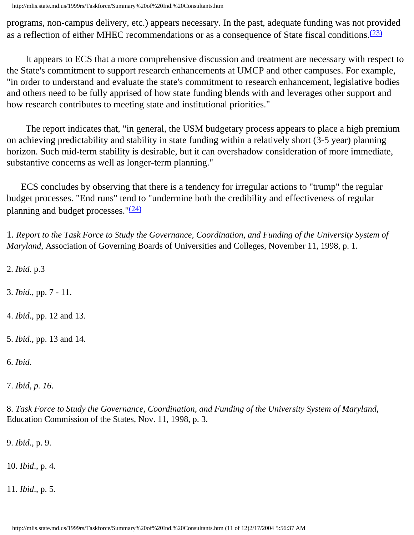http://mlis.state.md.us/1999rs/Taskforce/Summary%20of%20Ind.%20Consultants.htm

programs, non-campus delivery, etc.) appears necessary. In the past, adequate funding was not provided as a reflection of either MHEC recommendations or as a consequence of State fiscal conditions.[\(23\)](#page-66-10)

 It appears to ECS that a more comprehensive discussion and treatment are necessary with respect to the State's commitment to support research enhancements at UMCP and other campuses. For example, "in order to understand and evaluate the state's commitment to research enhancement, legislative bodies and others need to be fully apprised of how state funding blends with and leverages other support and how research contributes to meeting state and institutional priorities."

 The report indicates that, "in general, the USM budgetary process appears to place a high premium on achieving predictability and stability in state funding within a relatively short (3-5 year) planning horizon. Such mid-term stability is desirable, but it can overshadow consideration of more immediate, substantive concerns as well as longer-term planning."

 ECS concludes by observing that there is a tendency for irregular actions to "trump" the regular budget processes. "End runs" tend to "undermine both the credibility and effectiveness of regular planning and budget processes." $(24)$ 

<span id="page-65-0"></span>1. *Report to the Task Force to Study the Governance, Coordination, and Funding of the University System of Maryland*, Association of Governing Boards of Universities and Colleges, November 11, 1998, p. 1.

<span id="page-65-1"></span>2. *Ibid*. p.3

<span id="page-65-2"></span>3. *Ibid*., pp. 7 - 11.

<span id="page-65-3"></span>4. *Ibid*., pp. 12 and 13.

<span id="page-65-4"></span>5. *Ibid*., pp. 13 and 14.

<span id="page-65-5"></span>6. *Ibid*.

<span id="page-65-6"></span>7. *Ibid, p. 16*.

<span id="page-65-7"></span>8. *Task Force to Study the Governance, Coordination, and Funding of the University System of Maryland,* Education Commission of the States, Nov. 11, 1998, p. 3.

<span id="page-65-8"></span>9. *Ibid*., p. 9.

<span id="page-65-9"></span>10. *Ibid*., p. 4.

<span id="page-65-11"></span><span id="page-65-10"></span>11. *Ibid*., p. 5.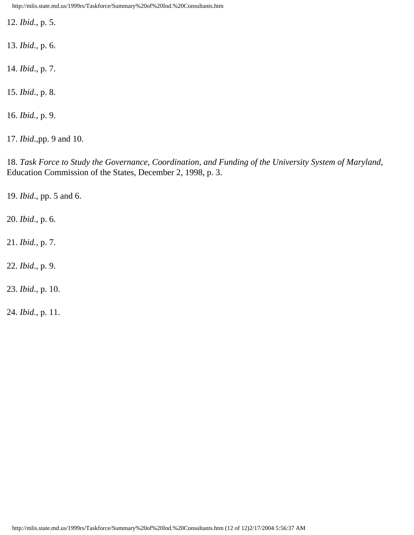http://mlis.state.md.us/1999rs/Taskforce/Summary%20of%20Ind.%20Consultants.htm

12. *Ibid.*, p. 5.

<span id="page-66-0"></span>13. *Ibid.*, p. 6.

<span id="page-66-1"></span>14. *Ibid*., p. 7.

<span id="page-66-2"></span>15. *Ibid*., p. 8.

<span id="page-66-3"></span>16. *Ibid.*, p. 9.

<span id="page-66-4"></span>17. *Ibid*.,pp. 9 and 10.

<span id="page-66-5"></span>18. *Task Force to Study the Governance, Coordination, and Funding of the University System of Maryland,* Education Commission of the States, December 2, 1998, p. 3.

<span id="page-66-6"></span>19. *Ibid*., pp. 5 and 6.

<span id="page-66-7"></span>20. *Ibid*., p. 6.

<span id="page-66-8"></span>21. *Ibid.*, p. 7.

<span id="page-66-9"></span>22. *Ibid*., p. 9.

<span id="page-66-10"></span>23. *Ibid*., p. 10.

<span id="page-66-11"></span>24. *Ibid.*, p. 11.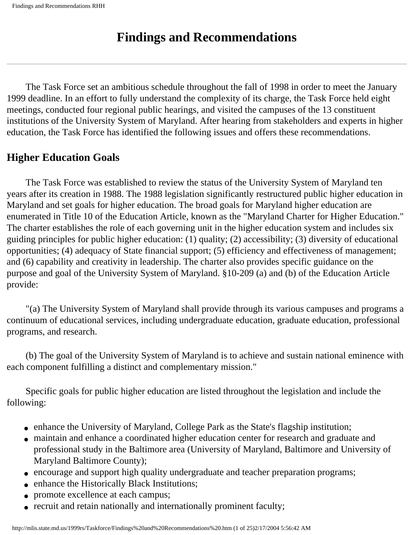# **Findings and Recommendations**

 The Task Force set an ambitious schedule throughout the fall of 1998 in order to meet the January 1999 deadline. In an effort to fully understand the complexity of its charge, the Task Force held eight meetings, conducted four regional public hearings, and visited the campuses of the 13 constituent institutions of the University System of Maryland. After hearing from stakeholders and experts in higher education, the Task Force has identified the following issues and offers these recommendations.

## **Higher Education Goals**

 The Task Force was established to review the status of the University System of Maryland ten years after its creation in 1988. The 1988 legislation significantly restructured public higher education in Maryland and set goals for higher education. The broad goals for Maryland higher education are enumerated in Title 10 of the Education Article, known as the "Maryland Charter for Higher Education." The charter establishes the role of each governing unit in the higher education system and includes six guiding principles for public higher education: (1) quality; (2) accessibility; (3) diversity of educational opportunities; (4) adequacy of State financial support; (5) efficiency and effectiveness of management; and (6) capability and creativity in leadership. The charter also provides specific guidance on the purpose and goal of the University System of Maryland. §10-209 (a) and (b) of the Education Article provide:

 "(a) The University System of Maryland shall provide through its various campuses and programs a continuum of educational services, including undergraduate education, graduate education, professional programs, and research.

 (b) The goal of the University System of Maryland is to achieve and sustain national eminence with each component fulfilling a distinct and complementary mission."

 Specific goals for public higher education are listed throughout the legislation and include the following:

- enhance the University of Maryland, College Park as the State's flagship institution;
- maintain and enhance a coordinated higher education center for research and graduate and professional study in the Baltimore area (University of Maryland, Baltimore and University of Maryland Baltimore County);
- encourage and support high quality undergraduate and teacher preparation programs;
- enhance the Historically Black Institutions;
- promote excellence at each campus;
- recruit and retain nationally and internationally prominent faculty;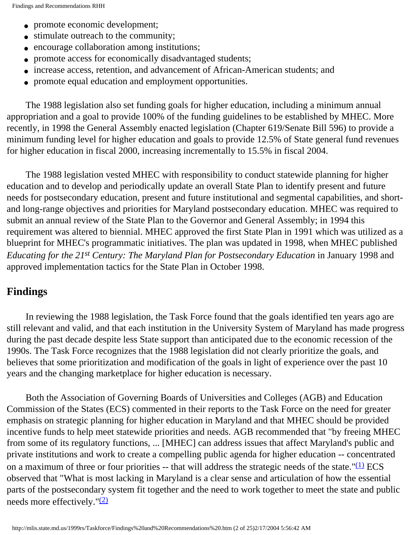- promote economic development;
- stimulate outreach to the community;
- encourage collaboration among institutions;
- promote access for economically disadvantaged students;
- increase access, retention, and advancement of African-American students; and
- promote equal education and employment opportunities.

 The 1988 legislation also set funding goals for higher education, including a minimum annual appropriation and a goal to provide 100% of the funding guidelines to be established by MHEC. More recently, in 1998 the General Assembly enacted legislation (Chapter 619/Senate Bill 596) to provide a minimum funding level for higher education and goals to provide 12.5% of State general fund revenues for higher education in fiscal 2000, increasing incrementally to 15.5% in fiscal 2004.

 The 1988 legislation vested MHEC with responsibility to conduct statewide planning for higher education and to develop and periodically update an overall State Plan to identify present and future needs for postsecondary education, present and future institutional and segmental capabilities, and shortand long-range objectives and priorities for Maryland postsecondary education. MHEC was required to submit an annual review of the State Plan to the Governor and General Assembly; in 1994 this requirement was altered to biennial. MHEC approved the first State Plan in 1991 which was utilized as a blueprint for MHEC's programmatic initiatives. The plan was updated in 1998, when MHEC published *Educating for the 21st Century: The Maryland Plan for Postsecondary Education* in January 1998 and approved implementation tactics for the State Plan in October 1998.

#### **Findings**

 In reviewing the 1988 legislation, the Task Force found that the goals identified ten years ago are still relevant and valid, and that each institution in the University System of Maryland has made progress during the past decade despite less State support than anticipated due to the economic recession of the 1990s. The Task Force recognizes that the 1988 legislation did not clearly prioritize the goals, and believes that some prioritization and modification of the goals in light of experience over the past 10 years and the changing marketplace for higher education is necessary.

 Both the Association of Governing Boards of Universities and Colleges (AGB) and Education Commission of the States (ECS) commented in their reports to the Task Force on the need for greater emphasis on strategic planning for higher education in Maryland and that MHEC should be provided incentive funds to help meet statewide priorities and needs. AGB recommended that "by freeing MHEC from some of its regulatory functions, ... [MHEC] can address issues that affect Maryland's public and private institutions and work to create a compelling public agenda for higher education -- concentrated on a maximum of three or four priorities -- that will address the strategic needs of the state." $(1)$  ECS observed that "What is most lacking in Maryland is a clear sense and articulation of how the essential parts of the postsecondary system fit together and the need to work together to meet the state and public needs more effectively."[\(2\)](#page-91-1)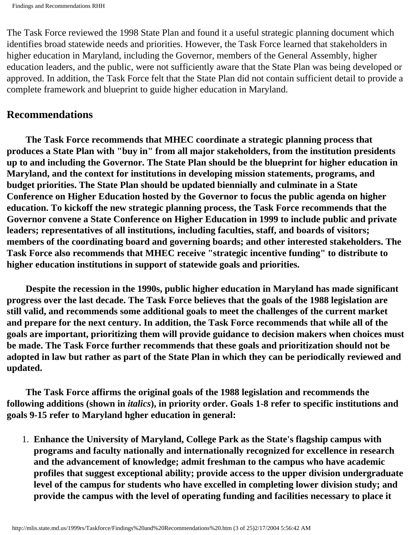The Task Force reviewed the 1998 State Plan and found it a useful strategic planning document which identifies broad statewide needs and priorities. However, the Task Force learned that stakeholders in higher education in Maryland, including the Governor, members of the General Assembly, higher education leaders, and the public, were not sufficiently aware that the State Plan was being developed or approved. In addition, the Task Force felt that the State Plan did not contain sufficient detail to provide a complete framework and blueprint to guide higher education in Maryland.

#### **Recommendations**

 **The Task Force recommends that MHEC coordinate a strategic planning process that produces a State Plan with "buy in" from all major stakeholders, from the institution presidents up to and including the Governor. The State Plan should be the blueprint for higher education in Maryland, and the context for institutions in developing mission statements, programs, and budget priorities. The State Plan should be updated biennially and culminate in a State Conference on Higher Education hosted by the Governor to focus the public agenda on higher education. To kickoff the new strategic planning process, the Task Force recommends that the Governor convene a State Conference on Higher Education in 1999 to include public and private leaders; representatives of all institutions, including faculties, staff, and boards of visitors; members of the coordinating board and governing boards; and other interested stakeholders. The Task Force also recommends that MHEC receive "strategic incentive funding" to distribute to higher education institutions in support of statewide goals and priorities.**

 **Despite the recession in the 1990s, public higher education in Maryland has made significant progress over the last decade. The Task Force believes that the goals of the 1988 legislation are still valid, and recommends some additional goals to meet the challenges of the current market and prepare for the next century. In addition, the Task Force recommends that while all of the goals are important, prioritizing them will provide guidance to decision makers when choices must be made. The Task Force further recommends that these goals and prioritization should not be adopted in law but rather as part of the State Plan in which they can be periodically reviewed and updated.** 

 **The Task Force affirms the original goals of the 1988 legislation and recommends the following additions (shown in** *italics***), in priority order. Goals 1-8 refer to specific institutions and goals 9-15 refer to Maryland hgher education in general:** 

1. **Enhance the University of Maryland, College Park as the State's flagship campus with programs and faculty nationally and internationally recognized for excellence in research and the advancement of knowledge; admit freshman to the campus who have academic profiles that suggest exceptional ability; provide access to the upper division undergraduate level of the campus for students who have excelled in completing lower division study; and provide the campus with the level of operating funding and facilities necessary to place it**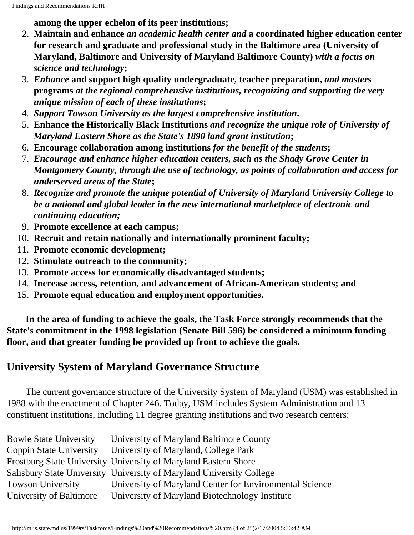**among the upper echelon of its peer institutions;**

- 2. **Maintain and enhance** *an academic health center and* **a coordinated higher education center for research and graduate and professional study in the Baltimore area (University of Maryland, Baltimore and University of Maryland Baltimore County)** *with a focus on science and technology***;**
- 3. *Enhance* **and support high quality undergraduate, teacher preparation,** *and masters* **programs** *at the regional comprehensive institutions, recognizing and supporting the very unique mission of each of these institutions***;**
- 4. *Support Towson University as the largest comprehensive institution***.**
- 5. **Enhance the Historically Black Institutions** *and recognize the unique role of University of Maryland Eastern Shore as the State's 1890 land grant institution***;**
- 6. **Encourage collaboration among institutions** *for the benefit of the students***;**
- 7. *Encourage and enhance higher education centers, such as the Shady Grove Center in Montgomery County, through the use of technology, as points of collaboration and access for underserved areas of the State***;**
- 8. *Recognize and promote the unique potential of University of Maryland University College to be a national and global leader in the new international marketplace of electronic and continuing education;*
- 9. **Promote excellence at each campus;**
- 10. **Recruit and retain nationally and internationally prominent faculty;**
- 11. **Promote economic development;**
- 12. **Stimulate outreach to the community;**
- 13. **Promote access for economically disadvantaged students;**
- 14. **Increase access, retention, and advancement of African-American students; and**
- 15. **Promote equal education and employment opportunities.**

 **In the area of funding to achieve the goals, the Task Force strongly recommends that the State's commitment in the 1998 legislation (Senate Bill 596) be considered a minimum funding floor, and that greater funding be provided up front to achieve the goals.** 

## **University System of Maryland Governance Structure**

 The current governance structure of the University System of Maryland (USM) was established in 1988 with the enactment of Chapter 246. Today, USM includes System Administration and 13 constituent institutions, including 11 degree granting institutions and two research centers:

| <b>Bowie State University</b> | University of Maryland Baltimore County                              |
|-------------------------------|----------------------------------------------------------------------|
| Coppin State University       | University of Maryland, College Park                                 |
|                               | Frostburg State University University of Maryland Eastern Shore      |
|                               | Salisbury State University University of Maryland University College |
| <b>Towson University</b>      | University of Maryland Center for Environmental Science              |
| University of Baltimore       | University of Maryland Biotechnology Institute                       |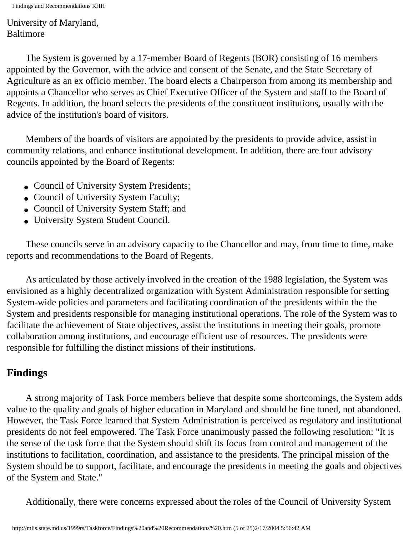Findings and Recommendations RHH

University of Maryland, Baltimore

 The System is governed by a 17-member Board of Regents (BOR) consisting of 16 members appointed by the Governor, with the advice and consent of the Senate, and the State Secretary of Agriculture as an ex officio member. The board elects a Chairperson from among its membership and appoints a Chancellor who serves as Chief Executive Officer of the System and staff to the Board of Regents. In addition, the board selects the presidents of the constituent institutions, usually with the advice of the institution's board of visitors.

 Members of the boards of visitors are appointed by the presidents to provide advice, assist in community relations, and enhance institutional development. In addition, there are four advisory councils appointed by the Board of Regents:

- Council of University System Presidents;
- Council of University System Faculty;
- Council of University System Staff; and
- University System Student Council.

 These councils serve in an advisory capacity to the Chancellor and may, from time to time, make reports and recommendations to the Board of Regents.

 As articulated by those actively involved in the creation of the 1988 legislation, the System was envisioned as a highly decentralized organization with System Administration responsible for setting System-wide policies and parameters and facilitating coordination of the presidents within the the System and presidents responsible for managing institutional operations. The role of the System was to facilitate the achievement of State objectives, assist the institutions in meeting their goals, promote collaboration among institutions, and encourage efficient use of resources. The presidents were responsible for fulfilling the distinct missions of their institutions.

# **Findings**

 A strong majority of Task Force members believe that despite some shortcomings, the System adds value to the quality and goals of higher education in Maryland and should be fine tuned, not abandoned. However, the Task Force learned that System Administration is perceived as regulatory and institutional presidents do not feel empowered. The Task Force unanimously passed the following resolution: "It is the sense of the task force that the System should shift its focus from control and management of the institutions to facilitation, coordination, and assistance to the presidents. The principal mission of the System should be to support, facilitate, and encourage the presidents in meeting the goals and objectives of the System and State."

Additionally, there were concerns expressed about the roles of the Council of University System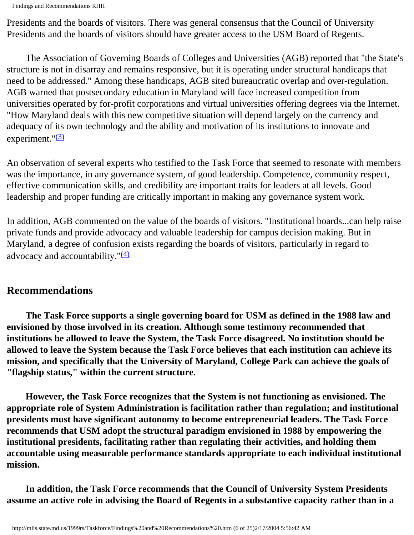Presidents and the boards of visitors. There was general consensus that the Council of University Presidents and the boards of visitors should have greater access to the USM Board of Regents.

 The Association of Governing Boards of Colleges and Universities (AGB) reported that "the State's structure is not in disarray and remains responsive, but it is operating under structural handicaps that need to be addressed." Among these handicaps, AGB sited bureaucratic overlap and over-regulation. AGB warned that postsecondary education in Maryland will face increased competition from universities operated by for-profit corporations and virtual universities offering degrees via the Internet. "How Maryland deals with this new competitive situation will depend largely on the currency and adequacy of its own technology and the ability and motivation of its institutions to innovate and experiment." $(3)$ 

An observation of several experts who testified to the Task Force that seemed to resonate with members was the importance, in any governance system, of good leadership. Competence, community respect, effective communication skills, and credibility are important traits for leaders at all levels. Good leadership and proper funding are critically important in making any governance system work.

In addition, AGB commented on the value of the boards of visitors. "Institutional boards...can help raise private funds and provide advocacy and valuable leadership for campus decision making. But in Maryland, a degree of confusion exists regarding the boards of visitors, particularly in regard to advocacy and accountability." $(4)$ 

#### **Recommendations**

 **The Task Force supports a single governing board for USM as defined in the 1988 law and envisioned by those involved in its creation. Although some testimony recommended that institutions be allowed to leave the System, the Task Force disagreed. No institution should be allowed to leave the System because the Task Force believes that each institution can achieve its mission, and specifically that the University of Maryland, College Park can achieve the goals of "flagship status," within the current structure.** 

 **However, the Task Force recognizes that the System is not functioning as envisioned. The appropriate role of System Administration is facilitation rather than regulation; and institutional presidents must have significant autonomy to become entrepreneurial leaders. The Task Force recommends that USM adopt the structural paradigm envisioned in 1988 by empowering the institutional presidents, facilitating rather than regulating their activities, and holding them accountable using measurable performance standards appropriate to each individual institutional mission.** 

 **In addition, the Task Force recommends that the Council of University System Presidents assume an active role in advising the Board of Regents in a substantive capacity rather than in a**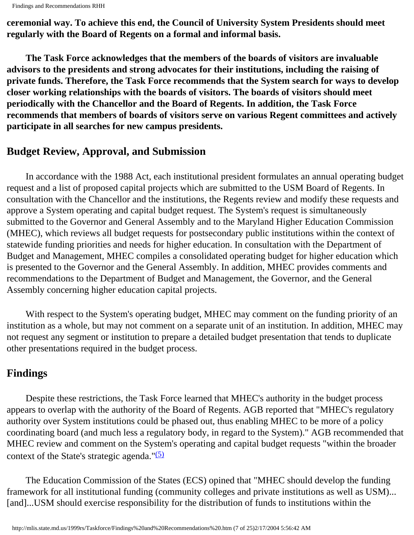**ceremonial way. To achieve this end, the Council of University System Presidents should meet regularly with the Board of Regents on a formal and informal basis.** 

 **The Task Force acknowledges that the members of the boards of visitors are invaluable advisors to the presidents and strong advocates for their institutions, including the raising of private funds. Therefore, the Task Force recommends that the System search for ways to develop closer working relationships with the boards of visitors. The boards of visitors should meet periodically with the Chancellor and the Board of Regents. In addition, the Task Force recommends that members of boards of visitors serve on various Regent committees and actively participate in all searches for new campus presidents.**

## **Budget Review, Approval, and Submission**

 In accordance with the 1988 Act, each institutional president formulates an annual operating budget request and a list of proposed capital projects which are submitted to the USM Board of Regents. In consultation with the Chancellor and the institutions, the Regents review and modify these requests and approve a System operating and capital budget request. The System's request is simultaneously submitted to the Governor and General Assembly and to the Maryland Higher Education Commission (MHEC), which reviews all budget requests for postsecondary public institutions within the context of statewide funding priorities and needs for higher education. In consultation with the Department of Budget and Management, MHEC compiles a consolidated operating budget for higher education which is presented to the Governor and the General Assembly. In addition, MHEC provides comments and recommendations to the Department of Budget and Management, the Governor, and the General Assembly concerning higher education capital projects.

 With respect to the System's operating budget, MHEC may comment on the funding priority of an institution as a whole, but may not comment on a separate unit of an institution. In addition, MHEC may not request any segment or institution to prepare a detailed budget presentation that tends to duplicate other presentations required in the budget process.

## **Findings**

 Despite these restrictions, the Task Force learned that MHEC's authority in the budget process appears to overlap with the authority of the Board of Regents. AGB reported that "MHEC's regulatory authority over System institutions could be phased out, thus enabling MHEC to be more of a policy coordinating board (and much less a regulatory body, in regard to the System)." AGB recommended that MHEC review and comment on the System's operating and capital budget requests "within the broader context of the State's strategic agenda." $(5)$ 

 The Education Commission of the States (ECS) opined that "MHEC should develop the funding framework for all institutional funding (community colleges and private institutions as well as USM)... [and]...USM should exercise responsibility for the distribution of funds to institutions within the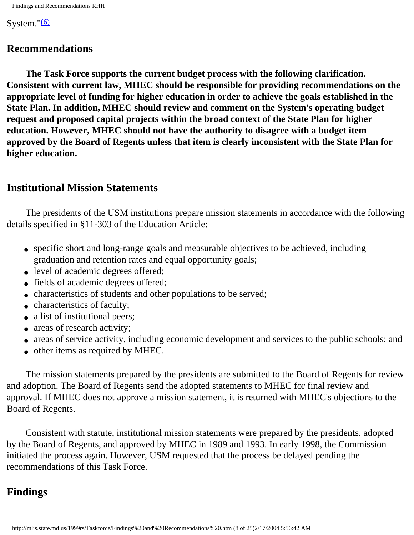System." $(6)$ 

#### **Recommendations**

 **The Task Force supports the current budget process with the following clarification. Consistent with current law, MHEC should be responsible for providing recommendations on the appropriate level of funding for higher education in order to achieve the goals established in the State Plan. In addition, MHEC should review and comment on the System's operating budget request and proposed capital projects within the broad context of the State Plan for higher education. However, MHEC should not have the authority to disagree with a budget item approved by the Board of Regents unless that item is clearly inconsistent with the State Plan for higher education.**

#### **Institutional Mission Statements**

 The presidents of the USM institutions prepare mission statements in accordance with the following details specified in §11-303 of the Education Article:

- specific short and long-range goals and measurable objectives to be achieved, including graduation and retention rates and equal opportunity goals;
- level of academic degrees offered;
- fields of academic degrees offered;
- characteristics of students and other populations to be served;
- characteristics of faculty;
- a list of institutional peers;
- areas of research activity;
- areas of service activity, including economic development and services to the public schools; and
- other items as required by MHEC.

 The mission statements prepared by the presidents are submitted to the Board of Regents for review and adoption. The Board of Regents send the adopted statements to MHEC for final review and approval. If MHEC does not approve a mission statement, it is returned with MHEC's objections to the Board of Regents.

 Consistent with statute, institutional mission statements were prepared by the presidents, adopted by the Board of Regents, and approved by MHEC in 1989 and 1993. In early 1998, the Commission initiated the process again. However, USM requested that the process be delayed pending the recommendations of this Task Force.

## **Findings**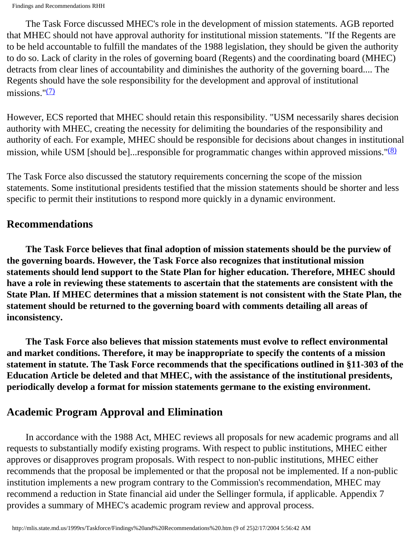The Task Force discussed MHEC's role in the development of mission statements. AGB reported that MHEC should not have approval authority for institutional mission statements. "If the Regents are to be held accountable to fulfill the mandates of the 1988 legislation, they should be given the authority to do so. Lack of clarity in the roles of governing board (Regents) and the coordinating board (MHEC) detracts from clear lines of accountability and diminishes the authority of the governing board.... The Regents should have the sole responsibility for the development and approval of institutional missions." $(7)$ 

However, ECS reported that MHEC should retain this responsibility. "USM necessarily shares decision authority with MHEC, creating the necessity for delimiting the boundaries of the responsibility and authority of each. For example, MHEC should be responsible for decisions about changes in institutional mission, while USM [should be]... responsible for programmatic changes within approved missions. " $(8)$ 

The Task Force also discussed the statutory requirements concerning the scope of the mission statements. Some institutional presidents testified that the mission statements should be shorter and less specific to permit their institutions to respond more quickly in a dynamic environment.

## **Recommendations**

 **The Task Force believes that final adoption of mission statements should be the purview of the governing boards. However, the Task Force also recognizes that institutional mission statements should lend support to the State Plan for higher education. Therefore, MHEC should have a role in reviewing these statements to ascertain that the statements are consistent with the State Plan. If MHEC determines that a mission statement is not consistent with the State Plan, the statement should be returned to the governing board with comments detailing all areas of inconsistency.**

 **The Task Force also believes that mission statements must evolve to reflect environmental and market conditions. Therefore, it may be inappropriate to specify the contents of a mission statement in statute. The Task Force recommends that the specifications outlined in §11-303 of the Education Article be deleted and that MHEC, with the assistance of the institutional presidents, periodically develop a format for mission statements germane to the existing environment.** 

## **Academic Program Approval and Elimination**

 In accordance with the 1988 Act, MHEC reviews all proposals for new academic programs and all requests to substantially modify existing programs. With respect to public institutions, MHEC either approves or disapproves program proposals. With respect to non-public institutions, MHEC either recommends that the proposal be implemented or that the proposal not be implemented. If a non-public institution implements a new program contrary to the Commission's recommendation, MHEC may recommend a reduction in State financial aid under the Sellinger formula, if applicable. Appendix 7 provides a summary of MHEC's academic program review and approval process.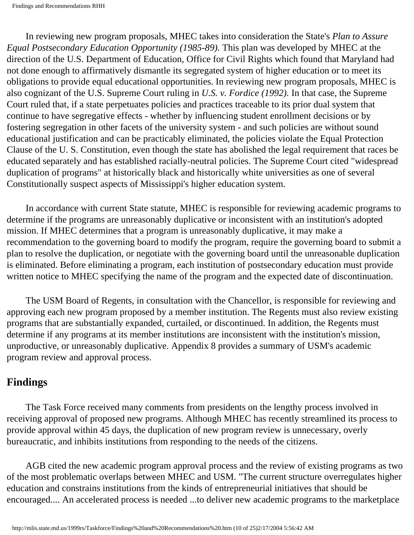In reviewing new program proposals, MHEC takes into consideration the State's *Plan to Assure Equal Postsecondary Education Opportunity (1985-89).* This plan was developed by MHEC at the direction of the U.S. Department of Education, Office for Civil Rights which found that Maryland had not done enough to affirmatively dismantle its segregated system of higher education or to meet its obligations to provide equal educational opportunities. In reviewing new program proposals, MHEC is also cognizant of the U.S. Supreme Court ruling in *U.S. v. Fordice (1992).* In that case, the Supreme Court ruled that, if a state perpetuates policies and practices traceable to its prior dual system that continue to have segregative effects - whether by influencing student enrollment decisions or by fostering segregation in other facets of the university system - and such policies are without sound educational justification and can be practicably eliminated, the policies violate the Equal Protection Clause of the U. S. Constitution, even though the state has abolished the legal requirement that races be educated separately and has established racially-neutral policies. The Supreme Court cited "widespread duplication of programs" at historically black and historically white universities as one of several Constitutionally suspect aspects of Mississippi's higher education system.

 In accordance with current State statute, MHEC is responsible for reviewing academic programs to determine if the programs are unreasonably duplicative or inconsistent with an institution's adopted mission. If MHEC determines that a program is unreasonably duplicative, it may make a recommendation to the governing board to modify the program, require the governing board to submit a plan to resolve the duplication, or negotiate with the governing board until the unreasonable duplication is eliminated. Before eliminating a program, each institution of postsecondary education must provide written notice to MHEC specifying the name of the program and the expected date of discontinuation.

 The USM Board of Regents, in consultation with the Chancellor, is responsible for reviewing and approving each new program proposed by a member institution. The Regents must also review existing programs that are substantially expanded, curtailed, or discontinued. In addition, the Regents must determine if any programs at its member institutions are inconsistent with the institution's mission, unproductive, or unreasonably duplicative. Appendix 8 provides a summary of USM's academic program review and approval process.

## **Findings**

 The Task Force received many comments from presidents on the lengthy process involved in receiving approval of proposed new programs. Although MHEC has recently streamlined its process to provide approval within 45 days, the duplication of new program review is unnecessary, overly bureaucratic, and inhibits institutions from responding to the needs of the citizens.

 AGB cited the new academic program approval process and the review of existing programs as two of the most problematic overlaps between MHEC and USM. "The current structure overregulates higher education and constrains institutions from the kinds of entrepreneurial initiatives that should be encouraged.... An accelerated process is needed ...to deliver new academic programs to the marketplace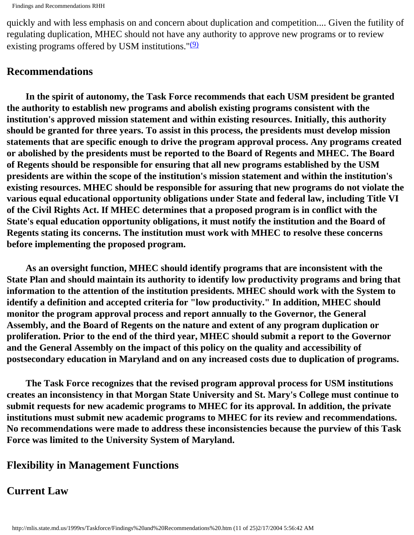quickly and with less emphasis on and concern about duplication and competition.... Given the futility of regulating duplication, MHEC should not have any authority to approve new programs or to review existing programs offered by USM institutions." $(9)$ 

### **Recommendations**

 **In the spirit of autonomy, the Task Force recommends that each USM president be granted the authority to establish new programs and abolish existing programs consistent with the institution's approved mission statement and within existing resources. Initially, this authority should be granted for three years. To assist in this process, the presidents must develop mission statements that are specific enough to drive the program approval process. Any programs created or abolished by the presidents must be reported to the Board of Regents and MHEC. The Board of Regents should be responsible for ensuring that all new programs established by the USM presidents are within the scope of the institution's mission statement and within the institution's existing resources. MHEC should be responsible for assuring that new programs do not violate the various equal educational opportunity obligations under State and federal law, including Title VI of the Civil Rights Act. If MHEC determines that a proposed program is in conflict with the State's equal education opportunity obligations, it must notify the institution and the Board of Regents stating its concerns. The institution must work with MHEC to resolve these concerns before implementing the proposed program.** 

 **As an oversight function, MHEC should identify programs that are inconsistent with the State Plan and should maintain its authority to identify low productivity programs and bring that information to the attention of the institution presidents. MHEC should work with the System to identify a definition and accepted criteria for "low productivity." In addition, MHEC should monitor the program approval process and report annually to the Governor, the General Assembly, and the Board of Regents on the nature and extent of any program duplication or proliferation. Prior to the end of the third year, MHEC should submit a report to the Governor and the General Assembly on the impact of this policy on the quality and accessibility of postsecondary education in Maryland and on any increased costs due to duplication of programs.** 

 **The Task Force recognizes that the revised program approval process for USM institutions creates an inconsistency in that Morgan State University and St. Mary's College must continue to submit requests for new academic programs to MHEC for its approval. In addition, the private institutions must submit new academic programs to MHEC for its review and recommendations. No recommendations were made to address these inconsistencies because the purview of this Task Force was limited to the University System of Maryland.**

## **Flexibility in Management Functions**

#### **Current Law**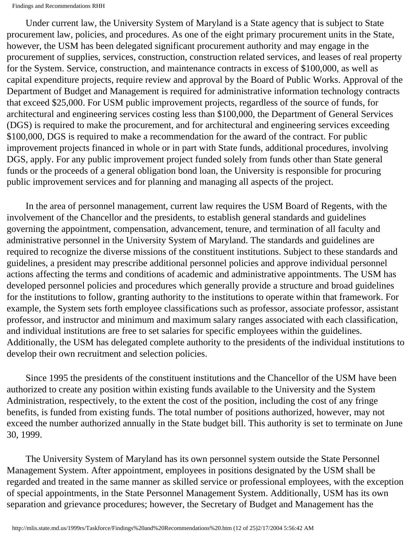Under current law, the University System of Maryland is a State agency that is subject to State procurement law, policies, and procedures. As one of the eight primary procurement units in the State, however, the USM has been delegated significant procurement authority and may engage in the procurement of supplies, services, construction, construction related services, and leases of real property for the System. Service, construction, and maintenance contracts in excess of \$100,000, as well as capital expenditure projects, require review and approval by the Board of Public Works. Approval of the Department of Budget and Management is required for administrative information technology contracts that exceed \$25,000. For USM public improvement projects, regardless of the source of funds, for architectural and engineering services costing less than \$100,000, the Department of General Services (DGS) is required to make the procurement, and for architectural and engineering services exceeding \$100,000, DGS is required to make a recommendation for the award of the contract. For public improvement projects financed in whole or in part with State funds, additional procedures, involving DGS, apply. For any public improvement project funded solely from funds other than State general funds or the proceeds of a general obligation bond loan, the University is responsible for procuring public improvement services and for planning and managing all aspects of the project.

 In the area of personnel management, current law requires the USM Board of Regents, with the involvement of the Chancellor and the presidents, to establish general standards and guidelines governing the appointment, compensation, advancement, tenure, and termination of all faculty and administrative personnel in the University System of Maryland. The standards and guidelines are required to recognize the diverse missions of the constituent institutions. Subject to these standards and guidelines, a president may prescribe additional personnel policies and approve individual personnel actions affecting the terms and conditions of academic and administrative appointments. The USM has developed personnel policies and procedures which generally provide a structure and broad guidelines for the institutions to follow, granting authority to the institutions to operate within that framework. For example, the System sets forth employee classifications such as professor, associate professor, assistant professor, and instructor and minimum and maximum salary ranges associated with each classification, and individual institutions are free to set salaries for specific employees within the guidelines. Additionally, the USM has delegated complete authority to the presidents of the individual institutions to develop their own recruitment and selection policies.

 Since 1995 the presidents of the constituent institutions and the Chancellor of the USM have been authorized to create any position within existing funds available to the University and the System Administration, respectively, to the extent the cost of the position, including the cost of any fringe benefits, is funded from existing funds. The total number of positions authorized, however, may not exceed the number authorized annually in the State budget bill. This authority is set to terminate on June 30, 1999.

 The University System of Maryland has its own personnel system outside the State Personnel Management System. After appointment, employees in positions designated by the USM shall be regarded and treated in the same manner as skilled service or professional employees, with the exception of special appointments, in the State Personnel Management System. Additionally, USM has its own separation and grievance procedures; however, the Secretary of Budget and Management has the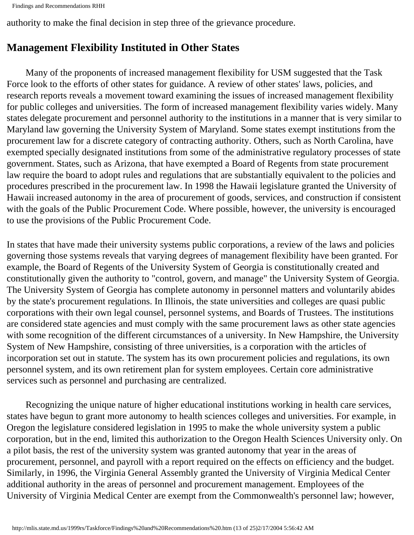```
Findings and Recommendations RHH
```
authority to make the final decision in step three of the grievance procedure.

## **Management Flexibility Instituted in Other States**

 Many of the proponents of increased management flexibility for USM suggested that the Task Force look to the efforts of other states for guidance. A review of other states' laws, policies, and research reports reveals a movement toward examining the issues of increased management flexibility for public colleges and universities. The form of increased management flexibility varies widely. Many states delegate procurement and personnel authority to the institutions in a manner that is very similar to Maryland law governing the University System of Maryland. Some states exempt institutions from the procurement law for a discrete category of contracting authority. Others, such as North Carolina, have exempted specially designated institutions from some of the administrative regulatory processes of state government. States, such as Arizona, that have exempted a Board of Regents from state procurement law require the board to adopt rules and regulations that are substantially equivalent to the policies and procedures prescribed in the procurement law. In 1998 the Hawaii legislature granted the University of Hawaii increased autonomy in the area of procurement of goods, services, and construction if consistent with the goals of the Public Procurement Code. Where possible, however, the university is encouraged to use the provisions of the Public Procurement Code.

In states that have made their university systems public corporations, a review of the laws and policies governing those systems reveals that varying degrees of management flexibility have been granted. For example, the Board of Regents of the University System of Georgia is constitutionally created and constitutionally given the authority to "control, govern, and manage" the University System of Georgia. The University System of Georgia has complete autonomy in personnel matters and voluntarily abides by the state's procurement regulations. In Illinois, the state universities and colleges are quasi public corporations with their own legal counsel, personnel systems, and Boards of Trustees. The institutions are considered state agencies and must comply with the same procurement laws as other state agencies with some recognition of the different circumstances of a university. In New Hampshire, the University System of New Hampshire, consisting of three universities, is a corporation with the articles of incorporation set out in statute. The system has its own procurement policies and regulations, its own personnel system, and its own retirement plan for system employees. Certain core administrative services such as personnel and purchasing are centralized.

 Recognizing the unique nature of higher educational institutions working in health care services, states have begun to grant more autonomy to health sciences colleges and universities. For example, in Oregon the legislature considered legislation in 1995 to make the whole university system a public corporation, but in the end, limited this authorization to the Oregon Health Sciences University only. On a pilot basis, the rest of the university system was granted autonomy that year in the areas of procurement, personnel, and payroll with a report required on the effects on efficiency and the budget. Similarly, in 1996, the Virginia General Assembly granted the University of Virginia Medical Center additional authority in the areas of personnel and procurement management. Employees of the University of Virginia Medical Center are exempt from the Commonwealth's personnel law; however,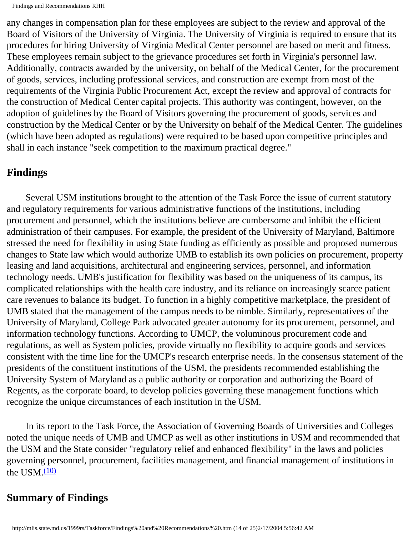any changes in compensation plan for these employees are subject to the review and approval of the Board of Visitors of the University of Virginia. The University of Virginia is required to ensure that its procedures for hiring University of Virginia Medical Center personnel are based on merit and fitness. These employees remain subject to the grievance procedures set forth in Virginia's personnel law. Additionally, contracts awarded by the university, on behalf of the Medical Center, for the procurement of goods, services, including professional services, and construction are exempt from most of the requirements of the Virginia Public Procurement Act, except the review and approval of contracts for the construction of Medical Center capital projects. This authority was contingent, however, on the adoption of guidelines by the Board of Visitors governing the procurement of goods, services and construction by the Medical Center or by the University on behalf of the Medical Center. The guidelines (which have been adopted as regulations) were required to be based upon competitive principles and shall in each instance "seek competition to the maximum practical degree."

## **Findings**

 Several USM institutions brought to the attention of the Task Force the issue of current statutory and regulatory requirements for various administrative functions of the institutions, including procurement and personnel, which the institutions believe are cumbersome and inhibit the efficient administration of their campuses. For example, the president of the University of Maryland, Baltimore stressed the need for flexibility in using State funding as efficiently as possible and proposed numerous changes to State law which would authorize UMB to establish its own policies on procurement, property leasing and land acquisitions, architectural and engineering services, personnel, and information technology needs. UMB's justification for flexibility was based on the uniqueness of its campus, its complicated relationships with the health care industry, and its reliance on increasingly scarce patient care revenues to balance its budget. To function in a highly competitive marketplace, the president of UMB stated that the management of the campus needs to be nimble. Similarly, representatives of the University of Maryland, College Park advocated greater autonomy for its procurement, personnel, and information technology functions. According to UMCP, the voluminous procurement code and regulations, as well as System policies, provide virtually no flexibility to acquire goods and services consistent with the time line for the UMCP's research enterprise needs. In the consensus statement of the presidents of the constituent institutions of the USM, the presidents recommended establishing the University System of Maryland as a public authority or corporation and authorizing the Board of Regents, as the corporate board, to develop policies governing these management functions which recognize the unique circumstances of each institution in the USM.

 In its report to the Task Force, the Association of Governing Boards of Universities and Colleges noted the unique needs of UMB and UMCP as well as other institutions in USM and recommended that the USM and the State consider "regulatory relief and enhanced flexibility" in the laws and policies governing personnel, procurement, facilities management, and financial management of institutions in the USM. $(10)$ 

## **Summary of Findings**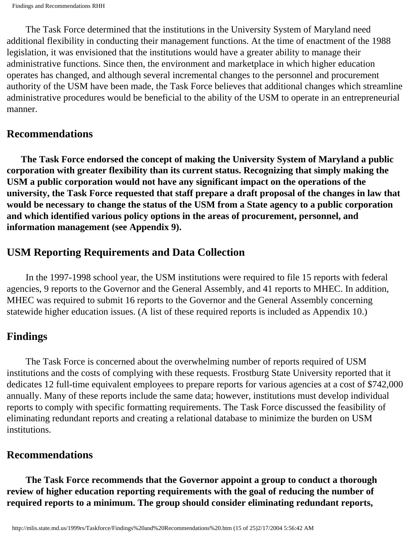The Task Force determined that the institutions in the University System of Maryland need additional flexibility in conducting their management functions. At the time of enactment of the 1988 legislation, it was envisioned that the institutions would have a greater ability to manage their administrative functions. Since then, the environment and marketplace in which higher education operates has changed, and although several incremental changes to the personnel and procurement authority of the USM have been made, the Task Force believes that additional changes which streamline administrative procedures would be beneficial to the ability of the USM to operate in an entrepreneurial manner.

#### **Recommendations**

 **The Task Force endorsed the concept of making the University System of Maryland a public corporation with greater flexibility than its current status. Recognizing that simply making the USM a public corporation would not have any significant impact on the operations of the university, the Task Force requested that staff prepare a draft proposal of the changes in law that would be necessary to change the status of the USM from a State agency to a public corporation and which identified various policy options in the areas of procurement, personnel, and information management (see Appendix 9).** 

## **USM Reporting Requirements and Data Collection**

 In the 1997-1998 school year, the USM institutions were required to file 15 reports with federal agencies, 9 reports to the Governor and the General Assembly, and 41 reports to MHEC. In addition, MHEC was required to submit 16 reports to the Governor and the General Assembly concerning statewide higher education issues. (A list of these required reports is included as Appendix 10.)

#### **Findings**

 The Task Force is concerned about the overwhelming number of reports required of USM institutions and the costs of complying with these requests. Frostburg State University reported that it dedicates 12 full-time equivalent employees to prepare reports for various agencies at a cost of \$742,000 annually. Many of these reports include the same data; however, institutions must develop individual reports to comply with specific formatting requirements. The Task Force discussed the feasibility of eliminating redundant reports and creating a relational database to minimize the burden on USM institutions.

## **Recommendations**

 **The Task Force recommends that the Governor appoint a group to conduct a thorough review of higher education reporting requirements with the goal of reducing the number of required reports to a minimum. The group should consider eliminating redundant reports,**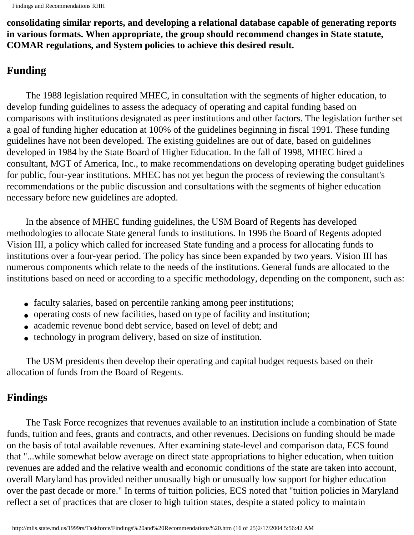**consolidating similar reports, and developing a relational database capable of generating reports in various formats. When appropriate, the group should recommend changes in State statute, COMAR regulations, and System policies to achieve this desired result.** 

## **Funding**

 The 1988 legislation required MHEC, in consultation with the segments of higher education, to develop funding guidelines to assess the adequacy of operating and capital funding based on comparisons with institutions designated as peer institutions and other factors. The legislation further set a goal of funding higher education at 100% of the guidelines beginning in fiscal 1991. These funding guidelines have not been developed. The existing guidelines are out of date, based on guidelines developed in 1984 by the State Board of Higher Education. In the fall of 1998, MHEC hired a consultant, MGT of America, Inc., to make recommendations on developing operating budget guidelines for public, four-year institutions. MHEC has not yet begun the process of reviewing the consultant's recommendations or the public discussion and consultations with the segments of higher education necessary before new guidelines are adopted.

 In the absence of MHEC funding guidelines, the USM Board of Regents has developed methodologies to allocate State general funds to institutions. In 1996 the Board of Regents adopted Vision III, a policy which called for increased State funding and a process for allocating funds to institutions over a four-year period. The policy has since been expanded by two years. Vision III has numerous components which relate to the needs of the institutions. General funds are allocated to the institutions based on need or according to a specific methodology, depending on the component, such as:

- faculty salaries, based on percentile ranking among peer institutions;
- operating costs of new facilities, based on type of facility and institution;
- academic revenue bond debt service, based on level of debt; and
- technology in program delivery, based on size of institution.

 The USM presidents then develop their operating and capital budget requests based on their allocation of funds from the Board of Regents.

#### **Findings**

 The Task Force recognizes that revenues available to an institution include a combination of State funds, tuition and fees, grants and contracts, and other revenues. Decisions on funding should be made on the basis of total available revenues. After examining state-level and comparison data, ECS found that "...while somewhat below average on direct state appropriations to higher education, when tuition revenues are added and the relative wealth and economic conditions of the state are taken into account, overall Maryland has provided neither unusually high or unusually low support for higher education over the past decade or more." In terms of tuition policies, ECS noted that "tuition policies in Maryland reflect a set of practices that are closer to high tuition states, despite a stated policy to maintain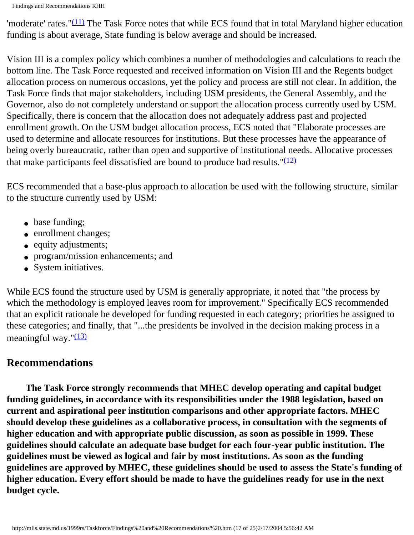'moderate' rates." $(11)$  The Task Force notes that while ECS found that in total Maryland higher education funding is about average, State funding is below average and should be increased.

Vision III is a complex policy which combines a number of methodologies and calculations to reach the bottom line. The Task Force requested and received information on Vision III and the Regents budget allocation process on numerous occasions, yet the policy and process are still not clear. In addition, the Task Force finds that major stakeholders, including USM presidents, the General Assembly, and the Governor, also do not completely understand or support the allocation process currently used by USM. Specifically, there is concern that the allocation does not adequately address past and projected enrollment growth. On the USM budget allocation process, ECS noted that "Elaborate processes are used to determine and allocate resources for institutions. But these processes have the appearance of being overly bureaucratic, rather than open and supportive of institutional needs. Allocative processes that make participants feel dissatisfied are bound to produce bad results.  $\frac{(12)}{2}$  $\frac{(12)}{2}$  $\frac{(12)}{2}$ 

ECS recommended that a base-plus approach to allocation be used with the following structure, similar to the structure currently used by USM:

- base funding;
- enrollment changes;
- equity adjustments;
- program/mission enhancements; and
- System initiatives.

While ECS found the structure used by USM is generally appropriate, it noted that "the process by which the methodology is employed leaves room for improvement." Specifically ECS recommended that an explicit rationale be developed for funding requested in each category; priorities be assigned to these categories; and finally, that "...the presidents be involved in the decision making process in a meaningful way." $(13)$ 

## **Recommendations**

 **The Task Force strongly recommends that MHEC develop operating and capital budget funding guidelines, in accordance with its responsibilities under the 1988 legislation, based on current and aspirational peer institution comparisons and other appropriate factors. MHEC should develop these guidelines as a collaborative process, in consultation with the segments of higher education and with appropriate public discussion, as soon as possible in 1999. These guidelines should calculate an adequate base budget for each four-year public institution. The guidelines must be viewed as logical and fair by most institutions. As soon as the funding guidelines are approved by MHEC, these guidelines should be used to assess the State's funding of higher education. Every effort should be made to have the guidelines ready for use in the next budget cycle.**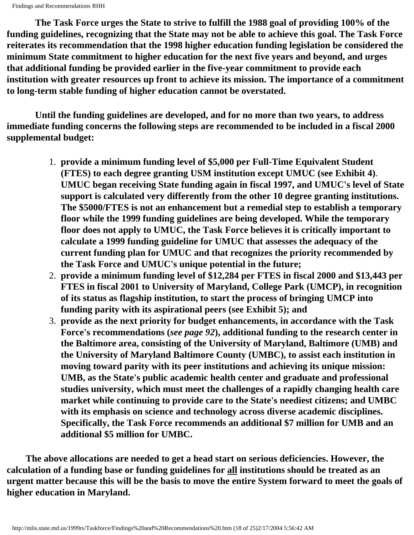**The Task Force urges the State to strive to fulfill the 1988 goal of providing 100% of the funding guidelines, recognizing that the State may not be able to achieve this goal. The Task Force reiterates its recommendation that the 1998 higher education funding legislation be considered the minimum State commitment to higher education for the next five years and beyond, and urges that additional funding be provided earlier in the five-year commitment to provide each institution with greater resources up front to achieve its mission. The importance of a commitment to long-term stable funding of higher education cannot be overstated.** 

 **Until the funding guidelines are developed, and for no more than two years, to address immediate funding concerns the following steps are recommended to be included in a fiscal 2000 supplemental budget:**

- 1. **provide a minimum funding level of \$5,000 per Full-Time Equivalent Student (FTES) to each degree granting USM institution except UMUC (see Exhibit 4)**. **UMUC began receiving State funding again in fiscal 1997, and UMUC's level of State support is calculated very differently from the other 10 degree granting institutions. The \$5000/FTES is not an enhancement but a remedial step to establish a temporary floor while the 1999 funding guidelines are being developed. While the temporary floor does not apply to UMUC, the Task Force believes it is critically important to calculate a 1999 funding guideline for UMUC that assesses the adequacy of the current funding plan for UMUC and that recognizes the priority recommended by the Task Force and UMUC's unique potential in the future;**
- 2. **provide a minimum funding level of \$12,284 per FTES in fiscal 2000 and \$13,443 per FTES in fiscal 2001 to University of Maryland, College Park (UMCP), in recognition of its status as flagship institution, to start the process of bringing UMCP into funding parity with its aspirational peers (see Exhibit 5); and**
- 3. **provide as the next priority for budget enhancements, in accordance with the Task Force's recommendations (***see page 92***), additional funding to the research center in the Baltimore area, consisting of the University of Maryland, Baltimore (UMB) and the University of Maryland Baltimore County (UMBC), to assist each institution in moving toward parity with its peer institutions and achieving its unique mission: UMB, as the State's public academic health center and graduate and professional studies university, which must meet the challenges of a rapidly changing health care market while continuing to provide care to the State's neediest citizens; and UMBC with its emphasis on science and technology across diverse academic disciplines. Specifically, the Task Force recommends an additional \$7 million for UMB and an additional \$5 million for UMBC.**

 **The above allocations are needed to get a head start on serious deficiencies. However, the calculation of a funding base or funding guidelines for all institutions should be treated as an urgent matter because this will be the basis to move the entire System forward to meet the goals of higher education in Maryland.**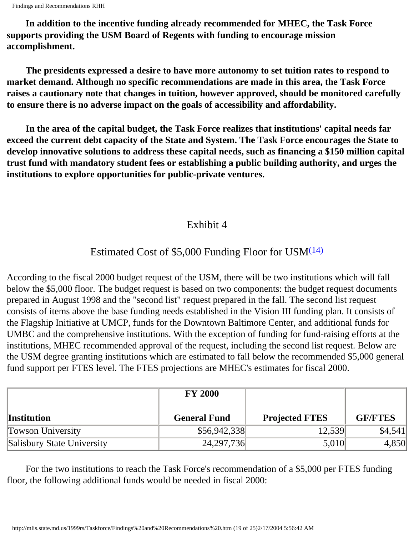```
Findings and Recommendations RHH
```
 **In addition to the incentive funding already recommended for MHEC, the Task Force supports providing the USM Board of Regents with funding to encourage mission accomplishment.** 

 **The presidents expressed a desire to have more autonomy to set tuition rates to respond to market demand. Although no specific recommendations are made in this area, the Task Force raises a cautionary note that changes in tuition, however approved, should be monitored carefully to ensure there is no adverse impact on the goals of accessibility and affordability.**

 **In the area of the capital budget, the Task Force realizes that institutions' capital needs far exceed the current debt capacity of the State and System. The Task Force encourages the State to develop innovative solutions to address these capital needs, such as financing a \$150 million capital trust fund with mandatory student fees or establishing a public building authority, and urges the institutions to explore opportunities for public-private ventures.** 

## Exhibit 4

## Estimated Cost of \$5,000 Funding Floor for USM $(14)$

According to the fiscal 2000 budget request of the USM, there will be two institutions which will fall below the \$5,000 floor. The budget request is based on two components: the budget request documents prepared in August 1998 and the "second list" request prepared in the fall. The second list request consists of items above the base funding needs established in the Vision III funding plan. It consists of the Flagship Initiative at UMCP, funds for the Downtown Baltimore Center, and additional funds for UMBC and the comprehensive institutions. With the exception of funding for fund-raising efforts at the institutions, MHEC recommended approval of the request, including the second list request. Below are the USM degree granting institutions which are estimated to fall below the recommended \$5,000 general fund support per FTES level. The FTES projections are MHEC's estimates for fiscal 2000.

|                            | <b>FY 2000</b>      |                       |                |
|----------------------------|---------------------|-----------------------|----------------|
| <b>Institution</b>         | <b>General Fund</b> | <b>Projected FTES</b> | <b>GF/FTES</b> |
| <b>Towson University</b>   | \$56,942,338        | 12,539                | \$4,541        |
| Salisbury State University | 24, 297, 736        | 5,010                 | 4,850          |

 For the two institutions to reach the Task Force's recommendation of a \$5,000 per FTES funding floor, the following additional funds would be needed in fiscal 2000: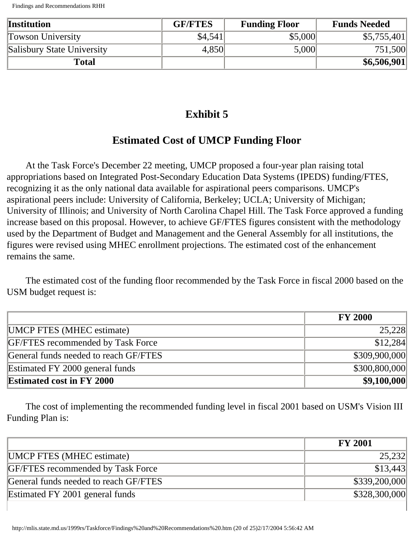| <b>Institution</b>         | <b>GF/FTES</b> | <b>Funding Floor</b> | <b>Funds Needed</b> |
|----------------------------|----------------|----------------------|---------------------|
| <b>Towson University</b>   | \$4,541        | \$5,000              | \$5,755,401         |
| Salisbury State University | 4,850          | 5,000                | 751,500             |
| Total                      |                |                      | \$6,506,901         |

## **Exhibit 5**

## **Estimated Cost of UMCP Funding Floor**

 At the Task Force's December 22 meeting, UMCP proposed a four-year plan raising total appropriations based on Integrated Post-Secondary Education Data Systems (IPEDS) funding/FTES, recognizing it as the only national data available for aspirational peers comparisons. UMCP's aspirational peers include: University of California, Berkeley; UCLA; University of Michigan; University of Illinois; and University of North Carolina Chapel Hill. The Task Force approved a funding increase based on this proposal. However, to achieve GF/FTES figures consistent with the methodology used by the Department of Budget and Management and the General Assembly for all institutions, the figures were revised using MHEC enrollment projections. The estimated cost of the enhancement remains the same.

 The estimated cost of the funding floor recommended by the Task Force in fiscal 2000 based on the USM budget request is:

|                                          | <b>FY 2000</b> |
|------------------------------------------|----------------|
| <b>UMCP FTES (MHEC estimate)</b>         | 25,228         |
| <b>GF/FTES</b> recommended by Task Force | \$12,284       |
| General funds needed to reach GF/FTES    | \$309,900,000  |
| Estimated FY 2000 general funds          | \$300,800,000  |
| <b>Estimated cost in FY 2000</b>         | \$9,100,000    |

 The cost of implementing the recommended funding level in fiscal 2001 based on USM's Vision III Funding Plan is:

|                                          | <b>FY 2001</b> |
|------------------------------------------|----------------|
| <b>UMCP FTES (MHEC estimate)</b>         | 25,232         |
| <b>GF/FTES</b> recommended by Task Force | \$13,443       |
| General funds needed to reach GF/FTES    | \$339,200,000  |
| Estimated FY 2001 general funds          | \$328,300,000  |

 $\overline{1}$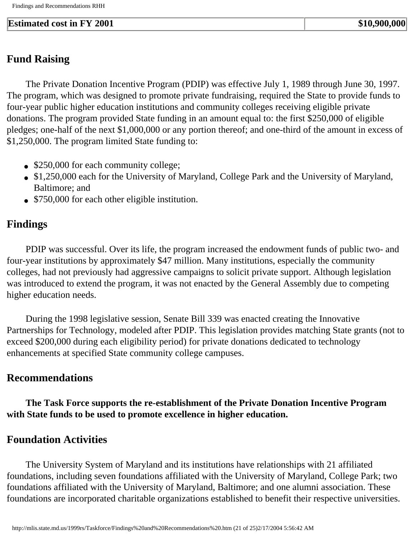#### **Estimated cost in FY 2001 \$10,900,000 \$10,900,000**

## **Fund Raising**

 The Private Donation Incentive Program (PDIP) was effective July 1, 1989 through June 30, 1997. The program, which was designed to promote private fundraising, required the State to provide funds to four-year public higher education institutions and community colleges receiving eligible private donations. The program provided State funding in an amount equal to: the first \$250,000 of eligible pledges; one-half of the next \$1,000,000 or any portion thereof; and one-third of the amount in excess of \$1,250,000. The program limited State funding to:

- \$250,000 for each community college;
- \$1,250,000 each for the University of Maryland, College Park and the University of Maryland, Baltimore; and
- \$750,000 for each other eligible institution.

## **Findings**

 PDIP was successful. Over its life, the program increased the endowment funds of public two- and four-year institutions by approximately \$47 million. Many institutions, especially the community colleges, had not previously had aggressive campaigns to solicit private support. Although legislation was introduced to extend the program, it was not enacted by the General Assembly due to competing higher education needs.

 During the 1998 legislative session, Senate Bill 339 was enacted creating the Innovative Partnerships for Technology, modeled after PDIP. This legislation provides matching State grants (not to exceed \$200,000 during each eligibility period) for private donations dedicated to technology enhancements at specified State community college campuses.

## **Recommendations**

 **The Task Force supports the re-establishment of the Private Donation Incentive Program with State funds to be used to promote excellence in higher education.** 

#### **Foundation Activities**

 The University System of Maryland and its institutions have relationships with 21 affiliated foundations, including seven foundations affiliated with the University of Maryland, College Park; two foundations affiliated with the University of Maryland, Baltimore; and one alumni association. These foundations are incorporated charitable organizations established to benefit their respective universities.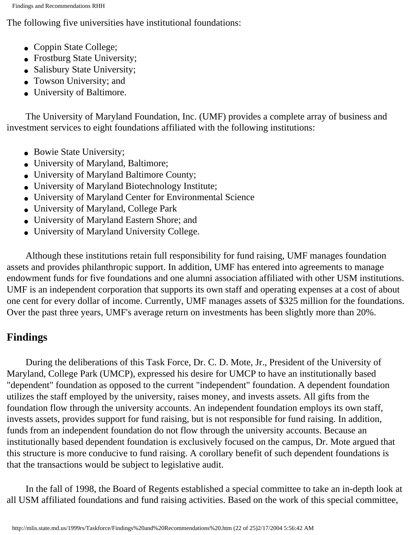The following five universities have institutional foundations:

- Coppin State College;
- Frostburg State University;
- Salisbury State University;
- Towson University; and
- University of Baltimore.

 The University of Maryland Foundation, Inc. (UMF) provides a complete array of business and investment services to eight foundations affiliated with the following institutions:

- Bowie State University;
- University of Maryland, Baltimore;
- University of Maryland Baltimore County;
- University of Maryland Biotechnology Institute;
- University of Maryland Center for Environmental Science
- University of Maryland, College Park
- University of Maryland Eastern Shore; and
- University of Maryland University College.

 Although these institutions retain full responsibility for fund raising, UMF manages foundation assets and provides philanthropic support. In addition, UMF has entered into agreements to manage endowment funds for five foundations and one alumni association affiliated with other USM institutions. UMF is an independent corporation that supports its own staff and operating expenses at a cost of about one cent for every dollar of income. Currently, UMF manages assets of \$325 million for the foundations. Over the past three years, UMF's average return on investments has been slightly more than 20%.

## **Findings**

 During the deliberations of this Task Force, Dr. C. D. Mote, Jr., President of the University of Maryland, College Park (UMCP), expressed his desire for UMCP to have an institutionally based "dependent" foundation as opposed to the current "independent" foundation. A dependent foundation utilizes the staff employed by the university, raises money, and invests assets. All gifts from the foundation flow through the university accounts. An independent foundation employs its own staff, invests assets, provides support for fund raising, but is not responsible for fund raising. In addition, funds from an independent foundation do not flow through the university accounts. Because an institutionally based dependent foundation is exclusively focused on the campus, Dr. Mote argued that this structure is more conducive to fund raising. A corollary benefit of such dependent foundations is that the transactions would be subject to legislative audit.

 In the fall of 1998, the Board of Regents established a special committee to take an in-depth look at all USM affiliated foundations and fund raising activities. Based on the work of this special committee,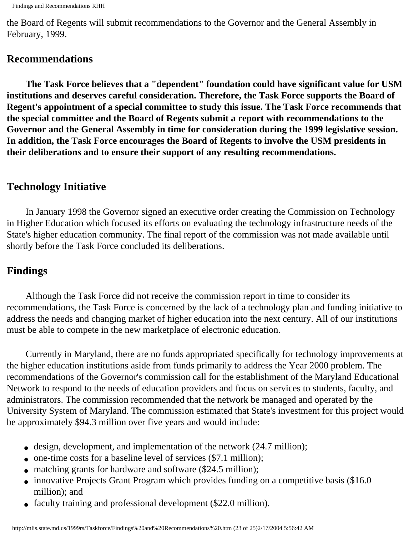the Board of Regents will submit recommendations to the Governor and the General Assembly in February, 1999.

#### **Recommendations**

 **The Task Force believes that a "dependent" foundation could have significant value for USM institutions and deserves careful consideration. Therefore, the Task Force supports the Board of Regent's appointment of a special committee to study this issue. The Task Force recommends that the special committee and the Board of Regents submit a report with recommendations to the Governor and the General Assembly in time for consideration during the 1999 legislative session. In addition, the Task Force encourages the Board of Regents to involve the USM presidents in their deliberations and to ensure their support of any resulting recommendations.** 

## **Technology Initiative**

 In January 1998 the Governor signed an executive order creating the Commission on Technology in Higher Education which focused its efforts on evaluating the technology infrastructure needs of the State's higher education community. The final report of the commission was not made available until shortly before the Task Force concluded its deliberations.

## **Findings**

 Although the Task Force did not receive the commission report in time to consider its recommendations, the Task Force is concerned by the lack of a technology plan and funding initiative to address the needs and changing market of higher education into the next century. All of our institutions must be able to compete in the new marketplace of electronic education.

 Currently in Maryland, there are no funds appropriated specifically for technology improvements at the higher education institutions aside from funds primarily to address the Year 2000 problem. The recommendations of the Governor's commission call for the establishment of the Maryland Educational Network to respond to the needs of education providers and focus on services to students, faculty, and administrators. The commission recommended that the network be managed and operated by the University System of Maryland. The commission estimated that State's investment for this project would be approximately \$94.3 million over five years and would include:

- $\bullet$  design, development, and implementation of the network (24.7 million);
- one-time costs for a baseline level of services (\$7.1 million);
- matching grants for hardware and software (\$24.5 million);
- innovative Projects Grant Program which provides funding on a competitive basis (\$16.0) million); and
- faculty training and professional development (\$22.0 million).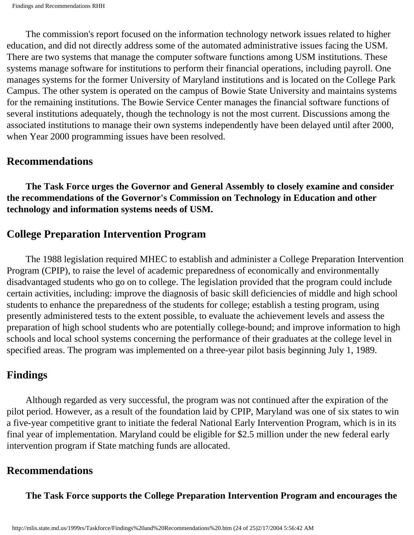The commission's report focused on the information technology network issues related to higher education, and did not directly address some of the automated administrative issues facing the USM. There are two systems that manage the computer software functions among USM institutions. These systems manage software for institutions to perform their financial operations, including payroll. One manages systems for the former University of Maryland institutions and is located on the College Park Campus. The other system is operated on the campus of Bowie State University and maintains systems for the remaining institutions. The Bowie Service Center manages the financial software functions of several institutions adequately, though the technology is not the most current. Discussions among the associated institutions to manage their own systems independently have been delayed until after 2000, when Year 2000 programming issues have been resolved.

#### **Recommendations**

 **The Task Force urges the Governor and General Assembly to closely examine and consider the recommendations of the Governor's Commission on Technology in Education and other technology and information systems needs of USM.** 

## **College Preparation Intervention Program**

 The 1988 legislation required MHEC to establish and administer a College Preparation Intervention Program (CPIP), to raise the level of academic preparedness of economically and environmentally disadvantaged students who go on to college. The legislation provided that the program could include certain activities, including: improve the diagnosis of basic skill deficiencies of middle and high school students to enhance the preparedness of the students for college; establish a testing program, using presently administered tests to the extent possible, to evaluate the achievement levels and assess the preparation of high school students who are potentially college-bound; and improve information to high schools and local school systems concerning the performance of their graduates at the college level in specified areas. The program was implemented on a three-year pilot basis beginning July 1, 1989.

## **Findings**

 Although regarded as very successful, the program was not continued after the expiration of the pilot period. However, as a result of the foundation laid by CPIP, Maryland was one of six states to win a five-year competitive grant to initiate the federal National Early Intervention Program, which is in its final year of implementation. Maryland could be eligible for \$2.5 million under the new federal early intervention program if State matching funds are allocated.

## **Recommendations**

 **The Task Force supports the College Preparation Intervention Program and encourages the**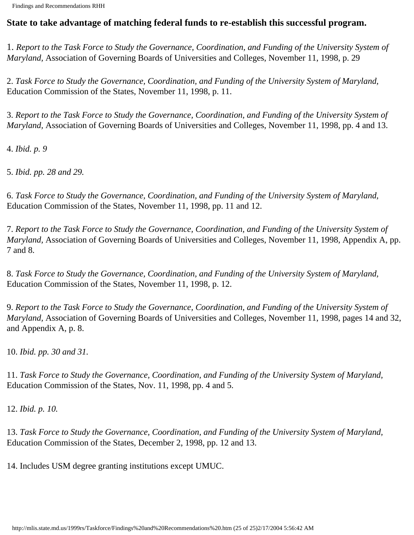#### **State to take advantage of matching federal funds to re-establish this successful program.**

1. *Report to the Task Force to Study the Governance, Coordination, and Funding of the University System of Maryland,* Association of Governing Boards of Universities and Colleges, November 11, 1998, p. 29

2. *Task Force to Study the Governance, Coordination, and Funding of the University System of Maryland,*  Education Commission of the States, November 11, 1998, p. 11.

<span id="page-91-0"></span>3. *Report to the Task Force to Study the Governance, Coordination, and Funding of the University System of Maryland,* Association of Governing Boards of Universities and Colleges, November 11, 1998, pp. 4 and 13.

<span id="page-91-1"></span>4. *Ibid. p. 9*

<span id="page-91-2"></span>5. *Ibid. pp. 28 and 29.*

<span id="page-91-3"></span>6. *Task Force to Study the Governance, Coordination, and Funding of the University System of Maryland,*  Education Commission of the States, November 11, 1998, pp. 11 and 12.

<span id="page-91-4"></span>7. *Report to the Task Force to Study the Governance, Coordination, and Funding of the University System of Maryland,* Association of Governing Boards of Universities and Colleges, November 11, 1998, Appendix A, pp. 7 and 8.

<span id="page-91-5"></span>8. *Task Force to Study the Governance, Coordination, and Funding of the University System of Maryland,*  Education Commission of the States, November 11, 1998, p. 12.

<span id="page-91-6"></span>9. *Report to the Task Force to Study the Governance, Coordination, and Funding of the University System of Maryland,* Association of Governing Boards of Universities and Colleges, November 11, 1998, pages 14 and 32, and Appendix A, p. 8.

<span id="page-91-7"></span>10. *Ibid. pp. 30 and 31.*

<span id="page-91-8"></span>11. *Task Force to Study the Governance, Coordination, and Funding of the University System of Maryland,*  Education Commission of the States, Nov. 11, 1998, pp. 4 and 5.

<span id="page-91-9"></span>12. *Ibid. p. 10.*

<span id="page-91-10"></span>13. *Task Force to Study the Governance, Coordination, and Funding of the University System of Maryland,* Education Commission of the States, December 2, 1998, pp. 12 and 13.

<span id="page-91-11"></span>14. Includes USM degree granting institutions except UMUC.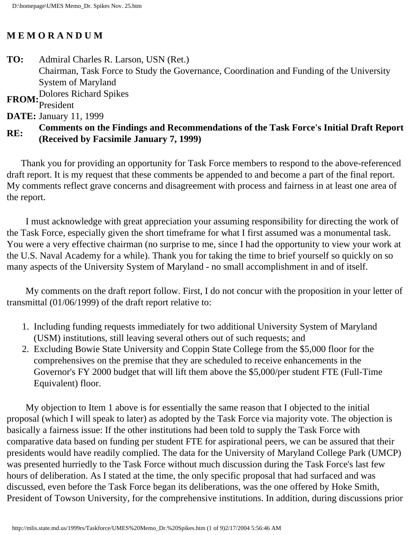#### **M E M O R A N D U M**

**TO:** Admiral Charles R. Larson, USN (Ret.) Chairman, Task Force to Study the Governance, Coordination and Funding of the University System of Maryland **FROM:** Dolores Richard Spikes

## President

**DATE:** January 11, 1999

### **RE:** Comments on the Findings and Recommendations of the Task Force's Initial Draft Report **RE: (Received by Facsimile January 7, 1999)**

 Thank you for providing an opportunity for Task Force members to respond to the above-referenced draft report. It is my request that these comments be appended to and become a part of the final report. My comments reflect grave concerns and disagreement with process and fairness in at least one area of the report.

 I must acknowledge with great appreciation your assuming responsibility for directing the work of the Task Force, especially given the short timeframe for what I first assumed was a monumental task. You were a very effective chairman (no surprise to me, since I had the opportunity to view your work at the U.S. Naval Academy for a while). Thank you for taking the time to brief yourself so quickly on so many aspects of the University System of Maryland - no small accomplishment in and of itself.

 My comments on the draft report follow. First, I do not concur with the proposition in your letter of transmittal (01/06/1999) of the draft report relative to:

- 1. Including funding requests immediately for two additional University System of Maryland (USM) institutions, still leaving several others out of such requests; and
- 2. Excluding Bowie State University and Coppin State College from the \$5,000 floor for the comprehensives on the premise that they are scheduled to receive enhancements in the Governor's FY 2000 budget that will lift them above the \$5,000/per student FTE (Full-Time Equivalent) floor.

 My objection to Item 1 above is for essentially the same reason that I objected to the initial proposal (which I will speak to later) as adopted by the Task Force via majority vote. The objection is basically a fairness issue: If the other institutions had been told to supply the Task Force with comparative data based on funding per student FTE for aspirational peers, we can be assured that their presidents would have readily complied. The data for the University of Maryland College Park (UMCP) was presented hurriedly to the Task Force without much discussion during the Task Force's last few hours of deliberation. As I stated at the time, the only specific proposal that had surfaced and was discussed, even before the Task Force began its deliberations, was the one offered by Hoke Smith, President of Towson University, for the comprehensive institutions. In addition, during discussions prior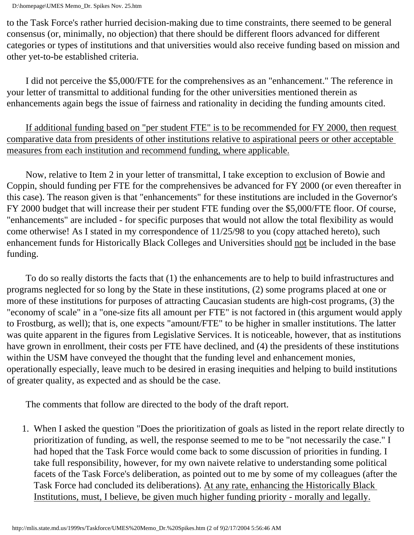to the Task Force's rather hurried decision-making due to time constraints, there seemed to be general consensus (or, minimally, no objection) that there should be different floors advanced for different categories or types of institutions and that universities would also receive funding based on mission and other yet-to-be established criteria.

 I did not perceive the \$5,000/FTE for the comprehensives as an "enhancement." The reference in your letter of transmittal to additional funding for the other universities mentioned therein as enhancements again begs the issue of fairness and rationality in deciding the funding amounts cited.

 If additional funding based on "per student FTE" is to be recommended for FY 2000, then request comparative data from presidents of other institutions relative to aspirational peers or other acceptable measures from each institution and recommend funding, where applicable.

 Now, relative to Item 2 in your letter of transmittal, I take exception to exclusion of Bowie and Coppin, should funding per FTE for the comprehensives be advanced for FY 2000 (or even thereafter in this case). The reason given is that "enhancements" for these institutions are included in the Governor's FY 2000 budget that will increase their per student FTE funding over the \$5,000/FTE floor. Of course, "enhancements" are included - for specific purposes that would not allow the total flexibility as would come otherwise! As I stated in my correspondence of 11/25/98 to you (copy attached hereto), such enhancement funds for Historically Black Colleges and Universities should not be included in the base funding.

 To do so really distorts the facts that (1) the enhancements are to help to build infrastructures and programs neglected for so long by the State in these institutions, (2) some programs placed at one or more of these institutions for purposes of attracting Caucasian students are high-cost programs, (3) the "economy of scale" in a "one-size fits all amount per FTE" is not factored in (this argument would apply to Frostburg, as well); that is, one expects "amount/FTE" to be higher in smaller institutions. The latter was quite apparent in the figures from Legislative Services. It is noticeable, however, that as institutions have grown in enrollment, their costs per FTE have declined, and (4) the presidents of these institutions within the USM have conveyed the thought that the funding level and enhancement monies, operationally especially, leave much to be desired in erasing inequities and helping to build institutions of greater quality, as expected and as should be the case.

The comments that follow are directed to the body of the draft report.

1. When I asked the question "Does the prioritization of goals as listed in the report relate directly to prioritization of funding, as well, the response seemed to me to be "not necessarily the case." I had hoped that the Task Force would come back to some discussion of priorities in funding. I take full responsibility, however, for my own naivete relative to understanding some political facets of the Task Force's deliberation, as pointed out to me by some of my colleagues (after the Task Force had concluded its deliberations). At any rate, enhancing the Historically Black Institutions, must, I believe, be given much higher funding priority - morally and legally.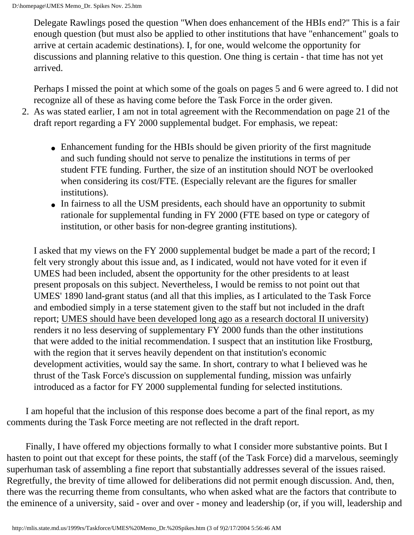Delegate Rawlings posed the question "When does enhancement of the HBIs end?" This is a fair enough question (but must also be applied to other institutions that have "enhancement" goals to arrive at certain academic destinations). I, for one, would welcome the opportunity for discussions and planning relative to this question. One thing is certain - that time has not yet arrived.

Perhaps I missed the point at which some of the goals on pages 5 and 6 were agreed to. I did not recognize all of these as having come before the Task Force in the order given.

- 2. As was stated earlier, I am not in total agreement with the Recommendation on page 21 of the draft report regarding a FY 2000 supplemental budget. For emphasis, we repeat:
	- Enhancement funding for the HBIs should be given priority of the first magnitude and such funding should not serve to penalize the institutions in terms of per student FTE funding. Further, the size of an institution should NOT be overlooked when considering its cost/FTE. (Especially relevant are the figures for smaller institutions).
	- In fairness to all the USM presidents, each should have an opportunity to submit rationale for supplemental funding in FY 2000 (FTE based on type or category of institution, or other basis for non-degree granting institutions).

I asked that my views on the FY 2000 supplemental budget be made a part of the record; I felt very strongly about this issue and, as I indicated, would not have voted for it even if UMES had been included, absent the opportunity for the other presidents to at least present proposals on this subject. Nevertheless, I would be remiss to not point out that UMES' 1890 land-grant status (and all that this implies, as I articulated to the Task Force and embodied simply in a terse statement given to the staff but not included in the draft report; UMES should have been developed long ago as a research doctoral II university) renders it no less deserving of supplementary FY 2000 funds than the other institutions that were added to the initial recommendation. I suspect that an institution like Frostburg, with the region that it serves heavily dependent on that institution's economic development activities, would say the same. In short, contrary to what I believed was he thrust of the Task Force's discussion on supplemental funding, mission was unfairly introduced as a factor for FY 2000 supplemental funding for selected institutions.

 I am hopeful that the inclusion of this response does become a part of the final report, as my comments during the Task Force meeting are not reflected in the draft report.

 Finally, I have offered my objections formally to what I consider more substantive points. But I hasten to point out that except for these points, the staff (of the Task Force) did a marvelous, seemingly superhuman task of assembling a fine report that substantially addresses several of the issues raised. Regretfully, the brevity of time allowed for deliberations did not permit enough discussion. And, then, there was the recurring theme from consultants, who when asked what are the factors that contribute to the eminence of a university, said - over and over - money and leadership (or, if you will, leadership and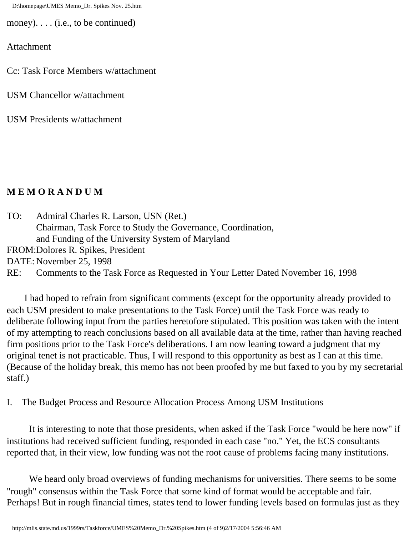D:\homepage\UMES Memo\_Dr. Spikes Nov. 25.htm

money). . . . (i.e., to be continued)

Attachment

Cc: Task Force Members w/attachment

USM Chancellor w/attachment

USM Presidents w/attachment

#### **M E M O R A N D U M**

TO: Admiral Charles R. Larson, USN (Ret.) Chairman, Task Force to Study the Governance, Coordination, and Funding of the University System of Maryland FROM:Dolores R. Spikes, President DATE: November 25, 1998 RE: Comments to the Task Force as Requested in Your Letter Dated November 16, 1998

 I had hoped to refrain from significant comments (except for the opportunity already provided to each USM president to make presentations to the Task Force) until the Task Force was ready to deliberate following input from the parties heretofore stipulated. This position was taken with the intent of my attempting to reach conclusions based on all available data at the time, rather than having reached firm positions prior to the Task Force's deliberations. I am now leaning toward a judgment that my original tenet is not practicable. Thus, I will respond to this opportunity as best as I can at this time. (Because of the holiday break, this memo has not been proofed by me but faxed to you by my secretarial staff.)

I. The Budget Process and Resource Allocation Process Among USM Institutions

 It is interesting to note that those presidents, when asked if the Task Force "would be here now" if institutions had received sufficient funding, responded in each case "no." Yet, the ECS consultants reported that, in their view, low funding was not the root cause of problems facing many institutions.

 We heard only broad overviews of funding mechanisms for universities. There seems to be some "rough" consensus within the Task Force that some kind of format would be acceptable and fair. Perhaps! But in rough financial times, states tend to lower funding levels based on formulas just as they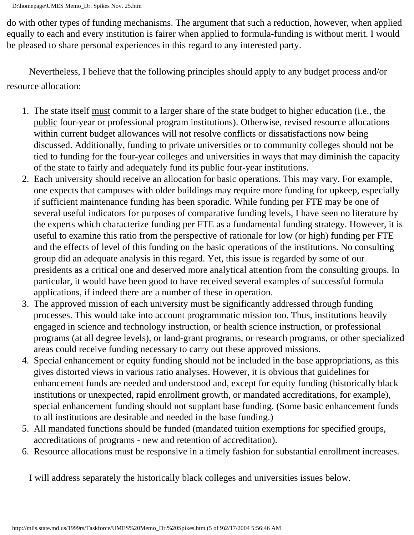do with other types of funding mechanisms. The argument that such a reduction, however, when applied equally to each and every institution is fairer when applied to formula-funding is without merit. I would be pleased to share personal experiences in this regard to any interested party.

 Nevertheless, I believe that the following principles should apply to any budget process and/or resource allocation:

- 1. The state itself must commit to a larger share of the state budget to higher education (i.e., the public four-year or professional program institutions). Otherwise, revised resource allocations within current budget allowances will not resolve conflicts or dissatisfactions now being discussed. Additionally, funding to private universities or to community colleges should not be tied to funding for the four-year colleges and universities in ways that may diminish the capacity of the state to fairly and adequately fund its public four-year institutions.
- 2. Each university should receive an allocation for basic operations. This may vary. For example, one expects that campuses with older buildings may require more funding for upkeep, especially if sufficient maintenance funding has been sporadic. While funding per FTE may be one of several useful indicators for purposes of comparative funding levels, I have seen no literature by the experts which characterize funding per FTE as a fundamental funding strategy. However, it is useful to examine this ratio from the perspective of rationale for low (or high) funding per FTE and the effects of level of this funding on the basic operations of the institutions. No consulting group did an adequate analysis in this regard. Yet, this issue is regarded by some of our presidents as a critical one and deserved more analytical attention from the consulting groups. In particular, it would have been good to have received several examples of successful formula applications, if indeed there are a number of these in operation.
- 3. The approved mission of each university must be significantly addressed through funding processes. This would take into account programmatic mission too. Thus, institutions heavily engaged in science and technology instruction, or health science instruction, or professional programs (at all degree levels), or land-grant programs, or research programs, or other specialized areas could receive funding necessary to carry out these approved missions.
- 4. Special enhancement or equity funding should not be included in the base appropriations, as this gives distorted views in various ratio analyses. However, it is obvious that guidelines for enhancement funds are needed and understood and, except for equity funding (historically black institutions or unexpected, rapid enrollment growth, or mandated accreditations, for example), special enhancement funding should not supplant base funding. (Some basic enhancement funds to all institutions are desirable and needed in the base funding.)
- 5. All mandated functions should be funded (mandated tuition exemptions for specified groups, accreditations of programs - new and retention of accreditation).
- 6. Resource allocations must be responsive in a timely fashion for substantial enrollment increases.

I will address separately the historically black colleges and universities issues below.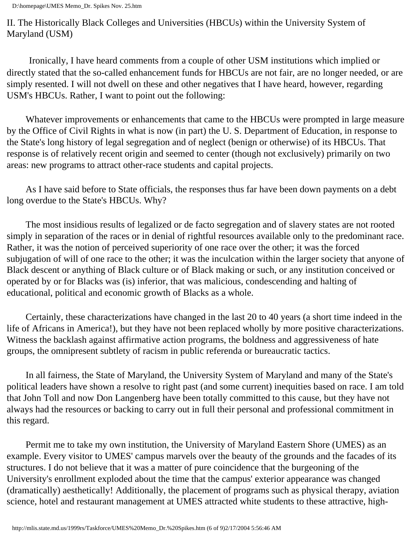II. The Historically Black Colleges and Universities (HBCUs) within the University System of Maryland (USM)

 Ironically, I have heard comments from a couple of other USM institutions which implied or directly stated that the so-called enhancement funds for HBCUs are not fair, are no longer needed, or are simply resented. I will not dwell on these and other negatives that I have heard, however, regarding USM's HBCUs. Rather, I want to point out the following:

 Whatever improvements or enhancements that came to the HBCUs were prompted in large measure by the Office of Civil Rights in what is now (in part) the U. S. Department of Education, in response to the State's long history of legal segregation and of neglect (benign or otherwise) of its HBCUs. That response is of relatively recent origin and seemed to center (though not exclusively) primarily on two areas: new programs to attract other-race students and capital projects.

 As I have said before to State officials, the responses thus far have been down payments on a debt long overdue to the State's HBCUs. Why?

 The most insidious results of legalized or de facto segregation and of slavery states are not rooted simply in separation of the races or in denial of rightful resources available only to the predominant race. Rather, it was the notion of perceived superiority of one race over the other; it was the forced subjugation of will of one race to the other; it was the inculcation within the larger society that anyone of Black descent or anything of Black culture or of Black making or such, or any institution conceived or operated by or for Blacks was (is) inferior, that was malicious, condescending and halting of educational, political and economic growth of Blacks as a whole.

 Certainly, these characterizations have changed in the last 20 to 40 years (a short time indeed in the life of Africans in America!), but they have not been replaced wholly by more positive characterizations. Witness the backlash against affirmative action programs, the boldness and aggressiveness of hate groups, the omnipresent subtlety of racism in public referenda or bureaucratic tactics.

 In all fairness, the State of Maryland, the University System of Maryland and many of the State's political leaders have shown a resolve to right past (and some current) inequities based on race. I am told that John Toll and now Don Langenberg have been totally committed to this cause, but they have not always had the resources or backing to carry out in full their personal and professional commitment in this regard.

 Permit me to take my own institution, the University of Maryland Eastern Shore (UMES) as an example. Every visitor to UMES' campus marvels over the beauty of the grounds and the facades of its structures. I do not believe that it was a matter of pure coincidence that the burgeoning of the University's enrollment exploded about the time that the campus' exterior appearance was changed (dramatically) aesthetically! Additionally, the placement of programs such as physical therapy, aviation science, hotel and restaurant management at UMES attracted white students to these attractive, high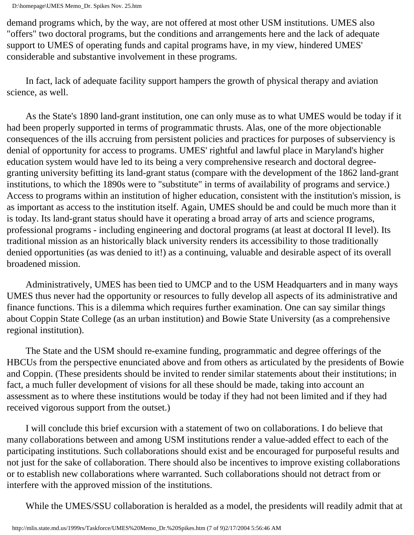demand programs which, by the way, are not offered at most other USM institutions. UMES also "offers" two doctoral programs, but the conditions and arrangements here and the lack of adequate support to UMES of operating funds and capital programs have, in my view, hindered UMES' considerable and substantive involvement in these programs.

 In fact, lack of adequate facility support hampers the growth of physical therapy and aviation science, as well.

 As the State's 1890 land-grant institution, one can only muse as to what UMES would be today if it had been properly supported in terms of programmatic thrusts. Alas, one of the more objectionable consequences of the ills accruing from persistent policies and practices for purposes of subserviency is denial of opportunity for access to programs. UMES' rightful and lawful place in Maryland's higher education system would have led to its being a very comprehensive research and doctoral degreegranting university befitting its land-grant status (compare with the development of the 1862 land-grant institutions, to which the 1890s were to "substitute" in terms of availability of programs and service.) Access to programs within an institution of higher education, consistent with the institution's mission, is as important as access to the institution itself. Again, UMES should be and could be much more than it is today. Its land-grant status should have it operating a broad array of arts and science programs, professional programs - including engineering and doctoral programs (at least at doctoral II level). Its traditional mission as an historically black university renders its accessibility to those traditionally denied opportunities (as was denied to it!) as a continuing, valuable and desirable aspect of its overall broadened mission.

 Administratively, UMES has been tied to UMCP and to the USM Headquarters and in many ways UMES thus never had the opportunity or resources to fully develop all aspects of its administrative and finance functions. This is a dilemma which requires further examination. One can say similar things about Coppin State College (as an urban institution) and Bowie State University (as a comprehensive regional institution).

 The State and the USM should re-examine funding, programmatic and degree offerings of the HBCUs from the perspective enunciated above and from others as articulated by the presidents of Bowie and Coppin. (These presidents should be invited to render similar statements about their institutions; in fact, a much fuller development of visions for all these should be made, taking into account an assessment as to where these institutions would be today if they had not been limited and if they had received vigorous support from the outset.)

 I will conclude this brief excursion with a statement of two on collaborations. I do believe that many collaborations between and among USM institutions render a value-added effect to each of the participating institutions. Such collaborations should exist and be encouraged for purposeful results and not just for the sake of collaboration. There should also be incentives to improve existing collaborations or to establish new collaborations where warranted. Such collaborations should not detract from or interfere with the approved mission of the institutions.

While the UMES/SSU collaboration is heralded as a model, the presidents will readily admit that at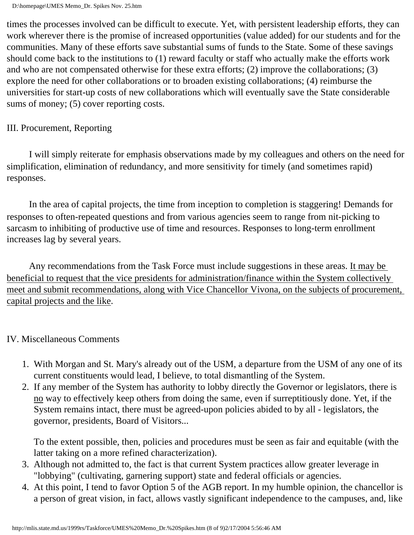times the processes involved can be difficult to execute. Yet, with persistent leadership efforts, they can work wherever there is the promise of increased opportunities (value added) for our students and for the communities. Many of these efforts save substantial sums of funds to the State. Some of these savings should come back to the institutions to (1) reward faculty or staff who actually make the efforts work and who are not compensated otherwise for these extra efforts; (2) improve the collaborations; (3) explore the need for other collaborations or to broaden existing collaborations; (4) reimburse the universities for start-up costs of new collaborations which will eventually save the State considerable sums of money; (5) cover reporting costs.

#### III. Procurement, Reporting

 I will simply reiterate for emphasis observations made by my colleagues and others on the need for simplification, elimination of redundancy, and more sensitivity for timely (and sometimes rapid) responses.

 In the area of capital projects, the time from inception to completion is staggering! Demands for responses to often-repeated questions and from various agencies seem to range from nit-picking to sarcasm to inhibiting of productive use of time and resources. Responses to long-term enrollment increases lag by several years.

Any recommendations from the Task Force must include suggestions in these areas. It may be beneficial to request that the vice presidents for administration/finance within the System collectively meet and submit recommendations, along with Vice Chancellor Vivona, on the subjects of procurement, capital projects and the like.

#### IV. Miscellaneous Comments

- 1. With Morgan and St. Mary's already out of the USM, a departure from the USM of any one of its current constituents would lead, I believe, to total dismantling of the System.
- 2. If any member of the System has authority to lobby directly the Governor or legislators, there is no way to effectively keep others from doing the same, even if surreptitiously done. Yet, if the System remains intact, there must be agreed-upon policies abided to by all - legislators, the governor, presidents, Board of Visitors...

To the extent possible, then, policies and procedures must be seen as fair and equitable (with the latter taking on a more refined characterization).

- 3. Although not admitted to, the fact is that current System practices allow greater leverage in "lobbying" (cultivating, garnering support) state and federal officials or agencies.
- 4. At this point, I tend to favor Option 5 of the AGB report. In my humble opinion, the chancellor is a person of great vision, in fact, allows vastly significant independence to the campuses, and, like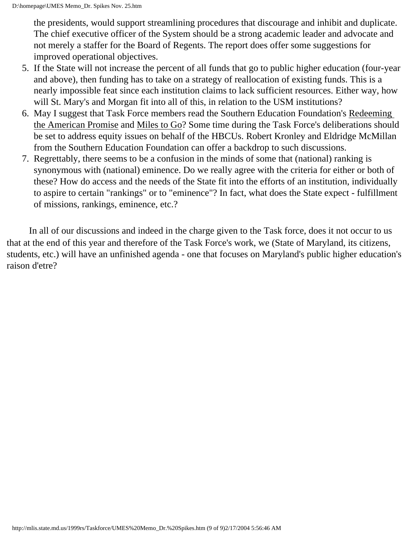the presidents, would support streamlining procedures that discourage and inhibit and duplicate. The chief executive officer of the System should be a strong academic leader and advocate and not merely a staffer for the Board of Regents. The report does offer some suggestions for improved operational objectives.

- 5. If the State will not increase the percent of all funds that go to public higher education (four-year and above), then funding has to take on a strategy of reallocation of existing funds. This is a nearly impossible feat since each institution claims to lack sufficient resources. Either way, how will St. Mary's and Morgan fit into all of this, in relation to the USM institutions?
- 6. May I suggest that Task Force members read the Southern Education Foundation's Redeeming the American Promise and Miles to Go? Some time during the Task Force's deliberations should be set to address equity issues on behalf of the HBCUs. Robert Kronley and Eldridge McMillan from the Southern Education Foundation can offer a backdrop to such discussions.
- 7. Regrettably, there seems to be a confusion in the minds of some that (national) ranking is synonymous with (national) eminence. Do we really agree with the criteria for either or both of these? How do access and the needs of the State fit into the efforts of an institution, individually to aspire to certain "rankings" or to "eminence"? In fact, what does the State expect - fulfillment of missions, rankings, eminence, etc.?

 In all of our discussions and indeed in the charge given to the Task force, does it not occur to us that at the end of this year and therefore of the Task Force's work, we (State of Maryland, its citizens, students, etc.) will have an unfinished agenda - one that focuses on Maryland's public higher education's raison d'etre?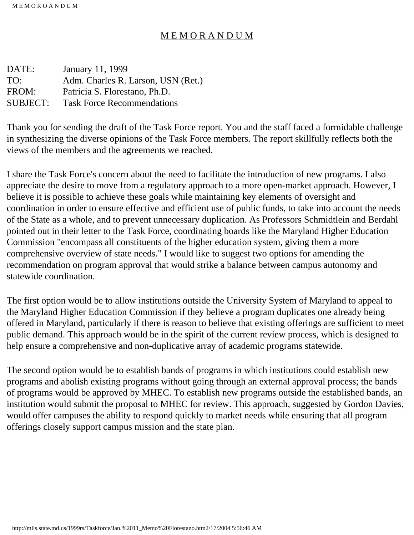#### M E M O R A N D U M

| DATE:    | January 11, 1999                   |
|----------|------------------------------------|
| TO:      | Adm. Charles R. Larson, USN (Ret.) |
| FROM:    | Patricia S. Florestano, Ph.D.      |
| SUBJECT: | <b>Task Force Recommendations</b>  |

Thank you for sending the draft of the Task Force report. You and the staff faced a formidable challenge in synthesizing the diverse opinions of the Task Force members. The report skillfully reflects both the views of the members and the agreements we reached.

I share the Task Force's concern about the need to facilitate the introduction of new programs. I also appreciate the desire to move from a regulatory approach to a more open-market approach. However, I believe it is possible to achieve these goals while maintaining key elements of oversight and coordination in order to ensure effective and efficient use of public funds, to take into account the needs of the State as a whole, and to prevent unnecessary duplication. As Professors Schmidtlein and Berdahl pointed out in their letter to the Task Force, coordinating boards like the Maryland Higher Education Commission "encompass all constituents of the higher education system, giving them a more comprehensive overview of state needs." I would like to suggest two options for amending the recommendation on program approval that would strike a balance between campus autonomy and statewide coordination.

The first option would be to allow institutions outside the University System of Maryland to appeal to the Maryland Higher Education Commission if they believe a program duplicates one already being offered in Maryland, particularly if there is reason to believe that existing offerings are sufficient to meet public demand. This approach would be in the spirit of the current review process, which is designed to help ensure a comprehensive and non-duplicative array of academic programs statewide.

The second option would be to establish bands of programs in which institutions could establish new programs and abolish existing programs without going through an external approval process; the bands of programs would be approved by MHEC. To establish new programs outside the established bands, an institution would submit the proposal to MHEC for review. This approach, suggested by Gordon Davies, would offer campuses the ability to respond quickly to market needs while ensuring that all program offerings closely support campus mission and the state plan.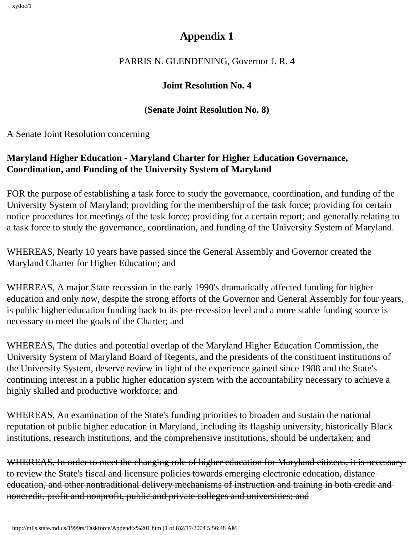# **Appendix 1**

### PARRIS N. GLENDENING, Governor J. R. 4

### **Joint Resolution No. 4**

### **(Senate Joint Resolution No. 8)**

A Senate Joint Resolution concerning

## **Maryland Higher Education - Maryland Charter for Higher Education Governance, Coordination, and Funding of the University System of Maryland**

FOR the purpose of establishing a task force to study the governance, coordination, and funding of the University System of Maryland; providing for the membership of the task force; providing for certain notice procedures for meetings of the task force; providing for a certain report; and generally relating to a task force to study the governance, coordination, and funding of the University System of Maryland.

WHEREAS, Nearly 10 years have passed since the General Assembly and Governor created the Maryland Charter for Higher Education; and

WHEREAS, A major State recession in the early 1990's dramatically affected funding for higher education and only now, despite the strong efforts of the Governor and General Assembly for four years, is public higher education funding back to its pre-recession level and a more stable funding source is necessary to meet the goals of the Charter; and

WHEREAS, The duties and potential overlap of the Maryland Higher Education Commission, the University System of Maryland Board of Regents, and the presidents of the constituent institutions of the University System, deserve review in light of the experience gained since 1988 and the State's continuing interest in a public higher education system with the accountability necessary to achieve a highly skilled and productive workforce; and

WHEREAS, An examination of the State's funding priorities to broaden and sustain the national reputation of public higher education in Maryland, including its flagship university, historically Black institutions, research institutions, and the comprehensive institutions, should be undertaken; and

WHEREAS, In order to meet the changing role of higher education for Maryland citizens, it is necessary to review the State's fiscal and licensure policies towards emerging electronic education, distance education, and other nontraditional delivery mechanisms of instruction and training in both credit and noncredit, profit and nonprofit, public and private colleges and universities; and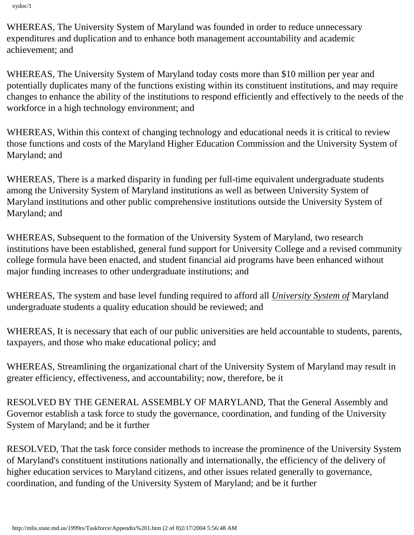WHEREAS, The University System of Maryland was founded in order to reduce unnecessary expenditures and duplication and to enhance both management accountability and academic achievement; and

WHEREAS, The University System of Maryland today costs more than \$10 million per year and potentially duplicates many of the functions existing within its constituent institutions, and may require changes to enhance the ability of the institutions to respond efficiently and effectively to the needs of the workforce in a high technology environment; and

WHEREAS, Within this context of changing technology and educational needs it is critical to review those functions and costs of the Maryland Higher Education Commission and the University System of Maryland; and

WHEREAS, There is a marked disparity in funding per full-time equivalent undergraduate students among the University System of Maryland institutions as well as between University System of Maryland institutions and other public comprehensive institutions outside the University System of Maryland; and

WHEREAS, Subsequent to the formation of the University System of Maryland, two research institutions have been established, general fund support for University College and a revised community college formula have been enacted, and student financial aid programs have been enhanced without major funding increases to other undergraduate institutions; and

WHEREAS, The system and base level funding required to afford all *University System of* Maryland undergraduate students a quality education should be reviewed; and

WHEREAS, It is necessary that each of our public universities are held accountable to students, parents, taxpayers, and those who make educational policy; and

WHEREAS, Streamlining the organizational chart of the University System of Maryland may result in greater efficiency, effectiveness, and accountability; now, therefore, be it

RESOLVED BY THE GENERAL ASSEMBLY OF MARYLAND, That the General Assembly and Governor establish a task force to study the governance, coordination, and funding of the University System of Maryland; and be it further

RESOLVED, That the task force consider methods to increase the prominence of the University System of Maryland's constituent institutions nationally and internationally, the efficiency of the delivery of higher education services to Maryland citizens, and other issues related generally to governance, coordination, and funding of the University System of Maryland; and be it further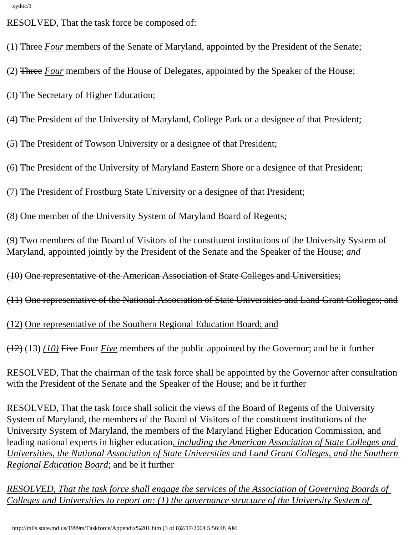RESOLVED, That the task force be composed of:

(1) Three *Four* members of the Senate of Maryland, appointed by the President of the Senate;

(2) Three *Four* members of the House of Delegates, appointed by the Speaker of the House;

(3) The Secretary of Higher Education;

(4) The President of the University of Maryland, College Park or a designee of that President;

(5) The President of Towson University or a designee of that President;

(6) The President of the University of Maryland Eastern Shore or a designee of that President;

(7) The President of Frostburg State University or a designee of that President;

(8) One member of the University System of Maryland Board of Regents;

(9) Two members of the Board of Visitors of the constituent institutions of the University System of Maryland, appointed jointly by the President of the Senate and the Speaker of the House; *and*

(10) One representative of the American Association of State Colleges and Universities;

(11) One representative of the National Association of State Universities and Land Grant Colleges; and

(12) One representative of the Southern Regional Education Board; and

(12) (13) *(10)* Five Four *Five* members of the public appointed by the Governor; and be it further

RESOLVED, That the chairman of the task force shall be appointed by the Governor after consultation with the President of the Senate and the Speaker of the House; and be it further

RESOLVED, That the task force shall solicit the views of the Board of Regents of the University System of Maryland, the members of the Board of Visitors of the constituent institutions of the University System of Maryland, the members of the Maryland Higher Education Commission, and leading national experts in higher education*, including the American Association of State Colleges and Universities, the National Association of State Universities and Land Grant Colleges, and the Southern Regional Education Board*; and be it further

*RESOLVED, That the task force shall engage the services of the Association of Governing Boards of Colleges and Universities to report on: (1) the governance structure of the University System of*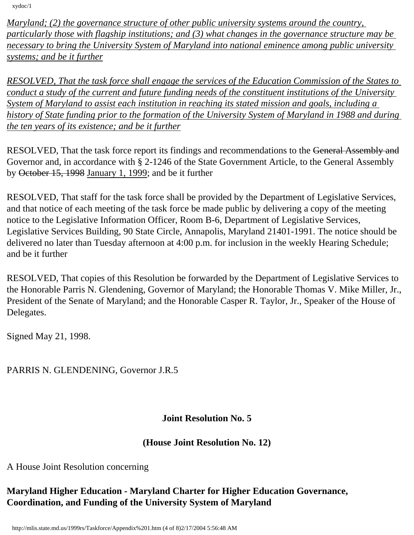*Maryland; (2) the governance structure of other public university systems around the country, particularly those with flagship institutions; and (3) what changes in the governance structure may be necessary to bring the University System of Maryland into national eminence among public university systems; and be it further*

*RESOLVED, That the task force shall engage the services of the Education Commission of the States to conduct a study of the current and future funding needs of the constituent institutions of the University System of Maryland to assist each institution in reaching its stated mission and goals, including a history of State funding prior to the formation of the University System of Maryland in 1988 and during the ten years of its existence; and be it further*

RESOLVED, That the task force report its findings and recommendations to the General Assembly and Governor and, in accordance with § 2-1246 of the State Government Article, to the General Assembly by October 15, 1998 January 1, 1999; and be it further

RESOLVED, That staff for the task force shall be provided by the Department of Legislative Services, and that notice of each meeting of the task force be made public by delivering a copy of the meeting notice to the Legislative Information Officer, Room B-6, Department of Legislative Services, Legislative Services Building, 90 State Circle, Annapolis, Maryland 21401-1991. The notice should be delivered no later than Tuesday afternoon at 4:00 p.m. for inclusion in the weekly Hearing Schedule; and be it further

RESOLVED, That copies of this Resolution be forwarded by the Department of Legislative Services to the Honorable Parris N. Glendening, Governor of Maryland; the Honorable Thomas V. Mike Miller, Jr., President of the Senate of Maryland; and the Honorable Casper R. Taylor, Jr., Speaker of the House of Delegates.

Signed May 21, 1998.

PARRIS N. GLENDENING, Governor J.R.5

#### **Joint Resolution No. 5**

#### **(House Joint Resolution No. 12)**

A House Joint Resolution concerning

### **Maryland Higher Education - Maryland Charter for Higher Education Governance, Coordination, and Funding of the University System of Maryland**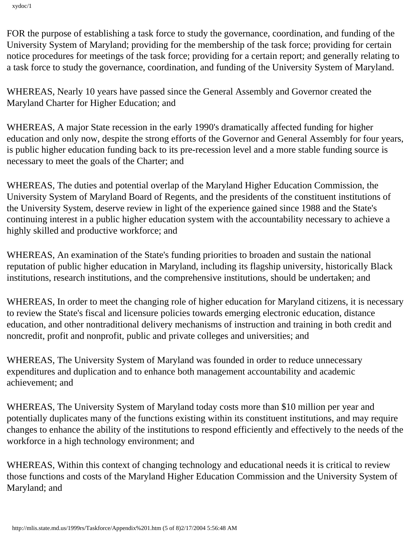FOR the purpose of establishing a task force to study the governance, coordination, and funding of the University System of Maryland; providing for the membership of the task force; providing for certain notice procedures for meetings of the task force; providing for a certain report; and generally relating to a task force to study the governance, coordination, and funding of the University System of Maryland.

WHEREAS, Nearly 10 years have passed since the General Assembly and Governor created the Maryland Charter for Higher Education; and

WHEREAS, A major State recession in the early 1990's dramatically affected funding for higher education and only now, despite the strong efforts of the Governor and General Assembly for four years, is public higher education funding back to its pre-recession level and a more stable funding source is necessary to meet the goals of the Charter; and

WHEREAS, The duties and potential overlap of the Maryland Higher Education Commission, the University System of Maryland Board of Regents, and the presidents of the constituent institutions of the University System, deserve review in light of the experience gained since 1988 and the State's continuing interest in a public higher education system with the accountability necessary to achieve a highly skilled and productive workforce; and

WHEREAS, An examination of the State's funding priorities to broaden and sustain the national reputation of public higher education in Maryland, including its flagship university, historically Black institutions, research institutions, and the comprehensive institutions, should be undertaken; and

WHEREAS, In order to meet the changing role of higher education for Maryland citizens, it is necessary to review the State's fiscal and licensure policies towards emerging electronic education, distance education, and other nontraditional delivery mechanisms of instruction and training in both credit and noncredit, profit and nonprofit, public and private colleges and universities; and

WHEREAS, The University System of Maryland was founded in order to reduce unnecessary expenditures and duplication and to enhance both management accountability and academic achievement; and

WHEREAS, The University System of Maryland today costs more than \$10 million per year and potentially duplicates many of the functions existing within its constituent institutions, and may require changes to enhance the ability of the institutions to respond efficiently and effectively to the needs of the workforce in a high technology environment; and

WHEREAS, Within this context of changing technology and educational needs it is critical to review those functions and costs of the Maryland Higher Education Commission and the University System of Maryland; and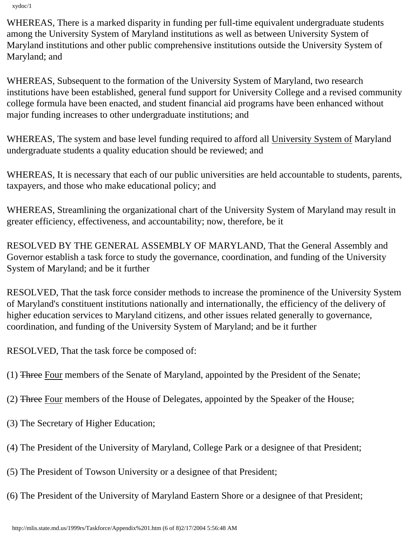WHEREAS, There is a marked disparity in funding per full-time equivalent undergraduate students among the University System of Maryland institutions as well as between University System of Maryland institutions and other public comprehensive institutions outside the University System of Maryland; and

WHEREAS, Subsequent to the formation of the University System of Maryland, two research institutions have been established, general fund support for University College and a revised community college formula have been enacted, and student financial aid programs have been enhanced without major funding increases to other undergraduate institutions; and

WHEREAS, The system and base level funding required to afford all University System of Maryland undergraduate students a quality education should be reviewed; and

WHEREAS, It is necessary that each of our public universities are held accountable to students, parents, taxpayers, and those who make educational policy; and

WHEREAS, Streamlining the organizational chart of the University System of Maryland may result in greater efficiency, effectiveness, and accountability; now, therefore, be it

RESOLVED BY THE GENERAL ASSEMBLY OF MARYLAND, That the General Assembly and Governor establish a task force to study the governance, coordination, and funding of the University System of Maryland; and be it further

RESOLVED, That the task force consider methods to increase the prominence of the University System of Maryland's constituent institutions nationally and internationally, the efficiency of the delivery of higher education services to Maryland citizens, and other issues related generally to governance, coordination, and funding of the University System of Maryland; and be it further

RESOLVED, That the task force be composed of:

- (1) Three Four members of the Senate of Maryland, appointed by the President of the Senate;
- (2) Three Four members of the House of Delegates, appointed by the Speaker of the House;
- (3) The Secretary of Higher Education;
- (4) The President of the University of Maryland, College Park or a designee of that President;
- (5) The President of Towson University or a designee of that President;
- (6) The President of the University of Maryland Eastern Shore or a designee of that President;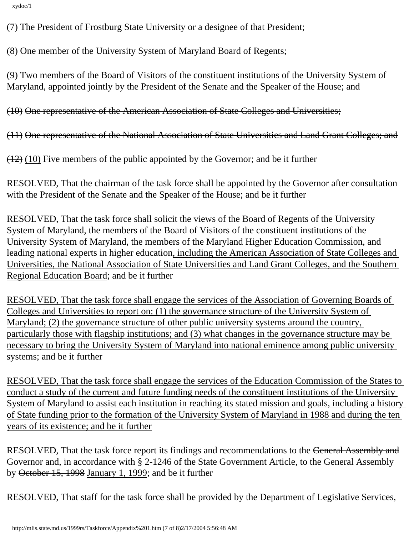xydoc/1

(7) The President of Frostburg State University or a designee of that President;

(8) One member of the University System of Maryland Board of Regents;

(9) Two members of the Board of Visitors of the constituent institutions of the University System of Maryland, appointed jointly by the President of the Senate and the Speaker of the House; and

(10) One representative of the American Association of State Colleges and Universities;

(11) One representative of the National Association of State Universities and Land Grant Colleges; and

 $(12)$  (10) Five members of the public appointed by the Governor; and be it further

RESOLVED, That the chairman of the task force shall be appointed by the Governor after consultation with the President of the Senate and the Speaker of the House; and be it further

RESOLVED, That the task force shall solicit the views of the Board of Regents of the University System of Maryland, the members of the Board of Visitors of the constituent institutions of the University System of Maryland, the members of the Maryland Higher Education Commission, and leading national experts in higher education, including the American Association of State Colleges and Universities, the National Association of State Universities and Land Grant Colleges, and the Southern Regional Education Board; and be it further

RESOLVED, That the task force shall engage the services of the Association of Governing Boards of Colleges and Universities to report on: (1) the governance structure of the University System of Maryland; (2) the governance structure of other public university systems around the country, particularly those with flagship institutions; and (3) what changes in the governance structure may be necessary to bring the University System of Maryland into national eminence among public university systems; and be it further

RESOLVED, That the task force shall engage the services of the Education Commission of the States to conduct a study of the current and future funding needs of the constituent institutions of the University System of Maryland to assist each institution in reaching its stated mission and goals, including a history of State funding prior to the formation of the University System of Maryland in 1988 and during the ten years of its existence; and be it further

RESOLVED, That the task force report its findings and recommendations to the General Assembly and Governor and, in accordance with § 2-1246 of the State Government Article, to the General Assembly by October 15, 1998 January 1, 1999; and be it further

RESOLVED, That staff for the task force shall be provided by the Department of Legislative Services,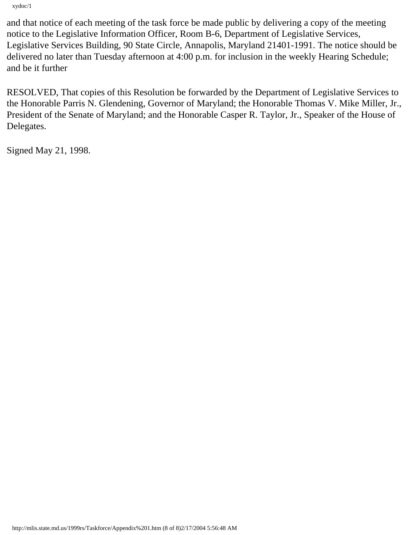xydoc/1

and that notice of each meeting of the task force be made public by delivering a copy of the meeting notice to the Legislative Information Officer, Room B-6, Department of Legislative Services, Legislative Services Building, 90 State Circle, Annapolis, Maryland 21401-1991. The notice should be delivered no later than Tuesday afternoon at 4:00 p.m. for inclusion in the weekly Hearing Schedule; and be it further

RESOLVED, That copies of this Resolution be forwarded by the Department of Legislative Services to the Honorable Parris N. Glendening, Governor of Maryland; the Honorable Thomas V. Mike Miller, Jr., President of the Senate of Maryland; and the Honorable Casper R. Taylor, Jr., Speaker of the House of Delegates.

Signed May 21, 1998.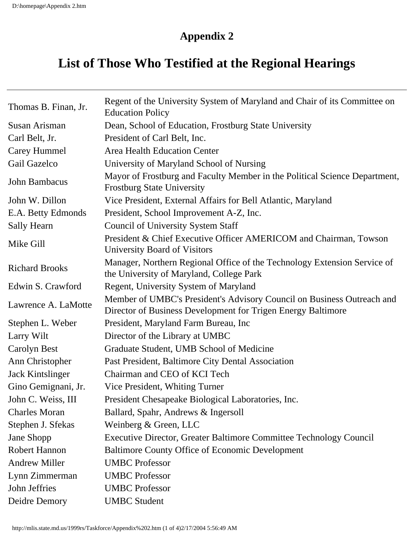# **List of Those Who Testified at the Regional Hearings**

| Thomas B. Finan, Jr.  | Regent of the University System of Maryland and Chair of its Committee on<br><b>Education Policy</b>                                   |
|-----------------------|----------------------------------------------------------------------------------------------------------------------------------------|
| Susan Arisman         | Dean, School of Education, Frostburg State University                                                                                  |
| Carl Belt, Jr.        | President of Carl Belt, Inc.                                                                                                           |
| Carey Hummel          | <b>Area Health Education Center</b>                                                                                                    |
| Gail Gazelco          | University of Maryland School of Nursing                                                                                               |
| John Bambacus         | Mayor of Frostburg and Faculty Member in the Political Science Department,<br><b>Frostburg State University</b>                        |
| John W. Dillon        | Vice President, External Affairs for Bell Atlantic, Maryland                                                                           |
| E.A. Betty Edmonds    | President, School Improvement A-Z, Inc.                                                                                                |
| <b>Sally Hearn</b>    | <b>Council of University System Staff</b>                                                                                              |
| Mike Gill             | President & Chief Executive Officer AMERICOM and Chairman, Towson<br>University Board of Visitors                                      |
| <b>Richard Brooks</b> | Manager, Northern Regional Office of the Technology Extension Service of<br>the University of Maryland, College Park                   |
| Edwin S. Crawford     | Regent, University System of Maryland                                                                                                  |
| Lawrence A. LaMotte   | Member of UMBC's President's Advisory Council on Business Outreach and<br>Director of Business Development for Trigen Energy Baltimore |
| Stephen L. Weber      | President, Maryland Farm Bureau, Inc.                                                                                                  |
| Larry Wilt            | Director of the Library at UMBC                                                                                                        |
| Carolyn Best          | Graduate Student, UMB School of Medicine                                                                                               |
| Ann Christopher       | Past President, Baltimore City Dental Association                                                                                      |
| Jack Kintslinger      | Chairman and CEO of KCI Tech                                                                                                           |
| Gino Gemignani, Jr.   | Vice President, Whiting Turner                                                                                                         |
| John C. Weiss, III    | President Chesapeake Biological Laboratories, Inc.                                                                                     |
| <b>Charles Moran</b>  | Ballard, Spahr, Andrews & Ingersoll                                                                                                    |
| Stephen J. Sfekas     | Weinberg & Green, LLC                                                                                                                  |
| Jane Shopp            | Executive Director, Greater Baltimore Committee Technology Council                                                                     |
| <b>Robert Hannon</b>  | <b>Baltimore County Office of Economic Development</b>                                                                                 |
| <b>Andrew Miller</b>  | <b>UMBC</b> Professor                                                                                                                  |
| Lynn Zimmerman        | <b>UMBC</b> Professor                                                                                                                  |
| John Jeffries         | <b>UMBC</b> Professor                                                                                                                  |
| Deidre Demory         | <b>UMBC</b> Student                                                                                                                    |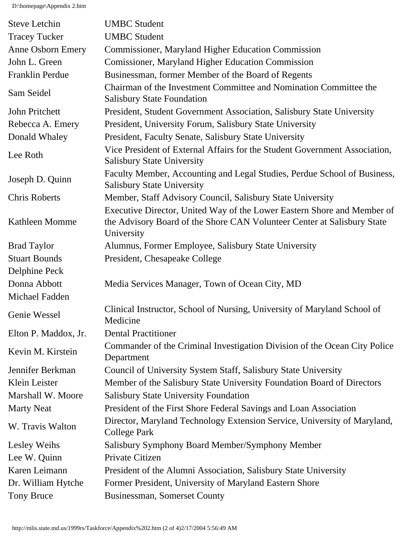D:\homepage\Appendix 2.htm

| <b>Steve Letchin</b>     | <b>UMBC</b> Student                                                                                                                                              |
|--------------------------|------------------------------------------------------------------------------------------------------------------------------------------------------------------|
| <b>Tracey Tucker</b>     | <b>UMBC</b> Student                                                                                                                                              |
| <b>Anne Osborn Emery</b> | <b>Commissioner, Maryland Higher Education Commission</b>                                                                                                        |
| John L. Green            | <b>Comissioner, Maryland Higher Education Commission</b>                                                                                                         |
| Franklin Perdue          | Businessman, former Member of the Board of Regents                                                                                                               |
| Sam Seidel               | Chairman of the Investment Committee and Nomination Committee the<br><b>Salisbury State Foundation</b>                                                           |
| John Pritchett           | President, Student Government Association, Salisbury State University                                                                                            |
| Rebecca A. Emery         | President, University Forum, Salisbury State University                                                                                                          |
| Donald Whaley            | President, Faculty Senate, Salisbury State University                                                                                                            |
| Lee Roth                 | Vice President of External Affairs for the Student Government Association,<br><b>Salisbury State University</b>                                                  |
| Joseph D. Quinn          | Faculty Member, Accounting and Legal Studies, Perdue School of Business,<br><b>Salisbury State University</b>                                                    |
| <b>Chris Roberts</b>     | Member, Staff Advisory Council, Salisbury State University                                                                                                       |
| <b>Kathleen Momme</b>    | Executive Director, United Way of the Lower Eastern Shore and Member of<br>the Advisory Board of the Shore CAN Volunteer Center at Salisbury State<br>University |
| <b>Brad Taylor</b>       | Alumnus, Former Employee, Salisbury State University                                                                                                             |
| <b>Stuart Bounds</b>     | President, Chesapeake College                                                                                                                                    |
| Delphine Peck            |                                                                                                                                                                  |
| Donna Abbott             | Media Services Manager, Town of Ocean City, MD                                                                                                                   |
| Michael Fadden           |                                                                                                                                                                  |
| Genie Wessel             | Clinical Instructor, School of Nursing, University of Maryland School of<br>Medicine                                                                             |
| Elton P. Maddox, Jr.     | <b>Dental Practitioner</b>                                                                                                                                       |
| Kevin M. Kirstein        | Commander of the Criminal Investigation Division of the Ocean City Police<br>Department                                                                          |
| Jennifer Berkman         | Council of University System Staff, Salisbury State University                                                                                                   |
| Klein Leister            | Member of the Salisbury State University Foundation Board of Directors                                                                                           |
| Marshall W. Moore        | <b>Salisbury State University Foundation</b>                                                                                                                     |
| <b>Marty Neat</b>        | President of the First Shore Federal Savings and Loan Association                                                                                                |
| W. Travis Walton         | Director, Maryland Technology Extension Service, University of Maryland,<br><b>College Park</b>                                                                  |
| Lesley Weihs             | Salisbury Symphony Board Member/Symphony Member                                                                                                                  |
| Lee W. Quinn             | Private Citizen                                                                                                                                                  |
| Karen Leimann            | President of the Alumni Association, Salisbury State University                                                                                                  |
| Dr. William Hytche       | Former President, University of Maryland Eastern Shore                                                                                                           |
| Tony Bruce               | Businessman, Somerset County                                                                                                                                     |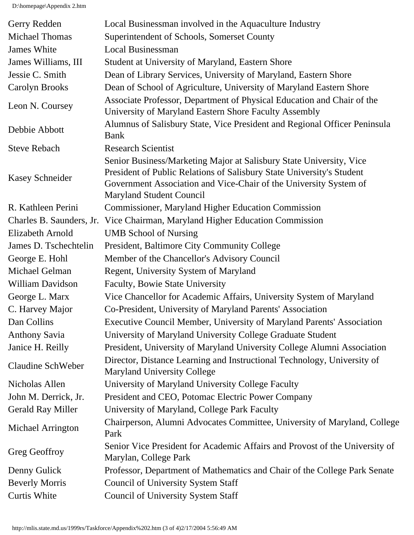D:\homepage\Appendix 2.htm

| Gerry Redden             | Local Businessman involved in the Aquaculture Industry                                                                                                                                                                                               |
|--------------------------|------------------------------------------------------------------------------------------------------------------------------------------------------------------------------------------------------------------------------------------------------|
| <b>Michael Thomas</b>    | Superintendent of Schools, Somerset County                                                                                                                                                                                                           |
| James White              | <b>Local Businessman</b>                                                                                                                                                                                                                             |
| James Williams, III      | Student at University of Maryland, Eastern Shore                                                                                                                                                                                                     |
| Jessie C. Smith          | Dean of Library Services, University of Maryland, Eastern Shore                                                                                                                                                                                      |
| Carolyn Brooks           | Dean of School of Agriculture, University of Maryland Eastern Shore                                                                                                                                                                                  |
| Leon N. Coursey          | Associate Professor, Department of Physical Education and Chair of the<br>University of Maryland Eastern Shore Faculty Assembly                                                                                                                      |
| Debbie Abbott            | Alumnus of Salisbury State, Vice President and Regional Officer Peninsula<br><b>Bank</b>                                                                                                                                                             |
| <b>Steve Rebach</b>      | <b>Research Scientist</b>                                                                                                                                                                                                                            |
| <b>Kasey Schneider</b>   | Senior Business/Marketing Major at Salisbury State University, Vice<br>President of Public Relations of Salisbury State University's Student<br>Government Association and Vice-Chair of the University System of<br><b>Maryland Student Council</b> |
| R. Kathleen Perini       | <b>Commissioner, Maryland Higher Education Commission</b>                                                                                                                                                                                            |
| Charles B. Saunders, Jr. | Vice Chairman, Maryland Higher Education Commission                                                                                                                                                                                                  |
| Elizabeth Arnold         | <b>UMB School of Nursing</b>                                                                                                                                                                                                                         |
| James D. Tschechtelin    | President, Baltimore City Community College                                                                                                                                                                                                          |
| George E. Hohl           | Member of the Chancellor's Advisory Council                                                                                                                                                                                                          |
| Michael Gelman           | Regent, University System of Maryland                                                                                                                                                                                                                |
| <b>William Davidson</b>  | <b>Faculty, Bowie State University</b>                                                                                                                                                                                                               |
| George L. Marx           | Vice Chancellor for Academic Affairs, University System of Maryland                                                                                                                                                                                  |
| C. Harvey Major          | Co-President, University of Maryland Parents' Association                                                                                                                                                                                            |
| Dan Collins              | Executive Council Member, University of Maryland Parents' Association                                                                                                                                                                                |
| <b>Anthony Savia</b>     | University of Maryland University College Graduate Student                                                                                                                                                                                           |
| Janice H. Reilly         | President, University of Maryland University College Alumni Association                                                                                                                                                                              |
| <b>Claudine SchWeber</b> | Director, Distance Learning and Instructional Technology, University of<br><b>Maryland University College</b>                                                                                                                                        |
| Nicholas Allen           | University of Maryland University College Faculty                                                                                                                                                                                                    |
| John M. Derrick, Jr.     | President and CEO, Potomac Electric Power Company                                                                                                                                                                                                    |
| <b>Gerald Ray Miller</b> | University of Maryland, College Park Faculty                                                                                                                                                                                                         |
| Michael Arrington        | Chairperson, Alumni Advocates Committee, University of Maryland, College<br>Park                                                                                                                                                                     |
| Greg Geoffroy            | Senior Vice President for Academic Affairs and Provost of the University of<br>Marylan, College Park                                                                                                                                                 |
| Denny Gulick             | Professor, Department of Mathematics and Chair of the College Park Senate                                                                                                                                                                            |
| <b>Beverly Morris</b>    | <b>Council of University System Staff</b>                                                                                                                                                                                                            |
| <b>Curtis White</b>      | <b>Council of University System Staff</b>                                                                                                                                                                                                            |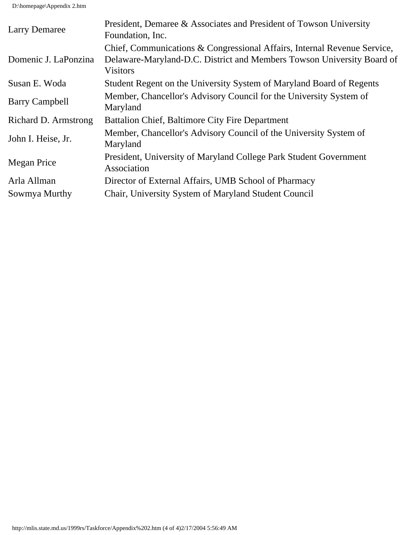D:\homepage\Appendix 2.htm

| <b>Larry Demaree</b>  | President, Demaree & Associates and President of Towson University<br>Foundation, Inc.                                                                                |
|-----------------------|-----------------------------------------------------------------------------------------------------------------------------------------------------------------------|
| Domenic J. LaPonzina  | Chief, Communications & Congressional Affairs, Internal Revenue Service,<br>Delaware-Maryland-D.C. District and Members Towson University Board of<br><b>Visitors</b> |
| Susan E. Woda         | Student Regent on the University System of Maryland Board of Regents                                                                                                  |
| <b>Barry Campbell</b> | Member, Chancellor's Advisory Council for the University System of<br>Maryland                                                                                        |
| Richard D. Armstrong  | <b>Battalion Chief, Baltimore City Fire Department</b>                                                                                                                |
| John I. Heise, Jr.    | Member, Chancellor's Advisory Council of the University System of<br>Maryland                                                                                         |
| Megan Price           | President, University of Maryland College Park Student Government<br>Association                                                                                      |
| Arla Allman           | Director of External Affairs, UMB School of Pharmacy                                                                                                                  |
| Sowmya Murthy         | Chair, University System of Maryland Student Council                                                                                                                  |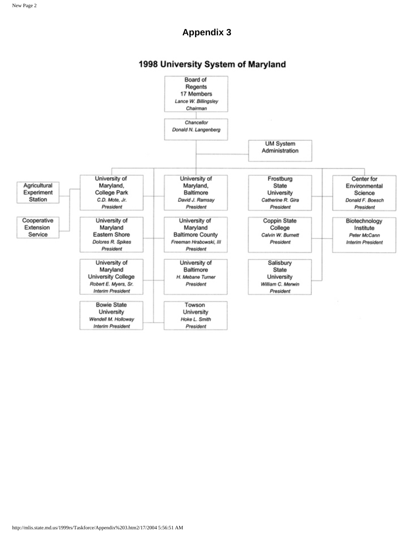#### 1998 University System of Maryland

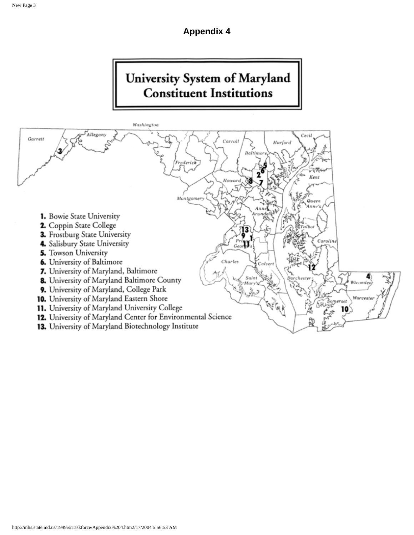# University System of Maryland **Constituent Institutions**

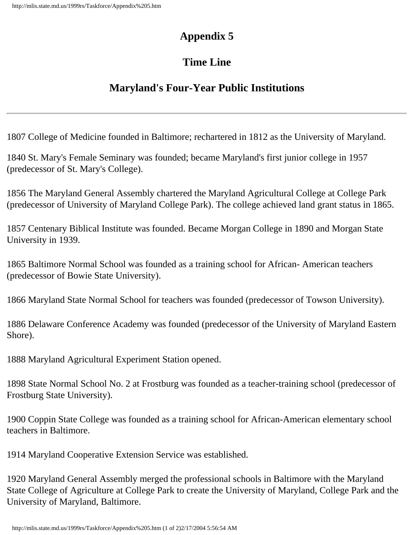# **Time Line**

# **Maryland's Four-Year Public Institutions**

1807 College of Medicine founded in Baltimore; rechartered in 1812 as the University of Maryland.

1840 St. Mary's Female Seminary was founded; became Maryland's first junior college in 1957 (predecessor of St. Mary's College).

1856 The Maryland General Assembly chartered the Maryland Agricultural College at College Park (predecessor of University of Maryland College Park). The college achieved land grant status in 1865.

1857 Centenary Biblical Institute was founded. Became Morgan College in 1890 and Morgan State University in 1939.

1865 Baltimore Normal School was founded as a training school for African- American teachers (predecessor of Bowie State University).

1866 Maryland State Normal School for teachers was founded (predecessor of Towson University).

1886 Delaware Conference Academy was founded (predecessor of the University of Maryland Eastern Shore).

1888 Maryland Agricultural Experiment Station opened.

1898 State Normal School No. 2 at Frostburg was founded as a teacher-training school (predecessor of Frostburg State University).

1900 Coppin State College was founded as a training school for African-American elementary school teachers in Baltimore.

1914 Maryland Cooperative Extension Service was established.

1920 Maryland General Assembly merged the professional schools in Baltimore with the Maryland State College of Agriculture at College Park to create the University of Maryland, College Park and the University of Maryland, Baltimore.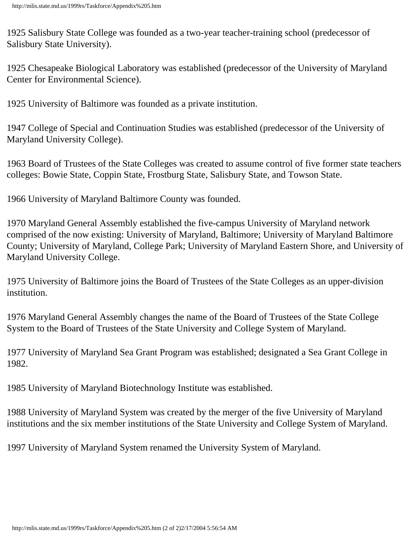1925 Salisbury State College was founded as a two-year teacher-training school (predecessor of Salisbury State University).

1925 Chesapeake Biological Laboratory was established (predecessor of the University of Maryland Center for Environmental Science).

1925 University of Baltimore was founded as a private institution.

1947 College of Special and Continuation Studies was established (predecessor of the University of Maryland University College).

1963 Board of Trustees of the State Colleges was created to assume control of five former state teachers colleges: Bowie State, Coppin State, Frostburg State, Salisbury State, and Towson State.

1966 University of Maryland Baltimore County was founded.

1970 Maryland General Assembly established the five-campus University of Maryland network comprised of the now existing: University of Maryland, Baltimore; University of Maryland Baltimore County; University of Maryland, College Park; University of Maryland Eastern Shore, and University of Maryland University College.

1975 University of Baltimore joins the Board of Trustees of the State Colleges as an upper-division institution.

1976 Maryland General Assembly changes the name of the Board of Trustees of the State College System to the Board of Trustees of the State University and College System of Maryland.

1977 University of Maryland Sea Grant Program was established; designated a Sea Grant College in 1982.

1985 University of Maryland Biotechnology Institute was established.

1988 University of Maryland System was created by the merger of the five University of Maryland institutions and the six member institutions of the State University and College System of Maryland.

1997 University of Maryland System renamed the University System of Maryland.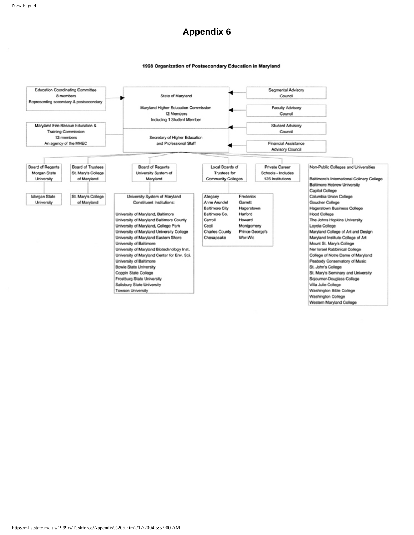#### 1998 Organization of Postsecondary Education in Maryland

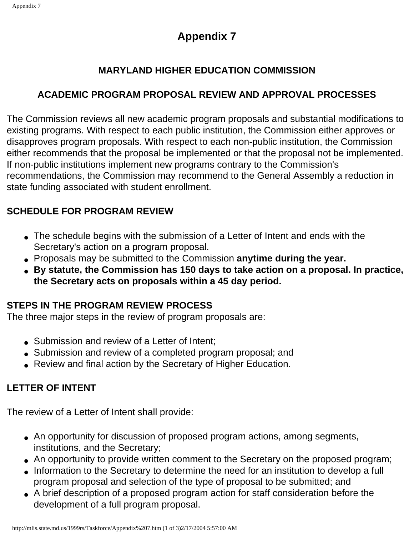### **MARYLAND HIGHER EDUCATION COMMISSION**

### **ACADEMIC PROGRAM PROPOSAL REVIEW AND APPROVAL PROCESSES**

The Commission reviews all new academic program proposals and substantial modifications to existing programs. With respect to each public institution, the Commission either approves or disapproves program proposals. With respect to each non-public institution, the Commission either recommends that the proposal be implemented or that the proposal not be implemented. If non-public institutions implement new programs contrary to the Commission's recommendations, the Commission may recommend to the General Assembly a reduction in state funding associated with student enrollment.

### **SCHEDULE FOR PROGRAM REVIEW**

- The schedule begins with the submission of a Letter of Intent and ends with the Secretary's action on a program proposal.
- Proposals may be submitted to the Commission **anytime during the year.**
- **By statute, the Commission has 150 days to take action on a proposal. In practice, the Secretary acts on proposals within a 45 day period.**

### **STEPS IN THE PROGRAM REVIEW PROCESS**

The three major steps in the review of program proposals are:

- Submission and review of a Letter of Intent;
- Submission and review of a completed program proposal; and
- Review and final action by the Secretary of Higher Education.

### **LETTER OF INTENT**

The review of a Letter of Intent shall provide:

- An opportunity for discussion of proposed program actions, among segments, institutions, and the Secretary;
- An opportunity to provide written comment to the Secretary on the proposed program;
- Information to the Secretary to determine the need for an institution to develop a full program proposal and selection of the type of proposal to be submitted; and
- A brief description of a proposed program action for staff consideration before the development of a full program proposal.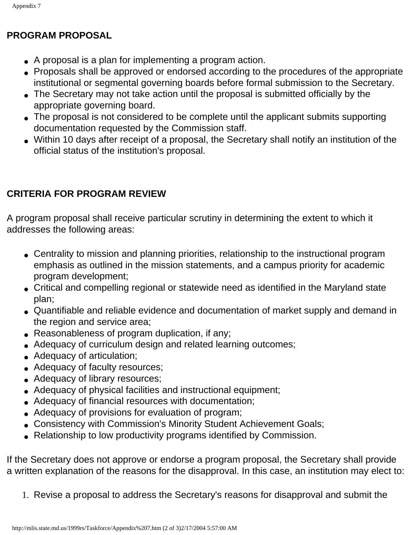### **PROGRAM PROPOSAL**

- A proposal is a plan for implementing a program action.
- Proposals shall be approved or endorsed according to the procedures of the appropriate institutional or segmental governing boards before formal submission to the Secretary.
- The Secretary may not take action until the proposal is submitted officially by the appropriate governing board.
- The proposal is not considered to be complete until the applicant submits supporting documentation requested by the Commission staff.
- Within 10 days after receipt of a proposal, the Secretary shall notify an institution of the official status of the institution's proposal.

### **CRITERIA FOR PROGRAM REVIEW**

A program proposal shall receive particular scrutiny in determining the extent to which it addresses the following areas:

- Centrality to mission and planning priorities, relationship to the instructional program emphasis as outlined in the mission statements, and a campus priority for academic program development;
- Critical and compelling regional or statewide need as identified in the Maryland state plan;
- Quantifiable and reliable evidence and documentation of market supply and demand in the region and service area;
- Reasonableness of program duplication, if any;
- Adequacy of curriculum design and related learning outcomes;
- Adequacy of articulation;
- Adequacy of faculty resources;
- Adequacy of library resources;
- Adequacy of physical facilities and instructional equipment;
- Adequacy of financial resources with documentation;
- Adequacy of provisions for evaluation of program;
- Consistency with Commission's Minority Student Achievement Goals;
- Relationship to low productivity programs identified by Commission.

If the Secretary does not approve or endorse a program proposal, the Secretary shall provide a written explanation of the reasons for the disapproval. In this case, an institution may elect to:

1. Revise a proposal to address the Secretary's reasons for disapproval and submit the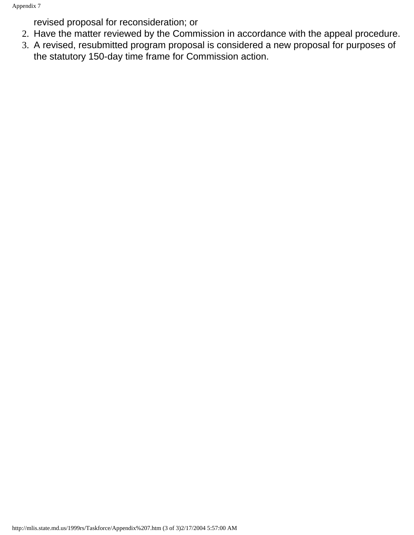revised proposal for reconsideration; or

- 2. Have the matter reviewed by the Commission in accordance with the appeal procedure.
- 3. A revised, resubmitted program proposal is considered a new proposal for purposes of the statutory 150-day time frame for Commission action.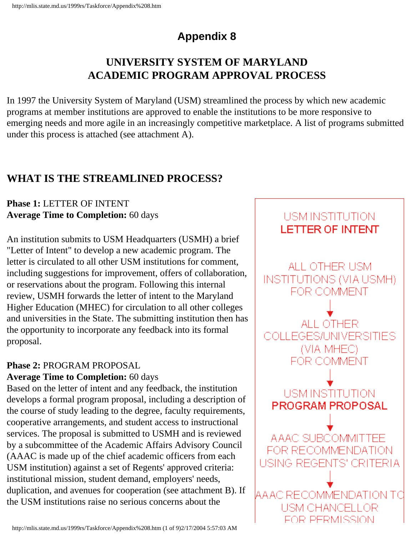# **UNIVERSITY SYSTEM OF MARYLAND ACADEMIC PROGRAM APPROVAL PROCESS**

In 1997 the University System of Maryland (USM) streamlined the process by which new academic programs at member institutions are approved to enable the institutions to be more responsive to emerging needs and more agile in an increasingly competitive marketplace. A list of programs submitted under this process is attached (see attachment A).

# **WHAT IS THE STREAMLINED PROCESS?**

#### **Phase 1:** LETTER OF INTENT **Average Time to Completion:** 60 days

An institution submits to USM Headquarters (USMH) a brief "Letter of Intent" to develop a new academic program. The letter is circulated to all other USM institutions for comment, including suggestions for improvement, offers of collaboration, or reservations about the program. Following this internal review, USMH forwards the letter of intent to the Maryland Higher Education (MHEC) for circulation to all other colleges and universities in the State. The submitting institution then has the opportunity to incorporate any feedback into its formal proposal.

### **Phase 2:** PROGRAM PROPOSAL

#### **Average Time to Completion:** 60 days

Based on the letter of intent and any feedback, the institution develops a formal program proposal, including a description of the course of study leading to the degree, faculty requirements, cooperative arrangements, and student access to instructional services. The proposal is submitted to USMH and is reviewed by a subcommittee of the Academic Affairs Advisory Council (AAAC is made up of the chief academic officers from each USM institution) against a set of Regents' approved criteria: institutional mission, student demand, employers' needs, duplication, and avenues for cooperation (see attachment B). If the USM institutions raise no serious concerns about the

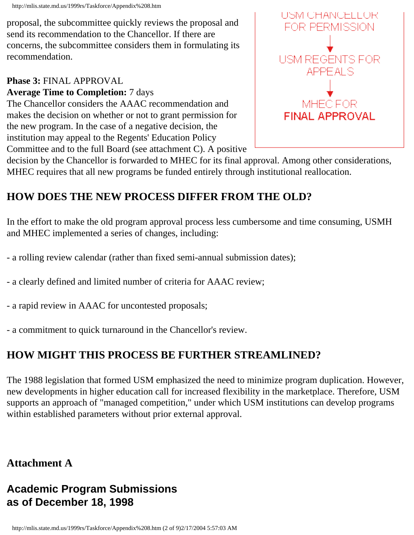http://mlis.state.md.us/1999rs/Taskforce/Appendix%208.htm

proposal, the subcommittee quickly reviews the proposal and send its recommendation to the Chancellor. If there are concerns, the subcommittee considers them in formulating its recommendation.

#### **Phase 3:** FINAL APPROVAL **Average Time to Completion:** 7 days

The Chancellor considers the AAAC recommendation and makes the decision on whether or not to grant permission for the new program. In the case of a negative decision, the institution may appeal to the Regents' Education Policy Committee and to the full Board (see attachment C). A positive



decision by the Chancellor is forwarded to MHEC for its final approval. Among other considerations, MHEC requires that all new programs be funded entirely through institutional reallocation.

# **HOW DOES THE NEW PROCESS DIFFER FROM THE OLD?**

In the effort to make the old program approval process less cumbersome and time consuming, USMH and MHEC implemented a series of changes, including:

- a rolling review calendar (rather than fixed semi-annual submission dates);
- a clearly defined and limited number of criteria for AAAC review;
- a rapid review in AAAC for uncontested proposals;
- a commitment to quick turnaround in the Chancellor's review.

# **HOW MIGHT THIS PROCESS BE FURTHER STREAMLINED?**

The 1988 legislation that formed USM emphasized the need to minimize program duplication. However, new developments in higher education call for increased flexibility in the marketplace. Therefore, USM supports an approach of "managed competition," under which USM institutions can develop programs within established parameters without prior external approval.

# **Attachment A**

# **Academic Program Submissions as of December 18, 1998**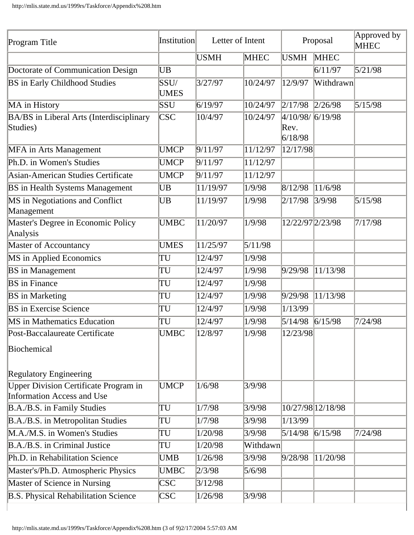| Program Title                                                                     | Institution         | Letter of Intent |             | Proposal                           |                   | Approved by<br><b>MHEC</b> |
|-----------------------------------------------------------------------------------|---------------------|------------------|-------------|------------------------------------|-------------------|----------------------------|
|                                                                                   |                     | <b>USMH</b>      | <b>MHEC</b> | <b>USMH</b>                        | <b>MHEC</b>       |                            |
| Doctorate of Communication Design                                                 | UB                  |                  |             |                                    | 6/11/97           | 5/21/98                    |
| <b>BS</b> in Early Childhood Studies                                              | SSU/<br><b>UMES</b> | 3/27/97          | 10/24/97    | 12/9/97                            | Withdrawn         |                            |
| MA in History                                                                     | SSU                 | 6/19/97          | 10/24/97    | 2/17/98                            | 2/26/98           | 5/15/98                    |
| BA/BS in Liberal Arts (Interdisciplinary<br>Studies)                              | CSC                 | 10/4/97          | 10/24/97    | 4/10/98/6/19/98<br>Rev.<br>6/18/98 |                   |                            |
| <b>MFA</b> in Arts Management                                                     | <b>UMCP</b>         | 9/11/97          | 11/12/97    | 12/17/98                           |                   |                            |
| Ph.D. in Women's Studies                                                          | <b>UMCP</b>         | 9/11/97          | 11/12/97    |                                    |                   |                            |
| <b>Asian-American Studies Certificate</b>                                         | <b>UMCP</b>         | 9/11/97          | 11/12/97    |                                    |                   |                            |
| <b>BS</b> in Health Systems Management                                            | UB                  | 11/19/97         | 1/9/98      | 8/12/98                            | 11/6/98           |                            |
| MS in Negotiations and Conflict<br>Management                                     | UB                  | 11/19/97         | 1/9/98      | 2/17/98                            | 3/9/98            | 5/15/98                    |
| Master's Degree in Economic Policy<br>Analysis                                    | <b>UMBC</b>         | 11/20/97         | 1/9/98      | 12/22/97 2/23/98                   |                   | 7/17/98                    |
| <b>Master of Accountancy</b>                                                      | <b>UMES</b>         | 11/25/97         | 5/11/98     |                                    |                   |                            |
| MS in Applied Economics                                                           | TU                  | 12/4/97          | 1/9/98      |                                    |                   |                            |
| <b>BS</b> in Management                                                           | TU                  | 12/4/97          | 1/9/98      | 9/29/98                            | 11/13/98          |                            |
| <b>BS</b> in Finance                                                              | TU                  | 12/4/97          | 1/9/98      |                                    |                   |                            |
| <b>BS</b> in Marketing                                                            | TU                  | 12/4/97          | 1/9/98      | 9/29/98                            | 11/13/98          |                            |
| <b>BS</b> in Exercise Science                                                     | TU                  | 12/4/97          | 1/9/98      | 1/13/99                            |                   |                            |
| <b>MS</b> in Mathematics Education                                                | TU                  | 12/4/97          | 1/9/98      | 5/14/98                            | 6/15/98           | 7/24/98                    |
| Post-Baccalaureate Certificate<br>Biochemical<br><b>Regulatory Engineering</b>    | <b>UMBC</b>         | 12/8/97          | 1/9/98      | 12/23/98                           |                   |                            |
| <b>Upper Division Certificate Program in</b><br><b>Information Access and Use</b> | <b>UMCP</b>         | 1/6/98           | 3/9/98      |                                    |                   |                            |
| B.A./B.S. in Family Studies                                                       | TU                  | 1/7/98           | 3/9/98      |                                    | 10/27/98 12/18/98 |                            |
| B.A./B.S. in Metropolitan Studies                                                 | TU                  | 1/7/98           | 3/9/98      | 1/13/99                            |                   |                            |
| M.A./M.S. in Women's Studies                                                      | TU                  | 1/20/98          | 3/9/98      | 5/14/98                            | 6/15/98           | 7/24/98                    |
| B.A./B.S. in Criminal Justice                                                     | TU                  | 1/20/98          | Withdawn    |                                    |                   |                            |
| Ph.D. in Rehabilitation Science                                                   | UMB                 | 1/26/98          | 3/9/98      | 9/28/98                            | 11/20/98          |                            |
| Master's/Ph.D. Atmospheric Physics                                                | <b>UMBC</b>         | 2/3/98           | 5/6/98      |                                    |                   |                            |
| Master of Science in Nursing                                                      | <b>CSC</b>          | 3/12/98          |             |                                    |                   |                            |
| <b>B.S. Physical Rehabilitation Science</b>                                       | <b>CSC</b>          | 1/26/98          | 3/9/98      |                                    |                   |                            |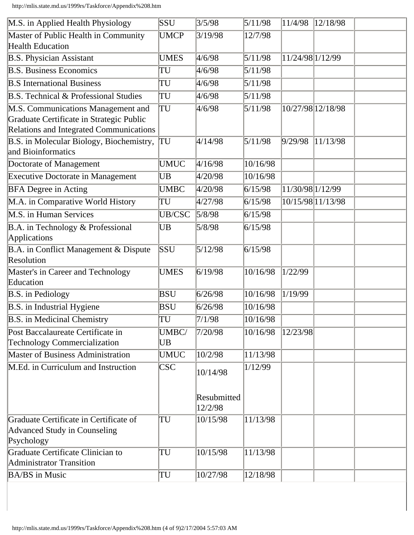http://mlis.state.md.us/1999rs/Taskforce/Appendix%208.htm

| M.S. in Applied Health Physiology                                                    | SSU           | 3/5/98                 | 5/11/98          | 11/4/98          | 12/18/98          |
|--------------------------------------------------------------------------------------|---------------|------------------------|------------------|------------------|-------------------|
| Master of Public Health in Community<br><b>Health Education</b>                      | <b>UMCP</b>   | 3/19/98                | 12/7/98          |                  |                   |
| <b>B.S. Physician Assistant</b>                                                      | <b>UMES</b>   | 4/6/98                 | 5/11/98          | 11/24/98 1/12/99 |                   |
| <b>B.S. Business Economics</b>                                                       | TU            | 4/6/98                 | 5/11/98          |                  |                   |
| <b>B.S</b> International Business                                                    | TU            | 4/6/98                 | $\sqrt{5}/11/98$ |                  |                   |
| <b>B.S. Technical &amp; Professional Studies</b>                                     | TU            | 4/6/98                 | 5/11/98          |                  |                   |
| M.S. Communications Management and                                                   | TU            | 4/6/98                 | 5/11/98          |                  | 10/27/98 12/18/98 |
| Graduate Certificate in Strategic Public<br>Relations and Integrated Communications  |               |                        |                  |                  |                   |
| B.S. in Molecular Biology, Biochemistry,<br>and Bioinformatics                       | TU            | 4/14/98                | 5/11/98          | 9/29/98          | 11/13/98          |
| Doctorate of Management                                                              | <b>UMUC</b>   | 4/16/98                | 10/16/98         |                  |                   |
| <b>Executive Doctorate in Management</b>                                             | UB            | 4/20/98                | 10/16/98         |                  |                   |
| <b>BFA</b> Degree in Acting                                                          | <b>UMBC</b>   | 4/20/98                | 6/15/98          | 11/30/98 1/12/99 |                   |
| M.A. in Comparative World History                                                    | TU            | 4/27/98                | 6/15/98          |                  | 10/15/98 11/13/98 |
| M.S. in Human Services                                                               | <b>UB/CSC</b> | 5/8/98                 | 6/15/98          |                  |                   |
| B.A. in Technology & Professional<br>Applications                                    | <b>UB</b>     | 5/8/98                 | 6/15/98          |                  |                   |
| B.A. in Conflict Management & Dispute<br>Resolution                                  | SSU           | 5/12/98                | 6/15/98          |                  |                   |
| Master's in Career and Technology<br>Education                                       | <b>UMES</b>   | 6/19/98                | 10/16/98         | 1/22/99          |                   |
| <b>B.S.</b> in Pediology                                                             | <b>BSU</b>    | 6/26/98                | 10/16/98         | 1/19/99          |                   |
| <b>B.S.</b> in Industrial Hygiene                                                    | <b>BSU</b>    | 6/26/98                | 10/16/98         |                  |                   |
| <b>B.S.</b> in Medicinal Chemistry                                                   | TU            | $\sqrt{7/1/98}$        | 10/16/98         |                  |                   |
| Post Baccalaureate Certificate in<br>Technology Commercialization                    | UMBC/<br>UB   | 7/20/98                | 10/16/98         | 12/23/98         |                   |
| Master of Business Administration                                                    | <b>UMUC</b>   | 10/2/98                | 11/13/98         |                  |                   |
| M.Ed. in Curriculum and Instruction                                                  | <b>CSC</b>    | 10/14/98               | 1/12/99          |                  |                   |
|                                                                                      |               | Resubmitted<br>12/2/98 |                  |                  |                   |
| Graduate Certificate in Certificate of<br>Advanced Study in Counseling<br>Psychology | TU            | 10/15/98               | 11/13/98         |                  |                   |
| Graduate Certificate Clinician to<br><b>Administrator Transition</b>                 | TU            | 10/15/98               | 11/13/98         |                  |                   |
| <b>BA/BS</b> in Music                                                                |               | 10/27/98               | 12/18/98         |                  |                   |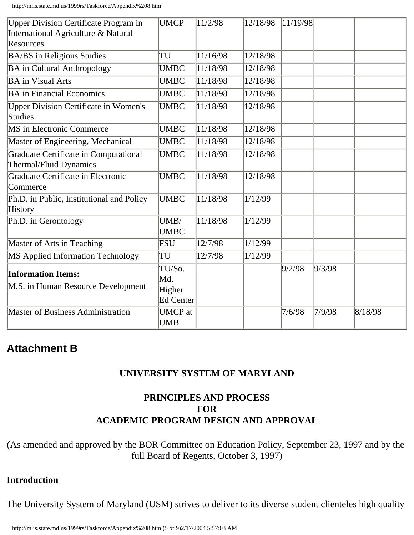http://mlis.state.md.us/1999rs/Taskforce/Appendix%208.htm

| <b>Upper Division Certificate Program in</b><br>International Agriculture & Natural | <b>UMCP</b>                                 | 11/2/98  | 12/18/98               | 11/19/98 |        |         |
|-------------------------------------------------------------------------------------|---------------------------------------------|----------|------------------------|----------|--------|---------|
| Resources                                                                           |                                             |          |                        |          |        |         |
| <b>BA/BS</b> in Religious Studies                                                   | TU                                          | 11/16/98 | 12/18/98               |          |        |         |
| <b>BA</b> in Cultural Anthropology                                                  | <b>UMBC</b>                                 | 11/18/98 | $\frac{12}{12}$ /18/98 |          |        |         |
| <b>BA</b> in Visual Arts                                                            | <b>UMBC</b>                                 | 11/18/98 | 12/18/98               |          |        |         |
| <b>BA</b> in Financial Economics                                                    | <b>UMBC</b>                                 | 11/18/98 | 12/18/98               |          |        |         |
| <b>Upper Division Certificate in Women's</b><br>Studies                             | <b>UMBC</b>                                 | 11/18/98 | 12/18/98               |          |        |         |
| MS in Electronic Commerce                                                           | <b>UMBC</b>                                 | 11/18/98 | 12/18/98               |          |        |         |
| Master of Engineering, Mechanical                                                   | <b>UMBC</b>                                 | 11/18/98 | 12/18/98               |          |        |         |
| Graduate Certificate in Computational<br>Thermal/Fluid Dynamics                     | <b>UMBC</b>                                 | 11/18/98 | 12/18/98               |          |        |         |
| Graduate Certificate in Electronic<br>Commerce                                      | <b>UMBC</b>                                 | 11/18/98 | 12/18/98               |          |        |         |
| Ph.D. in Public, Institutional and Policy<br><b>History</b>                         | <b>UMBC</b>                                 | 11/18/98 | 1/12/99                |          |        |         |
| Ph.D. in Gerontology                                                                | UMB/<br><b>UMBC</b>                         | 11/18/98 | 1/12/99                |          |        |         |
| Master of Arts in Teaching                                                          | FSU                                         | 12/7/98  | 1/12/99                |          |        |         |
| MS Applied Information Technology                                                   | TU                                          | 12/7/98  | 1/12/99                |          |        |         |
| <b>Information Items:</b><br>M.S. in Human Resource Development                     | TU/So.<br>Md.<br>Higher<br><b>Ed Center</b> |          |                        | 9/2/98   | 9/3/98 |         |
| <b>Master of Business Administration</b>                                            | <b>UMCP</b> at<br><b>UMB</b>                |          |                        | 7/6/98   | 7/9/98 | 8/18/98 |

### **Attachment B**

#### **UNIVERSITY SYSTEM OF MARYLAND**

#### **PRINCIPLES AND PROCESS FOR ACADEMIC PROGRAM DESIGN AND APPROVAL**

(As amended and approved by the BOR Committee on Education Policy, September 23, 1997 and by the full Board of Regents, October 3, 1997)

#### **Introduction**

The University System of Maryland (USM) strives to deliver to its diverse student clienteles high quality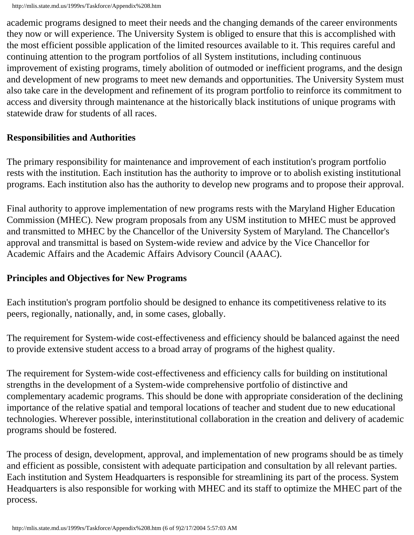academic programs designed to meet their needs and the changing demands of the career environments they now or will experience. The University System is obliged to ensure that this is accomplished with the most efficient possible application of the limited resources available to it. This requires careful and continuing attention to the program portfolios of all System institutions, including continuous improvement of existing programs, timely abolition of outmoded or inefficient programs, and the design and development of new programs to meet new demands and opportunities. The University System must also take care in the development and refinement of its program portfolio to reinforce its commitment to access and diversity through maintenance at the historically black institutions of unique programs with statewide draw for students of all races.

#### **Responsibilities and Authorities**

The primary responsibility for maintenance and improvement of each institution's program portfolio rests with the institution. Each institution has the authority to improve or to abolish existing institutional programs. Each institution also has the authority to develop new programs and to propose their approval.

Final authority to approve implementation of new programs rests with the Maryland Higher Education Commission (MHEC). New program proposals from any USM institution to MHEC must be approved and transmitted to MHEC by the Chancellor of the University System of Maryland. The Chancellor's approval and transmittal is based on System-wide review and advice by the Vice Chancellor for Academic Affairs and the Academic Affairs Advisory Council (AAAC).

#### **Principles and Objectives for New Programs**

Each institution's program portfolio should be designed to enhance its competitiveness relative to its peers, regionally, nationally, and, in some cases, globally.

The requirement for System-wide cost-effectiveness and efficiency should be balanced against the need to provide extensive student access to a broad array of programs of the highest quality.

The requirement for System-wide cost-effectiveness and efficiency calls for building on institutional strengths in the development of a System-wide comprehensive portfolio of distinctive and complementary academic programs. This should be done with appropriate consideration of the declining importance of the relative spatial and temporal locations of teacher and student due to new educational technologies. Wherever possible, interinstitutional collaboration in the creation and delivery of academic programs should be fostered.

The process of design, development, approval, and implementation of new programs should be as timely and efficient as possible, consistent with adequate participation and consultation by all relevant parties. Each institution and System Headquarters is responsible for streamlining its part of the process. System Headquarters is also responsible for working with MHEC and its staff to optimize the MHEC part of the process.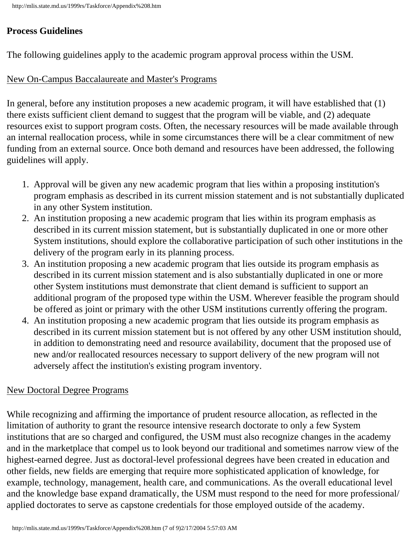### **Process Guidelines**

The following guidelines apply to the academic program approval process within the USM.

### New On-Campus Baccalaureate and Master's Programs

In general, before any institution proposes a new academic program, it will have established that (1) there exists sufficient client demand to suggest that the program will be viable, and (2) adequate resources exist to support program costs. Often, the necessary resources will be made available through an internal reallocation process, while in some circumstances there will be a clear commitment of new funding from an external source. Once both demand and resources have been addressed, the following guidelines will apply.

- 1. Approval will be given any new academic program that lies within a proposing institution's program emphasis as described in its current mission statement and is not substantially duplicated in any other System institution.
- 2. An institution proposing a new academic program that lies within its program emphasis as described in its current mission statement, but is substantially duplicated in one or more other System institutions, should explore the collaborative participation of such other institutions in the delivery of the program early in its planning process.
- 3. An institution proposing a new academic program that lies outside its program emphasis as described in its current mission statement and is also substantially duplicated in one or more other System institutions must demonstrate that client demand is sufficient to support an additional program of the proposed type within the USM. Wherever feasible the program should be offered as joint or primary with the other USM institutions currently offering the program.
- 4. An institution proposing a new academic program that lies outside its program emphasis as described in its current mission statement but is not offered by any other USM institution should, in addition to demonstrating need and resource availability, document that the proposed use of new and/or reallocated resources necessary to support delivery of the new program will not adversely affect the institution's existing program inventory.

### New Doctoral Degree Programs

While recognizing and affirming the importance of prudent resource allocation, as reflected in the limitation of authority to grant the resource intensive research doctorate to only a few System institutions that are so charged and configured, the USM must also recognize changes in the academy and in the marketplace that compel us to look beyond our traditional and sometimes narrow view of the highest-earned degree. Just as doctoral-level professional degrees have been created in education and other fields, new fields are emerging that require more sophisticated application of knowledge, for example, technology, management, health care, and communications. As the overall educational level and the knowledge base expand dramatically, the USM must respond to the need for more professional/ applied doctorates to serve as capstone credentials for those employed outside of the academy.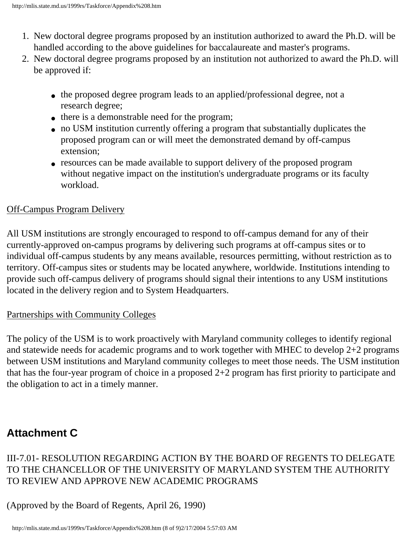- 1. New doctoral degree programs proposed by an institution authorized to award the Ph.D. will be handled according to the above guidelines for baccalaureate and master's programs.
- 2. New doctoral degree programs proposed by an institution not authorized to award the Ph.D. will be approved if:
	- the proposed degree program leads to an applied/professional degree, not a research degree;
	- there is a demonstrable need for the program;
	- no USM institution currently offering a program that substantially duplicates the proposed program can or will meet the demonstrated demand by off-campus extension;
	- resources can be made available to support delivery of the proposed program without negative impact on the institution's undergraduate programs or its faculty workload.

### Off-Campus Program Delivery

All USM institutions are strongly encouraged to respond to off-campus demand for any of their currently-approved on-campus programs by delivering such programs at off-campus sites or to individual off-campus students by any means available, resources permitting, without restriction as to territory. Off-campus sites or students may be located anywhere, worldwide. Institutions intending to provide such off-campus delivery of programs should signal their intentions to any USM institutions located in the delivery region and to System Headquarters.

#### Partnerships with Community Colleges

The policy of the USM is to work proactively with Maryland community colleges to identify regional and statewide needs for academic programs and to work together with MHEC to develop 2+2 programs between USM institutions and Maryland community colleges to meet those needs. The USM institution that has the four-year program of choice in a proposed 2+2 program has first priority to participate and the obligation to act in a timely manner.

# **Attachment C**

### III-7.01- RESOLUTION REGARDING ACTION BY THE BOARD OF REGENTS TO DELEGATE TO THE CHANCELLOR OF THE UNIVERSITY OF MARYLAND SYSTEM THE AUTHORITY TO REVIEW AND APPROVE NEW ACADEMIC PROGRAMS

(Approved by the Board of Regents, April 26, 1990)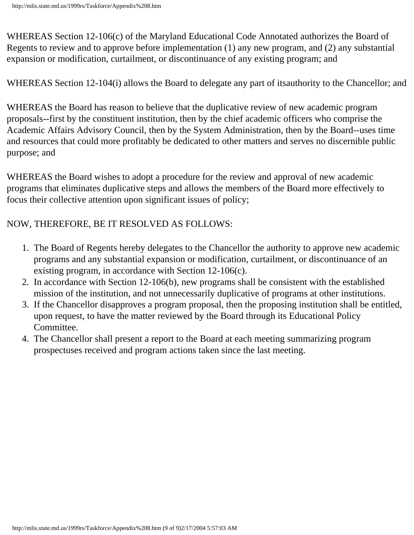WHEREAS Section 12-106(c) of the Maryland Educational Code Annotated authorizes the Board of Regents to review and to approve before implementation (1) any new program, and (2) any substantial expansion or modification, curtailment, or discontinuance of any existing program; and

WHEREAS Section 12-104(i) allows the Board to delegate any part of itsauthority to the Chancellor; and

WHEREAS the Board has reason to believe that the duplicative review of new academic program proposals--first by the constituent institution, then by the chief academic officers who comprise the Academic Affairs Advisory Council, then by the System Administration, then by the Board--uses time and resources that could more profitably be dedicated to other matters and serves no discernible public purpose; and

WHEREAS the Board wishes to adopt a procedure for the review and approval of new academic programs that eliminates duplicative steps and allows the members of the Board more effectively to focus their collective attention upon significant issues of policy;

#### NOW, THEREFORE, BE IT RESOLVED AS FOLLOWS:

- 1. The Board of Regents hereby delegates to the Chancellor the authority to approve new academic programs and any substantial expansion or modification, curtailment, or discontinuance of an existing program, in accordance with Section 12-106(c).
- 2. In accordance with Section 12-106(b), new programs shall be consistent with the established mission of the institution, and not unnecessarily duplicative of programs at other institutions.
- 3. If the Chancellor disapproves a program proposal, then the proposing institution shall be entitled, upon request, to have the matter reviewed by the Board through its Educational Policy Committee.
- 4. The Chancellor shall present a report to the Board at each meeting summarizing program prospectuses received and program actions taken since the last meeting.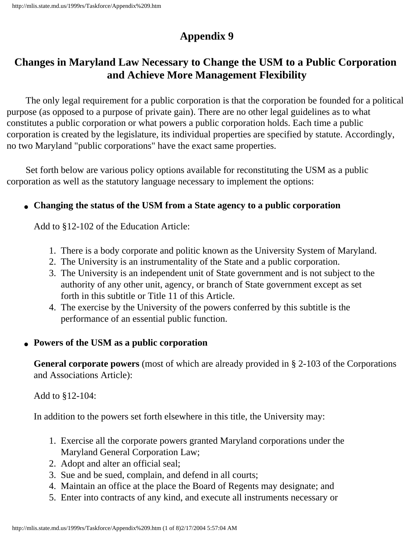# **Changes in Maryland Law Necessary to Change the USM to a Public Corporation and Achieve More Management Flexibility**

 The only legal requirement for a public corporation is that the corporation be founded for a political purpose (as opposed to a purpose of private gain). There are no other legal guidelines as to what constitutes a public corporation or what powers a public corporation holds. Each time a public corporation is created by the legislature, its individual properties are specified by statute. Accordingly, no two Maryland "public corporations" have the exact same properties.

 Set forth below are various policy options available for reconstituting the USM as a public corporation as well as the statutory language necessary to implement the options:

#### ● **Changing the status of the USM from a State agency to a public corporation**

Add to §12-102 of the Education Article:

- 1. There is a body corporate and politic known as the University System of Maryland.
- 2. The University is an instrumentality of the State and a public corporation.
- 3. The University is an independent unit of State government and is not subject to the authority of any other unit, agency, or branch of State government except as set forth in this subtitle or Title 11 of this Article.
- 4. The exercise by the University of the powers conferred by this subtitle is the performance of an essential public function.

#### ● **Powers of the USM as a public corporation**

**General corporate powers** (most of which are already provided in § 2-103 of the Corporations and Associations Article):

Add to §12-104:

In addition to the powers set forth elsewhere in this title, the University may:

- 1. Exercise all the corporate powers granted Maryland corporations under the Maryland General Corporation Law;
- 2. Adopt and alter an official seal;
- 3. Sue and be sued, complain, and defend in all courts;
- 4. Maintain an office at the place the Board of Regents may designate; and
- 5. Enter into contracts of any kind, and execute all instruments necessary or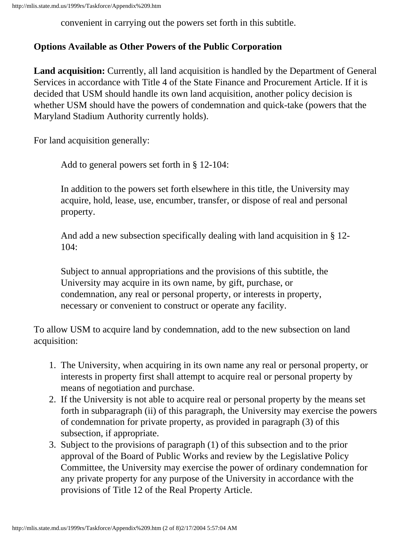convenient in carrying out the powers set forth in this subtitle.

#### **Options Available as Other Powers of the Public Corporation**

**Land acquisition:** Currently, all land acquisition is handled by the Department of General Services in accordance with Title 4 of the State Finance and Procurement Article. If it is decided that USM should handle its own land acquisition, another policy decision is whether USM should have the powers of condemnation and quick-take (powers that the Maryland Stadium Authority currently holds).

For land acquisition generally:

Add to general powers set forth in § 12-104:

In addition to the powers set forth elsewhere in this title, the University may acquire, hold, lease, use, encumber, transfer, or dispose of real and personal property.

And add a new subsection specifically dealing with land acquisition in § 12- 104:

Subject to annual appropriations and the provisions of this subtitle, the University may acquire in its own name, by gift, purchase, or condemnation, any real or personal property, or interests in property, necessary or convenient to construct or operate any facility.

To allow USM to acquire land by condemnation, add to the new subsection on land acquisition:

- 1. The University, when acquiring in its own name any real or personal property, or interests in property first shall attempt to acquire real or personal property by means of negotiation and purchase.
- 2. If the University is not able to acquire real or personal property by the means set forth in subparagraph (ii) of this paragraph, the University may exercise the powers of condemnation for private property, as provided in paragraph (3) of this subsection, if appropriate.
- 3. Subject to the provisions of paragraph (1) of this subsection and to the prior approval of the Board of Public Works and review by the Legislative Policy Committee, the University may exercise the power of ordinary condemnation for any private property for any purpose of the University in accordance with the provisions of Title 12 of the Real Property Article.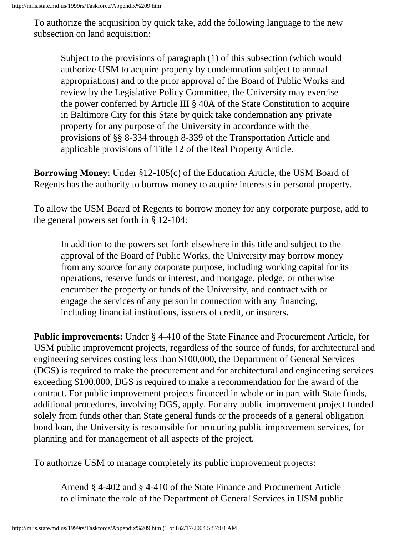To authorize the acquisition by quick take, add the following language to the new subsection on land acquisition:

Subject to the provisions of paragraph (1) of this subsection (which would authorize USM to acquire property by condemnation subject to annual appropriations) and to the prior approval of the Board of Public Works and review by the Legislative Policy Committee, the University may exercise the power conferred by Article III § 40A of the State Constitution to acquire in Baltimore City for this State by quick take condemnation any private property for any purpose of the University in accordance with the provisions of §§ 8-334 through 8-339 of the Transportation Article and applicable provisions of Title 12 of the Real Property Article.

**Borrowing Money**: Under §12-105(c) of the Education Article, the USM Board of Regents has the authority to borrow money to acquire interests in personal property.

To allow the USM Board of Regents to borrow money for any corporate purpose, add to the general powers set forth in § 12-104:

In addition to the powers set forth elsewhere in this title and subject to the approval of the Board of Public Works, the University may borrow money from any source for any corporate purpose, including working capital for its operations, reserve funds or interest, and mortgage, pledge, or otherwise encumber the property or funds of the University, and contract with or engage the services of any person in connection with any financing, including financial institutions, issuers of credit, or insurers**.**

**Public improvements:** Under § 4-410 of the State Finance and Procurement Article, for USM public improvement projects, regardless of the source of funds, for architectural and engineering services costing less than \$100,000, the Department of General Services (DGS) is required to make the procurement and for architectural and engineering services exceeding \$100,000, DGS is required to make a recommendation for the award of the contract. For public improvement projects financed in whole or in part with State funds, additional procedures, involving DGS, apply. For any public improvement project funded solely from funds other than State general funds or the proceeds of a general obligation bond loan, the University is responsible for procuring public improvement services, for planning and for management of all aspects of the project.

To authorize USM to manage completely its public improvement projects:

Amend § 4-402 and § 4-410 of the State Finance and Procurement Article to eliminate the role of the Department of General Services in USM public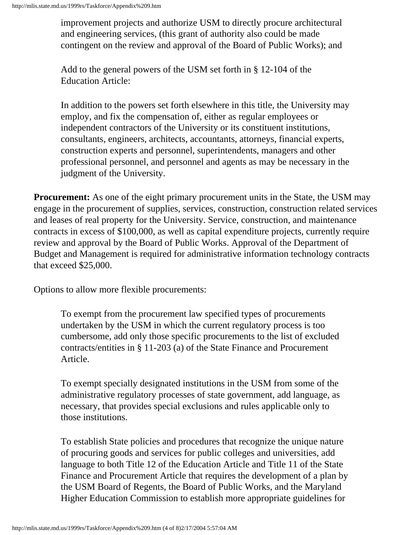improvement projects and authorize USM to directly procure architectural and engineering services, (this grant of authority also could be made contingent on the review and approval of the Board of Public Works); and

Add to the general powers of the USM set forth in § 12-104 of the Education Article:

In addition to the powers set forth elsewhere in this title, the University may employ, and fix the compensation of, either as regular employees or independent contractors of the University or its constituent institutions, consultants, engineers, architects, accountants, attorneys, financial experts, construction experts and personnel, superintendents, managers and other professional personnel, and personnel and agents as may be necessary in the judgment of the University.

**Procurement:** As one of the eight primary procurement units in the State, the USM may engage in the procurement of supplies, services, construction, construction related services and leases of real property for the University. Service, construction, and maintenance contracts in excess of \$100,000, as well as capital expenditure projects, currently require review and approval by the Board of Public Works. Approval of the Department of Budget and Management is required for administrative information technology contracts that exceed \$25,000.

Options to allow more flexible procurements:

To exempt from the procurement law specified types of procurements undertaken by the USM in which the current regulatory process is too cumbersome, add only those specific procurements to the list of excluded contracts/entities in § 11-203 (a) of the State Finance and Procurement Article.

To exempt specially designated institutions in the USM from some of the administrative regulatory processes of state government, add language, as necessary, that provides special exclusions and rules applicable only to those institutions.

To establish State policies and procedures that recognize the unique nature of procuring goods and services for public colleges and universities, add language to both Title 12 of the Education Article and Title 11 of the State Finance and Procurement Article that requires the development of a plan by the USM Board of Regents, the Board of Public Works, and the Maryland Higher Education Commission to establish more appropriate guidelines for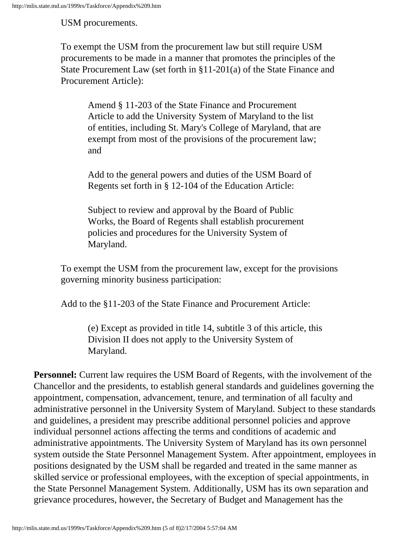USM procurements.

To exempt the USM from the procurement law but still require USM procurements to be made in a manner that promotes the principles of the State Procurement Law (set forth in §11-201(a) of the State Finance and Procurement Article):

Amend § 11-203 of the State Finance and Procurement Article to add the University System of Maryland to the list of entities, including St. Mary's College of Maryland, that are exempt from most of the provisions of the procurement law; and

Add to the general powers and duties of the USM Board of Regents set forth in § 12-104 of the Education Article:

Subject to review and approval by the Board of Public Works, the Board of Regents shall establish procurement policies and procedures for the University System of Maryland.

To exempt the USM from the procurement law, except for the provisions governing minority business participation:

Add to the §11-203 of the State Finance and Procurement Article:

(e) Except as provided in title 14, subtitle 3 of this article, this Division II does not apply to the University System of Maryland.

**Personnel:** Current law requires the USM Board of Regents, with the involvement of the Chancellor and the presidents, to establish general standards and guidelines governing the appointment, compensation, advancement, tenure, and termination of all faculty and administrative personnel in the University System of Maryland. Subject to these standards and guidelines, a president may prescribe additional personnel policies and approve individual personnel actions affecting the terms and conditions of academic and administrative appointments. The University System of Maryland has its own personnel system outside the State Personnel Management System. After appointment, employees in positions designated by the USM shall be regarded and treated in the same manner as skilled service or professional employees, with the exception of special appointments, in the State Personnel Management System. Additionally, USM has its own separation and grievance procedures, however, the Secretary of Budget and Management has the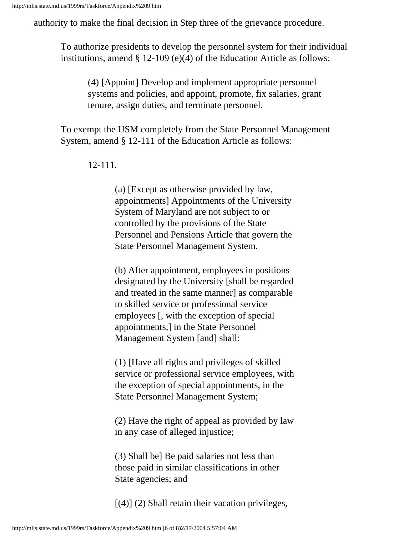authority to make the final decision in Step three of the grievance procedure.

To authorize presidents to develop the personnel system for their individual institutions, amend § 12-109 (e)(4) of the Education Article as follows:

(4) **[**Appoint**]** Develop and implement appropriate personnel systems and policies, and appoint, promote, fix salaries, grant tenure, assign duties, and terminate personnel.

To exempt the USM completely from the State Personnel Management System, amend § 12-111 of the Education Article as follows:

12-111.

(a) [Except as otherwise provided by law, appointments] Appointments of the University System of Maryland are not subject to or controlled by the provisions of the State Personnel and Pensions Article that govern the State Personnel Management System.

(b) After appointment, employees in positions designated by the University [shall be regarded and treated in the same manner] as comparable to skilled service or professional service employees [, with the exception of special appointments,] in the State Personnel Management System [and] shall:

(1) [Have all rights and privileges of skilled service or professional service employees, with the exception of special appointments, in the State Personnel Management System;

(2) Have the right of appeal as provided by law in any case of alleged injustice;

(3) Shall be] Be paid salaries not less than those paid in similar classifications in other State agencies; and

 $[(4)]$  (2) Shall retain their vacation privileges,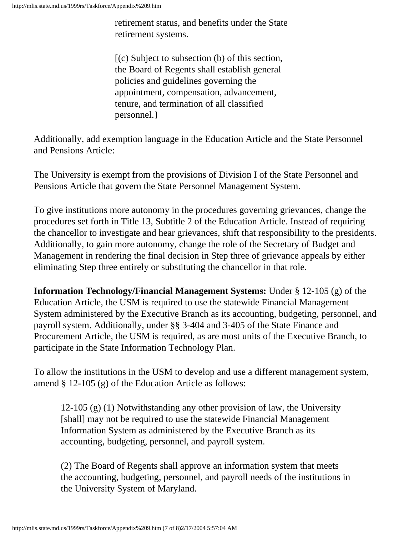retirement status, and benefits under the State retirement systems.

[(c) Subject to subsection (b) of this section, the Board of Regents shall establish general policies and guidelines governing the appointment, compensation, advancement, tenure, and termination of all classified personnel.}

Additionally, add exemption language in the Education Article and the State Personnel and Pensions Article:

The University is exempt from the provisions of Division I of the State Personnel and Pensions Article that govern the State Personnel Management System.

To give institutions more autonomy in the procedures governing grievances, change the procedures set forth in Title 13, Subtitle 2 of the Education Article. Instead of requiring the chancellor to investigate and hear grievances, shift that responsibility to the presidents. Additionally, to gain more autonomy, change the role of the Secretary of Budget and Management in rendering the final decision in Step three of grievance appeals by either eliminating Step three entirely or substituting the chancellor in that role.

**Information Technology/Financial Management Systems:** Under § 12-105 (g) of the Education Article, the USM is required to use the statewide Financial Management System administered by the Executive Branch as its accounting, budgeting, personnel, and payroll system. Additionally, under §§ 3-404 and 3-405 of the State Finance and Procurement Article, the USM is required, as are most units of the Executive Branch, to participate in the State Information Technology Plan.

To allow the institutions in the USM to develop and use a different management system, amend § 12-105 (g) of the Education Article as follows:

12-105 (g) (1) Notwithstanding any other provision of law, the University [shall] may not be required to use the statewide Financial Management Information System as administered by the Executive Branch as its accounting, budgeting, personnel, and payroll system.

(2) The Board of Regents shall approve an information system that meets the accounting, budgeting, personnel, and payroll needs of the institutions in the University System of Maryland.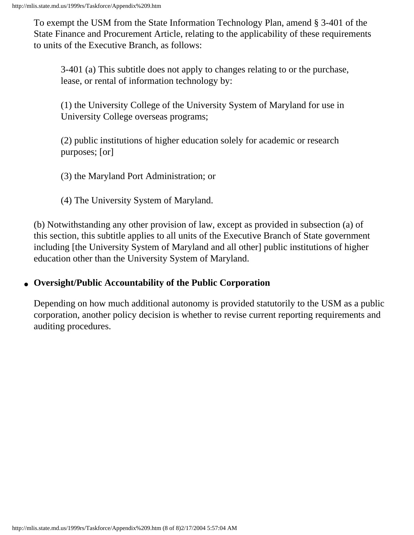To exempt the USM from the State Information Technology Plan, amend § 3-401 of the State Finance and Procurement Article, relating to the applicability of these requirements to units of the Executive Branch, as follows:

3-401 (a) This subtitle does not apply to changes relating to or the purchase, lease, or rental of information technology by:

(1) the University College of the University System of Maryland for use in University College overseas programs;

(2) public institutions of higher education solely for academic or research purposes; [or]

(3) the Maryland Port Administration; or

(4) The University System of Maryland.

(b) Notwithstanding any other provision of law, except as provided in subsection (a) of this section, this subtitle applies to all units of the Executive Branch of State government including [the University System of Maryland and all other] public institutions of higher education other than the University System of Maryland.

#### ● **Oversight/Public Accountability of the Public Corporation**

Depending on how much additional autonomy is provided statutorily to the USM as a public corporation, another policy decision is whether to revise current reporting requirements and auditing procedures.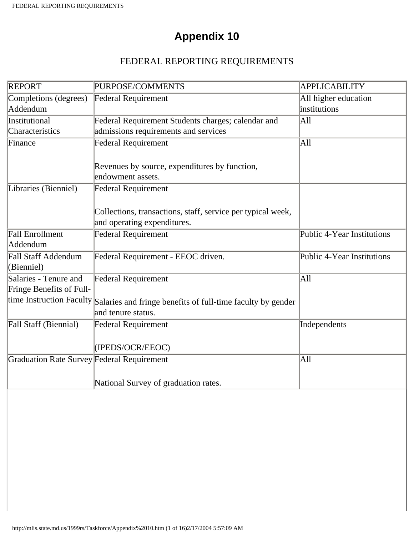### FEDERAL REPORTING REQUIREMENTS

| <b>REPORT</b>                              | PURPOSE/COMMENTS                                                                           | <b>APPLICABILITY</b>       |
|--------------------------------------------|--------------------------------------------------------------------------------------------|----------------------------|
| Completions (degrees)                      | <b>Federal Requirement</b>                                                                 | All higher education       |
| Addendum                                   |                                                                                            | institutions               |
| Institutional                              | Federal Requirement Students charges; calendar and                                         | A11                        |
| Characteristics                            | admissions requirements and services                                                       |                            |
| Finance                                    | <b>Federal Requirement</b>                                                                 | All                        |
|                                            | Revenues by source, expenditures by function,<br>endowment assets.                         |                            |
| Libraries (Bienniel)                       | <b>Federal Requirement</b>                                                                 |                            |
|                                            | Collections, transactions, staff, service per typical week,<br>and operating expenditures. |                            |
| Fall Enrollment<br>Addendum                | <b>Federal Requirement</b>                                                                 | Public 4-Year Institutions |
| <b>Fall Staff Addendum</b>                 | Federal Requirement - EEOC driven.                                                         | Public 4-Year Institutions |
| (Bienniel)                                 |                                                                                            |                            |
| Salaries - Tenure and                      | Federal Requirement                                                                        | A11                        |
| Fringe Benefits of Full-                   |                                                                                            |                            |
| time Instruction Faculty                   | Salaries and fringe benefits of full-time faculty by gender<br>and tenure status.          |                            |
| Fall Staff (Biennial)                      | <b>Federal Requirement</b>                                                                 | Independents               |
|                                            | (IPEDS/OCR/EEOC)                                                                           |                            |
| Graduation Rate Survey Federal Requirement |                                                                                            | A11                        |
|                                            | National Survey of graduation rates.                                                       |                            |
|                                            |                                                                                            |                            |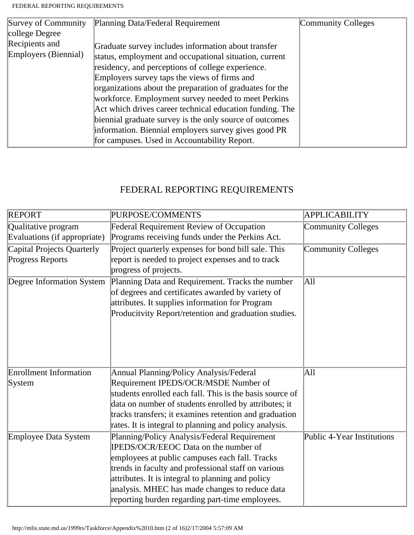| Survey of Community  | Planning Data/Federal Requirement                        | Community Colleges |
|----------------------|----------------------------------------------------------|--------------------|
| college Degree       |                                                          |                    |
| Recipients and       | Graduate survey includes information about transfer      |                    |
| Employers (Biennial) | status, employment and occupational situation, current   |                    |
|                      | residency, and perceptions of college experience.        |                    |
|                      | Employers survey taps the views of firms and             |                    |
|                      | organizations about the preparation of graduates for the |                    |
|                      | workforce. Employment survey needed to meet Perkins      |                    |
|                      | Act which drives career technical education funding. The |                    |
|                      | biennial graduate survey is the only source of outcomes  |                    |
|                      | information. Biennial employers survey gives good PR     |                    |
|                      | for campuses. Used in Accountability Report.             |                    |

### FEDERAL REPORTING REQUIREMENTS

| <b>REPORT</b>                 | PURPOSE/COMMENTS                                         | <b>APPLICABILITY</b>       |
|-------------------------------|----------------------------------------------------------|----------------------------|
| Qualitative program           | <b>Federal Requirement Review of Occupation</b>          | <b>Community Colleges</b>  |
| Evaluations (if appropriate)  | Programs receiving funds under the Perkins Act.          |                            |
| Capital Projects Quarterly    | Project quarterly expenses for bond bill sale. This      | <b>Community Colleges</b>  |
| <b>Progress Reports</b>       | report is needed to project expenses and to track        |                            |
|                               | progress of projects.                                    |                            |
| Degree Information System     | Planning Data and Requirement. Tracks the number         | All                        |
|                               | of degrees and certificates awarded by variety of        |                            |
|                               | attributes. It supplies information for Program          |                            |
|                               | Producitvity Report/retention and graduation studies.    |                            |
|                               |                                                          |                            |
|                               |                                                          |                            |
|                               |                                                          |                            |
|                               |                                                          |                            |
| <b>Enrollment Information</b> | Annual Planning/Policy Analysis/Federal                  | All                        |
| System                        | Requirement IPEDS/OCR/MSDE Number of                     |                            |
|                               | students enrolled each fall. This is the basis source of |                            |
|                               | data on number of students enrolled by attributes; it    |                            |
|                               | tracks transfers; it examines retention and graduation   |                            |
|                               | rates. It is integral to planning and policy analysis.   |                            |
| Employee Data System          | Planning/Policy Analysis/Federal Requirement             | Public 4-Year Institutions |
|                               | IPEDS/OCR/EEOC Data on the number of                     |                            |
|                               | employees at public campuses each fall. Tracks           |                            |
|                               | trends in faculty and professional staff on various      |                            |
|                               | attributes. It is integral to planning and policy        |                            |
|                               | analysis. MHEC has made changes to reduce data           |                            |
|                               | reporting burden regarding part-time employees.          |                            |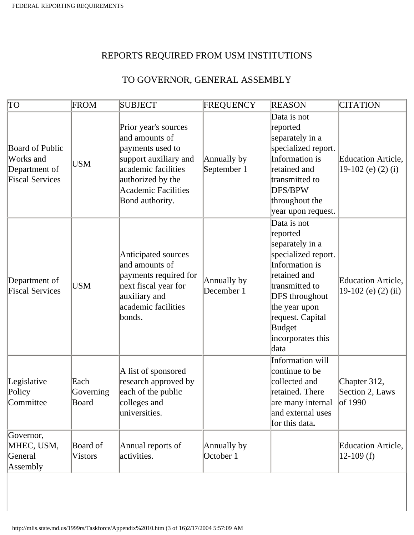#### REPORTS REQUIRED FROM USM INSTITUTIONS

### TO GOVERNOR, GENERAL ASSEMBLY

| $\overline{TO}$                                                                | FROM                       | <b>SUBJECT</b>                                                                                                                                                                   | FREQUENCY                  | <b>REASON</b>                                                                                                                                                                                                              | <b>CITATION</b>                                    |
|--------------------------------------------------------------------------------|----------------------------|----------------------------------------------------------------------------------------------------------------------------------------------------------------------------------|----------------------------|----------------------------------------------------------------------------------------------------------------------------------------------------------------------------------------------------------------------------|----------------------------------------------------|
| <b>Board of Public</b><br>Works and<br>Department of<br><b>Fiscal Services</b> | USM                        | Prior year's sources<br>and amounts of<br>payments used to<br>support auxiliary and<br>academic facilities<br>authorized by the<br><b>Academic Facilities</b><br>Bond authority. | Annually by<br>September 1 | Data is not<br>reported<br>separately in a<br>specialized report.<br>Information is<br>retained and<br>transmitted to<br>DFS/BPW<br>throughout the<br>year upon request.                                                   | Education Article,<br>19-102 (e) $(2)$ (i)         |
| Department of<br><b>Fiscal Services</b>                                        | <b>USM</b>                 | Anticipated sources<br>and amounts of<br>payments required for<br>next fiscal year for<br>auxiliary and<br>academic facilities<br>bonds.                                         | Annually by<br>December 1  | Data is not<br>reported<br>separately in a<br>specialized report.<br>Information is<br>retained and<br>transmitted to<br><b>DFS</b> throughout<br>the year upon<br>request. Capital<br>Budget<br>incorporates this<br>data | <b>Education Article,</b><br>$19-102$ (e) (2) (ii) |
| Legislative<br>Policy<br>Committee                                             | Each<br>Governing<br>Board | A list of sponsored<br>research approved by<br>each of the public<br>colleges and<br>universities.                                                                               |                            | Information will<br>continue to be<br>collected and<br>retained. There<br>are many internal of 1990<br>and external uses<br>for this data.                                                                                 | Chapter 312,<br>Section 2, Laws                    |
| Governor,<br>MHEC, USM,<br>General<br>Assembly                                 | Board of<br><b>Vistors</b> | Annual reports of<br>activities.                                                                                                                                                 | Annually by<br>October 1   |                                                                                                                                                                                                                            | Education Article,<br>$12-109$ (f)                 |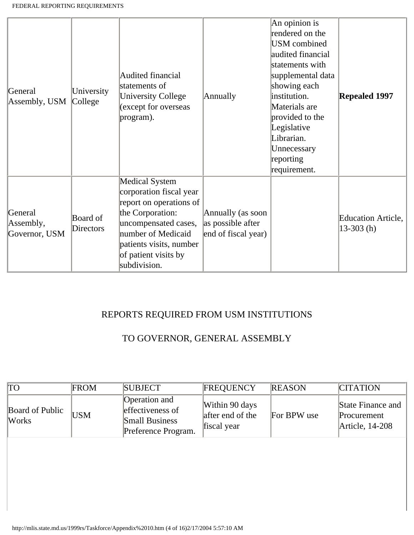| General<br>Assembly, USM              | University<br>College        | Audited financial<br>statements of<br><b>University College</b><br>(except for overseas<br>program).                                                                                                      | Annually                                                      | An opinion is<br>rendered on the<br>USM combined<br>audited financial<br>statements with<br>supplemental data<br>showing each<br>institution.<br>Materials are<br>provided to the<br>Legislative<br>Librarian.<br>Unnecessary<br>reporting<br>requirement. | <b>Repealed 1997</b>               |
|---------------------------------------|------------------------------|-----------------------------------------------------------------------------------------------------------------------------------------------------------------------------------------------------------|---------------------------------------------------------------|------------------------------------------------------------------------------------------------------------------------------------------------------------------------------------------------------------------------------------------------------------|------------------------------------|
| General<br>Assembly,<br>Governor, USM | <b>Board of</b><br>Directors | Medical System<br>corporation fiscal year<br>report on operations of<br>the Corporation:<br>uncompensated cases,<br>number of Medicaid<br>patients visits, number<br>of patient visits by<br>subdivision. | Annually (as soon<br>as possible after<br>end of fiscal year) |                                                                                                                                                                                                                                                            | Education Article,<br>$13-303$ (h) |

#### REPORTS REQUIRED FROM USM INSTITUTIONS

#### TO GOVERNOR, GENERAL ASSEMBLY

| TО                       | <b>FROM</b> | <b>SUBJECT</b>                                                                    | <b>FREQUENCY</b>                                  | <b>REASON</b> | <b>CITATION</b>                                     |
|--------------------------|-------------|-----------------------------------------------------------------------------------|---------------------------------------------------|---------------|-----------------------------------------------------|
| Board of Public<br>Works | USM         | Operation and<br>effectiveness of<br><b>Small Business</b><br>Preference Program. | Within 90 days<br>after end of the<br>fiscal year | For BPW use   | State Finance and<br>Procurement<br>Article, 14-208 |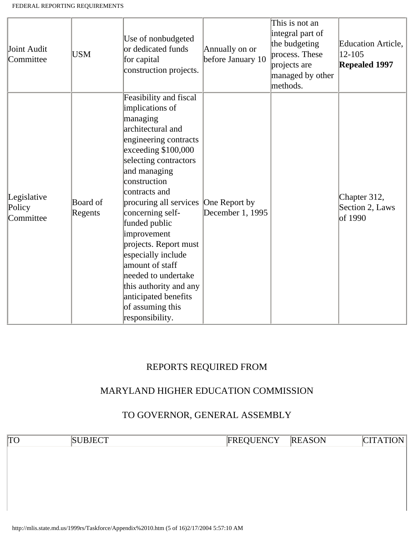| Joint Audit<br>Committee           | <b>USM</b>          | Use of nonbudgeted<br>or dedicated funds<br>for capital<br>construction projects.                                                                                                                                                                                                                                                                                                                                                                                    | Annually on or<br>before January 10 | This is not an<br>integral part of<br>the budgeting<br>process. These<br>projects are<br>managed by other<br>methods. | <b>Education Article,</b><br>12-105<br><b>Repealed 1997</b> |
|------------------------------------|---------------------|----------------------------------------------------------------------------------------------------------------------------------------------------------------------------------------------------------------------------------------------------------------------------------------------------------------------------------------------------------------------------------------------------------------------------------------------------------------------|-------------------------------------|-----------------------------------------------------------------------------------------------------------------------|-------------------------------------------------------------|
| Legislative<br>Policy<br>Committee | Board of<br>Regents | Feasibility and fiscal<br>implications of<br>managing<br>architectural and<br>engineering contracts<br>exceeding \$100,000<br>selecting contractors<br>and managing<br>construction<br>contracts and<br>procuring all services<br>concerning self-<br>funded public<br>improvement<br>projects. Report must<br>especially include<br>amount of staff<br>needed to undertake<br>this authority and any<br>anticipated benefits<br>of assuming this<br>responsibility. | One Report by<br>December 1, 1995   |                                                                                                                       | Chapter 312,<br>Section 2, Laws<br>of 1990                  |

#### REPORTS REQUIRED FROM

#### MARYLAND HIGHER EDUCATION COMMISSION

#### TO GOVERNOR, GENERAL ASSEMBLY

TO SUBJECT FREQUENCY REASON CITATION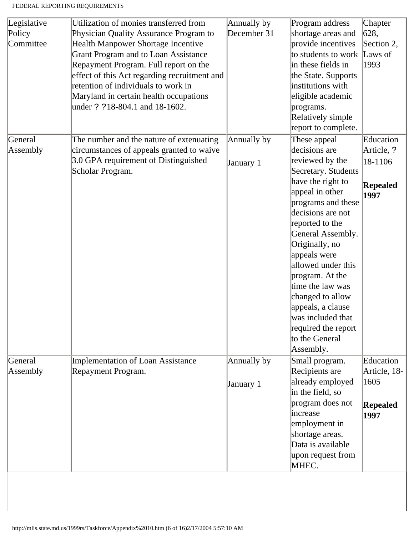| Legislative | Utilization of monies transferred from       | Annually by | Program address     | Chapter         |
|-------------|----------------------------------------------|-------------|---------------------|-----------------|
| Policy      | Physician Quality Assurance Program to       | December 31 | shortage areas and  | 628,            |
| Committee   | <b>Health Manpower Shortage Incentive</b>    |             | provide incentives  | Section 2,      |
|             | <b>Grant Program and to Loan Assistance</b>  |             | to students to work | Laws of         |
|             | Repayment Program. Full report on the        |             | in these fields in  | 1993            |
|             | effect of this Act regarding recruitment and |             | the State. Supports |                 |
|             | retention of individuals to work in          |             | institutions with   |                 |
|             | Maryland in certain health occupations       |             | eligible academic   |                 |
|             | under ? ?18-804.1 and 18-1602.               |             | programs.           |                 |
|             |                                              |             | Relatively simple   |                 |
|             |                                              |             | report to complete. |                 |
| General     | The number and the nature of extenuating     | Annually by | These appeal        | Education       |
| Assembly    | circumstances of appeals granted to waive    |             | decisions are       | Article, ?      |
|             | 3.0 GPA requirement of Distinguished         | January 1   | reviewed by the     | 18-1106         |
|             | Scholar Program.                             |             | Secretary. Students |                 |
|             |                                              |             | have the right to   | <b>Repealed</b> |
|             |                                              |             | appeal in other     | 1997            |
|             |                                              |             | programs and these  |                 |
|             |                                              |             | decisions are not   |                 |
|             |                                              |             | reported to the     |                 |
|             |                                              |             | General Assembly.   |                 |
|             |                                              |             | Originally, no      |                 |
|             |                                              |             | appeals were        |                 |
|             |                                              |             | allowed under this  |                 |
|             |                                              |             | program. At the     |                 |
|             |                                              |             | time the law was    |                 |
|             |                                              |             | changed to allow    |                 |
|             |                                              |             | appeals, a clause   |                 |
|             |                                              |             | was included that   |                 |
|             |                                              |             | required the report |                 |
|             |                                              |             | to the General      |                 |
|             |                                              |             | Assembly.           |                 |
| General     | <b>Implementation of Loan Assistance</b>     | Annually by | Small program.      | Education       |
| Assembly    | Repayment Program.                           |             | Recipients are      | Article, 18-    |
|             |                                              | January 1   | already employed    | 1605            |
|             |                                              |             | in the field, so    |                 |
|             |                                              |             | program does not    | Repealed        |
|             |                                              |             | increase            | 1997            |
|             |                                              |             | employment in       |                 |
|             |                                              |             | shortage areas.     |                 |
|             |                                              |             | Data is available   |                 |
|             |                                              |             | upon request from   |                 |
|             |                                              |             | MHEC.               |                 |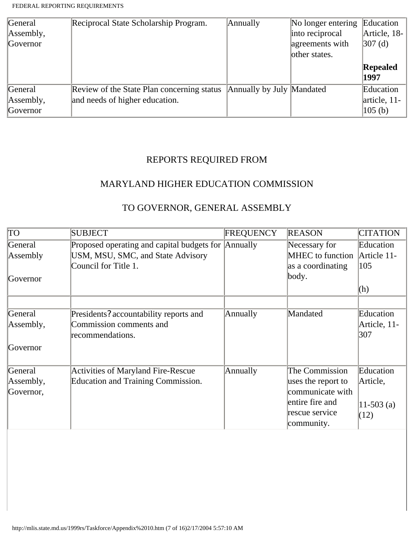| General   | Reciprocal State Scholarship Program.      | Annually                  | No longer entering | Education          |
|-----------|--------------------------------------------|---------------------------|--------------------|--------------------|
| Assembly, |                                            |                           | into reciprocal    | Article, 18-       |
| Governor  |                                            |                           | agreements with    | $ 307 \, (d)$      |
|           |                                            |                           | other states.      |                    |
|           |                                            |                           |                    | Repealed           |
|           |                                            |                           |                    | 1997               |
| General   | Review of the State Plan concerning status | Annually by July Mandated |                    | Education          |
| Assembly, | and needs of higher education.             |                           |                    | article, 11-       |
| Governor  |                                            |                           |                    | $ 105 \rangle$ (b) |

# REPORTS REQUIRED FROM

### MARYLAND HIGHER EDUCATION COMMISSION

#### TO GOVERNOR, GENERAL ASSEMBLY

| TO        | <b>SUBJECT</b>                                      | <b>FREQUENCY</b> | <b>REASON</b>           | <b>CITATION</b> |
|-----------|-----------------------------------------------------|------------------|-------------------------|-----------------|
| General   | Proposed operating and capital budgets for Annually |                  | Necessary for           | Education       |
| Assembly  | USM, MSU, SMC, and State Advisory                   |                  | <b>MHEC</b> to function | Article 11-     |
|           | Council for Title 1.                                |                  | as a coordinating       | 105             |
| Governor  |                                                     |                  | body.                   |                 |
|           |                                                     |                  |                         | (h)             |
|           |                                                     |                  |                         |                 |
| General   | Presidents? accountability reports and              | Annually         | Mandated                | Education       |
| Assembly, | Commission comments and                             |                  |                         | Article, 11-    |
|           | recommendations.                                    |                  |                         | 307             |
| Governor  |                                                     |                  |                         |                 |
| General   | <b>Activities of Maryland Fire-Rescue</b>           | Annually         | The Commission          | Education       |
| Assembly, | <b>Education and Training Commission.</b>           |                  | uses the report to      | Article,        |
| Governor, |                                                     |                  | communicate with        |                 |
|           |                                                     |                  | entire fire and         | $11-503$ (a)    |
|           |                                                     |                  | rescue service          | (12)            |
|           |                                                     |                  | community.              |                 |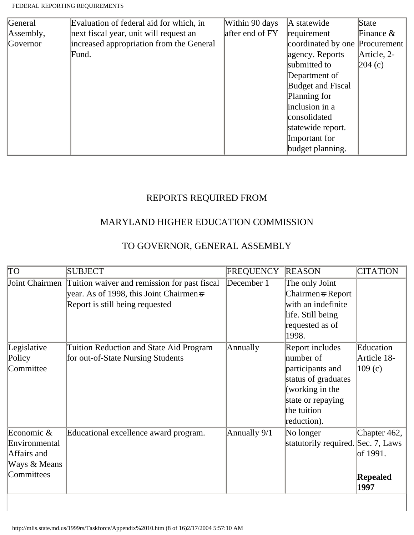| General   | Evaluation of federal aid for which, in  | Within 90 days  | A statewide                    | State        |
|-----------|------------------------------------------|-----------------|--------------------------------|--------------|
| Assembly, | next fiscal year, unit will request an   | after end of FY | requirement                    | Finance $\&$ |
| Governor  | increased appropriation from the General |                 | coordinated by one Procurement |              |
|           | Fund.                                    |                 | agency. Reports                | Article, 2-  |
|           |                                          |                 | submitted to                   | 204(c)       |
|           |                                          |                 | Department of                  |              |
|           |                                          |                 | <b>Budget and Fiscal</b>       |              |
|           |                                          |                 | Planning for                   |              |
|           |                                          |                 | inclusion in a                 |              |
|           |                                          |                 | consolidated                   |              |
|           |                                          |                 | statewide report.              |              |
|           |                                          |                 | Important for                  |              |
|           |                                          |                 | budget planning.               |              |

# REPORTS REQUIRED FROM

# MARYLAND HIGHER EDUCATION COMMISSION

### TO GOVERNOR, GENERAL ASSEMBLY

| $\overline{TO}$                                                                    | <b>SUBJECT</b>                                                                                                             | <b>FREQUENCY</b> | <b>REASON</b>                                                                                                                                 | <b>CITATION</b>                                     |
|------------------------------------------------------------------------------------|----------------------------------------------------------------------------------------------------------------------------|------------------|-----------------------------------------------------------------------------------------------------------------------------------------------|-----------------------------------------------------|
| Joint Chairmen                                                                     | Tuition waiver and remission for past fiscal<br>year. As of 1998, this Joint Chairmen-s<br>Report is still being requested | December 1       | The only Joint<br>Chairmen = Report<br>with an indefinite<br>life. Still being<br>requested as of<br>1998.                                    |                                                     |
| Legislative<br>Policy<br>Committee                                                 | <b>Tuition Reduction and State Aid Program</b><br>for out-of-State Nursing Students                                        | Annually         | Report includes<br>number of<br>participants and<br>status of graduates<br>(working in the<br>state or repaying<br>the tuition<br>reduction). | Education<br>Article 18-<br>109(c)                  |
| Economic $\&$<br>Environmental<br>Affairs and<br>Ways & Means<br><b>Committees</b> | Educational excellence award program.                                                                                      | Annually 9/1     | No longer<br>statutorily required. Sec. 7, Laws                                                                                               | Chapter 462,<br>of 1991.<br><b>Repealed</b><br>1997 |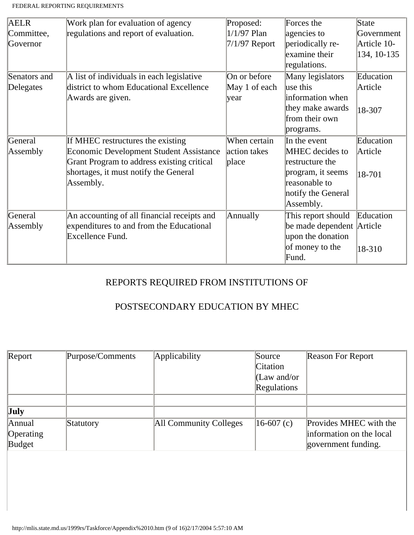| <b>AELR</b>  | Work plan for evaluation of agency             | Proposed:       | Forces the                | State       |
|--------------|------------------------------------------------|-----------------|---------------------------|-------------|
| Committee,   | regulations and report of evaluation.          | $1/1/97$ Plan   | agencies to               | Government  |
| Governor     |                                                | $7/1/97$ Report | periodically re-          | Article 10- |
|              |                                                |                 | examine their             | 134, 10-135 |
|              |                                                |                 | regulations.              |             |
| Senators and | A list of individuals in each legislative      | On or before    | Many legislators          | Education   |
| Delegates    | district to whom Educational Excellence        | May 1 of each   | use this                  | Article     |
|              | Awards are given.                              | year            | information when          |             |
|              |                                                |                 | they make awards          | 18-307      |
|              |                                                |                 | from their own            |             |
|              |                                                |                 | programs.                 |             |
| General      | If MHEC restructures the existing              | When certain    | In the event              | Education   |
| Assembly     | <b>Economic Development Student Assistance</b> | action takes    | <b>MHEC</b> decides to    | Article     |
|              | Grant Program to address existing critical     | place           | restructure the           |             |
|              | shortages, it must notify the General          |                 | program, it seems         | 18-701      |
|              | Assembly.                                      |                 | reasonable to             |             |
|              |                                                |                 | notify the General        |             |
|              |                                                |                 | Assembly.                 |             |
| General      | An accounting of all financial receipts and    | Annually        | This report should        | Education   |
| Assembly     | expenditures to and from the Educational       |                 | be made dependent Article |             |
|              | Excellence Fund.                               |                 | upon the donation         |             |
|              |                                                |                 | of money to the           | 18-310      |
|              |                                                |                 | Fund.                     |             |

# REPORTS REQUIRED FROM INSTITUTIONS OF

### POSTSECONDARY EDUCATION BY MHEC

| Report    | Purpose/Comments | Applicability          | Source            | <b>Reason For Report</b> |
|-----------|------------------|------------------------|-------------------|--------------------------|
|           |                  |                        | Citation          |                          |
|           |                  |                        | $ $ (Law and/or   |                          |
|           |                  |                        | Regulations       |                          |
|           |                  |                        |                   |                          |
| July      |                  |                        |                   |                          |
| Annual    | Statutory        | All Community Colleges | $ 16-607 \; (c) $ | Provides MHEC with the   |
| Operating |                  |                        |                   | information on the local |
| Budget    |                  |                        |                   | government funding.      |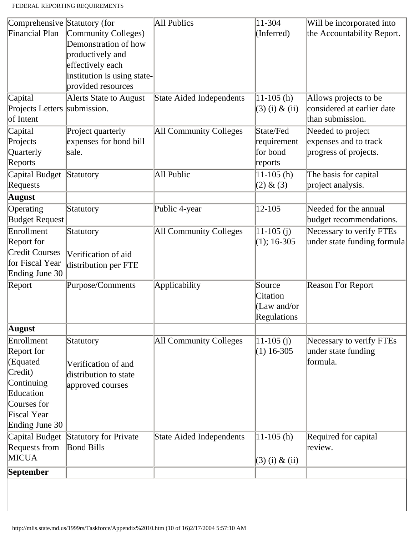| Comprehensive Statutory (for |                              | All Publics                     | 11-304           | Will be incorporated into   |
|------------------------------|------------------------------|---------------------------------|------------------|-----------------------------|
| Financial Plan               | Community Colleges)          |                                 | (Inferred)       | the Accountability Report.  |
|                              | Demonstration of how         |                                 |                  |                             |
|                              | productively and             |                                 |                  |                             |
|                              | effectively each             |                                 |                  |                             |
|                              | institution is using state-  |                                 |                  |                             |
|                              | provided resources           |                                 |                  |                             |
| Capital                      | Alerts State to August       | <b>State Aided Independents</b> | $11-105$ (h)     | Allows projects to be       |
| Projects Letters submission. |                              |                                 | $(3)$ (i) & (ii) | considered at earlier date  |
| of Intent                    |                              |                                 |                  | than submission.            |
| Capital                      | Project quarterly            | All Community Colleges          | State/Fed        | Needed to project           |
| Projects                     | expenses for bond bill       |                                 | requirement      | expenses and to track       |
| <b>Quarterly</b>             | sale.                        |                                 | for bond         | progress of projects.       |
| Reports                      |                              |                                 | reports          |                             |
| Capital Budget               | Statutory                    | All Public                      | $11-105$ (h)     | The basis for capital       |
| Requests                     |                              |                                 | (2) & (3)        | project analysis.           |
| <b>August</b>                |                              |                                 |                  |                             |
| Operating                    | Statutory                    | Public 4-year                   | 12-105           | Needed for the annual       |
| <b>Budget Request</b>        |                              |                                 |                  | budget recommendations.     |
| Enrollment                   | Statutory                    | <b>All Community Colleges</b>   | $11-105$ (j)     | Necessary to verify FTEs    |
| Report for                   |                              |                                 | $(1); 16-305$    | under state funding formula |
| <b>Credit Courses</b>        | Verification of aid          |                                 |                  |                             |
| for Fiscal Year              | distribution per FTE         |                                 |                  |                             |
| Ending June 30               |                              |                                 |                  |                             |
| Report                       | Purpose/Comments             | Applicability                   | Source           | <b>Reason For Report</b>    |
|                              |                              |                                 | Citation         |                             |
|                              |                              |                                 | (Law and/or      |                             |
|                              |                              |                                 | Regulations      |                             |
| <b>August</b>                |                              |                                 |                  |                             |
| Enrollment                   | Statutory                    | All Community Colleges          | $11 - 105$ (j)   | Necessary to verify FTEs    |
| Report for                   |                              |                                 | $(1)$ 16-305     | under state funding         |
| (Equated                     | Verification of and          |                                 |                  | formula.                    |
| Credit)                      | distribution to state        |                                 |                  |                             |
| Continuing                   | approved courses             |                                 |                  |                             |
| Education                    |                              |                                 |                  |                             |
| Courses for                  |                              |                                 |                  |                             |
| Fiscal Year                  |                              |                                 |                  |                             |
| Ending June 30               |                              |                                 |                  |                             |
| Capital Budget               | <b>Statutory for Private</b> | <b>State Aided Independents</b> | $11-105$ (h)     | Required for capital        |
| Requests from                | <b>Bond Bills</b>            |                                 |                  | review.                     |
| <b>MICUA</b>                 |                              |                                 | $(3)$ (i) & (ii) |                             |
| September                    |                              |                                 |                  |                             |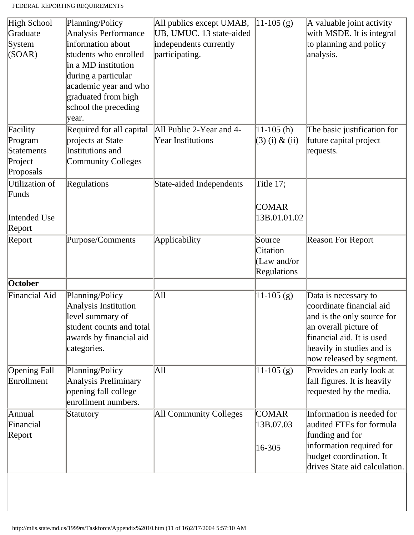| High School<br>Graduate<br>System<br>(SOAR)               | Planning/Policy<br>Analysis Performance<br>information about<br>students who enrolled<br>in a MD institution<br>during a particular<br>academic year and who<br>graduated from high<br>school the preceding<br>year. | All publics except UMAB,<br>UB, UMUC. 13 state-aided<br>independents currently<br>participating. | $11-105$ (g)                                     | A valuable joint activity<br>with MSDE. It is integral<br>to planning and policy<br>analysis.                                                                                                 |
|-----------------------------------------------------------|----------------------------------------------------------------------------------------------------------------------------------------------------------------------------------------------------------------------|--------------------------------------------------------------------------------------------------|--------------------------------------------------|-----------------------------------------------------------------------------------------------------------------------------------------------------------------------------------------------|
| Facility<br>Program<br>Statements<br>Project<br>Proposals | Required for all capital<br>projects at State<br>Institutions and<br><b>Community Colleges</b>                                                                                                                       | All Public 2-Year and 4-<br><b>Year Institutions</b>                                             | $11-105$ (h)<br>$(3)$ (i) & (ii)                 | The basic justification for<br>future capital project<br>requests.                                                                                                                            |
| Utilization of<br>Funds<br>Intended Use<br>Report         | Regulations                                                                                                                                                                                                          | State-aided Independents                                                                         | Title 17;<br><b>COMAR</b><br>13B.01.01.02        |                                                                                                                                                                                               |
| Report                                                    | Purpose/Comments                                                                                                                                                                                                     | Applicability                                                                                    | Source<br>Citation<br>(Law and/or<br>Regulations | Reason For Report                                                                                                                                                                             |
| October                                                   |                                                                                                                                                                                                                      |                                                                                                  |                                                  |                                                                                                                                                                                               |
| Financial Aid                                             | Planning/Policy<br>Analysis Institution<br>level summary of<br>student counts and total<br>awards by financial aid<br>categories.                                                                                    | All                                                                                              | $11-105$ (g)                                     | Data is necessary to<br>coordinate financial aid<br>and is the only source for<br>an overall picture of<br>financial aid. It is used<br>heavily in studies and is<br>now released by segment. |
| <b>Opening Fall</b><br>Enrollment                         | Planning/Policy<br>Analysis Preliminary<br>opening fall college<br>enrollment numbers.                                                                                                                               | All                                                                                              | $11-105$ (g)                                     | Provides an early look at<br>fall figures. It is heavily<br>requested by the media.                                                                                                           |
| Annual<br>Financial<br>Report                             | Statutory                                                                                                                                                                                                            | All Community Colleges                                                                           | <b>COMAR</b><br>13B.07.03                        | Information is needed for<br>audited FTEs for formula<br>funding and for<br>information required for                                                                                          |
|                                                           |                                                                                                                                                                                                                      |                                                                                                  | 16-305                                           | budget coordination. It<br>drives State aid calculation.                                                                                                                                      |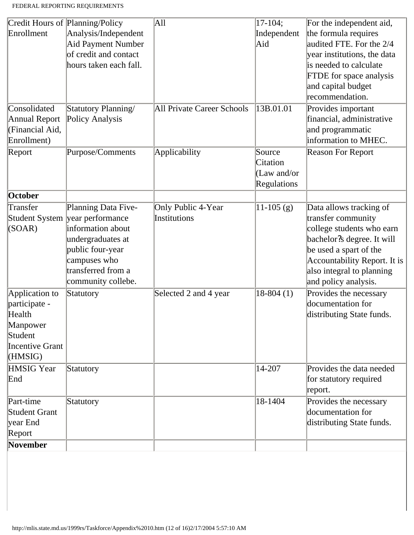|                   | Credit Hours of Planning/Policy | All                               | $17-104;$    | For the independent aid,       |
|-------------------|---------------------------------|-----------------------------------|--------------|--------------------------------|
| Enrollment        | Analysis/Independent            |                                   | Independent  | the formula requires           |
|                   | <b>Aid Payment Number</b>       |                                   | Aid          | audited FTE. For the 2/4       |
|                   | of credit and contact           |                                   |              | year institutions, the data    |
|                   | hours taken each fall.          |                                   |              | is needed to calculate         |
|                   |                                 |                                   |              | <b>FTDE</b> for space analysis |
|                   |                                 |                                   |              | and capital budget             |
|                   |                                 |                                   |              | recommendation.                |
| Consolidated      | Statutory Planning/             | <b>All Private Career Schools</b> | 13B.01.01    | Provides important             |
| Annual Report     | Policy Analysis                 |                                   |              | financial, administrative      |
| (Financial Aid,   |                                 |                                   |              | and programmatic               |
| Enrollment)       |                                 |                                   |              | information to MHEC.           |
| Report            | Purpose/Comments                | Applicability                     | Source       | <b>Reason For Report</b>       |
|                   |                                 |                                   | Citation     |                                |
|                   |                                 |                                   | (Law and/or  |                                |
|                   |                                 |                                   | Regulations  |                                |
| October           |                                 |                                   |              |                                |
| Transfer          | Planning Data Five-             | Only Public 4-Year                | $11-105$ (g) | Data allows tracking of        |
|                   | Student System year performance | Institutions                      |              | transfer community             |
| (SOAR)            | information about               |                                   |              | college students who earn      |
|                   | undergraduates at               |                                   |              | bachelor?s degree. It will     |
|                   | public four-year                |                                   |              | be used a spart of the         |
|                   | campuses who                    |                                   |              | Accountability Report. It is   |
|                   | transferred from a              |                                   |              | also integral to planning      |
|                   | community collebe.              |                                   |              | and policy analysis.           |
| Application to    | Statutory                       | Selected 2 and 4 year             | $18-804(1)$  | Provides the necessary         |
| participate -     |                                 |                                   |              | documentation for              |
| Health            |                                 |                                   |              | distributing State funds.      |
| Manpower          |                                 |                                   |              |                                |
| Student           |                                 |                                   |              |                                |
| Incentive Grant   |                                 |                                   |              |                                |
| (HMSIG)           |                                 |                                   |              |                                |
| <b>HMSIG</b> Year | Statutory                       |                                   | 14-207       | Provides the data needed       |
| End               |                                 |                                   |              | for statutory required         |
|                   |                                 |                                   |              | report.                        |
| Part-time         | Statutory                       |                                   | 18-1404      | Provides the necessary         |
| Student Grant     |                                 |                                   |              | documentation for              |
| year End          |                                 |                                   |              | distributing State funds.      |
| Report            |                                 |                                   |              |                                |
| November          |                                 |                                   |              |                                |
|                   |                                 |                                   |              |                                |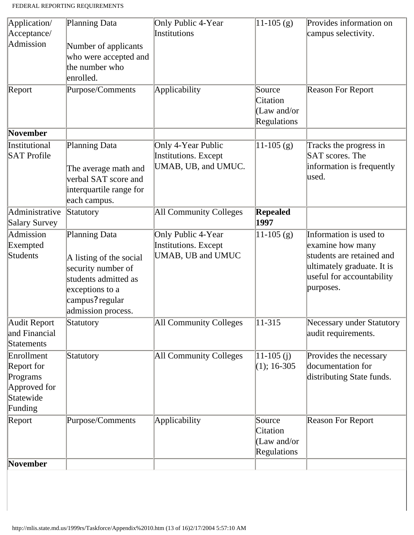| Application/                                                                 | Planning Data                                                                                                                                      | Only Public 4-Year                                                | $11 - 105$ (g)                                     | Provides information on                                                                                                                         |
|------------------------------------------------------------------------------|----------------------------------------------------------------------------------------------------------------------------------------------------|-------------------------------------------------------------------|----------------------------------------------------|-------------------------------------------------------------------------------------------------------------------------------------------------|
| Acceptance/                                                                  |                                                                                                                                                    | Institutions                                                      |                                                    | campus selectivity.                                                                                                                             |
| Admission                                                                    | Number of applicants<br>who were accepted and<br>the number who<br>enrolled.                                                                       |                                                                   |                                                    |                                                                                                                                                 |
| Report                                                                       | Purpose/Comments                                                                                                                                   | Applicability                                                     | Source<br>Citation<br>$(Law$ and/or<br>Regulations | <b>Reason For Report</b>                                                                                                                        |
| November                                                                     |                                                                                                                                                    |                                                                   |                                                    |                                                                                                                                                 |
| Institutional<br><b>SAT Profile</b>                                          | Planning Data<br>The average math and<br>verbal SAT score and<br>interquartile range for<br>each campus.                                           | Only 4-Year Public<br>Institutions. Except<br>UMAB, UB, and UMUC. | $11-105$ (g)                                       | Tracks the progress in<br>SAT scores. The<br>information is frequently<br>used.                                                                 |
| Administrative<br>Salary Survey                                              | Statutory                                                                                                                                          | All Community Colleges                                            | <b>Repealed</b><br>1997                            |                                                                                                                                                 |
| Admission<br>Exempted<br>Students                                            | Planning Data<br>A listing of the social<br>security number of<br>students admitted as<br>exceptions to a<br>campus? regular<br>admission process. | Only Public 4-Year<br>Institutions. Except<br>UMAB, UB and UMUC   | $11-105$ (g)                                       | Information is used to<br>examine how many<br>students are retained and<br>ultimately graduate. It is<br>useful for accountability<br>purposes. |
| Audit Report<br>and Financial<br>Statements                                  | Statutory                                                                                                                                          | All Community Colleges                                            | $ 11 - 315 $                                       | Necessary under Statutory<br>audit requirements.                                                                                                |
| Enrollment<br>Report for<br>Programs<br>Approved for<br>Statewide<br>Funding | Statutory                                                                                                                                          | <b>All Community Colleges</b>                                     | $ 11-105(j) $<br>$(1); 16-305$                     | Provides the necessary<br>documentation for<br>distributing State funds.                                                                        |
| Report<br>November                                                           | Purpose/Comments                                                                                                                                   | Applicability                                                     | Source<br>Citation<br>(Law and/or<br>Regulations   | <b>Reason For Report</b>                                                                                                                        |
|                                                                              |                                                                                                                                                    |                                                                   |                                                    |                                                                                                                                                 |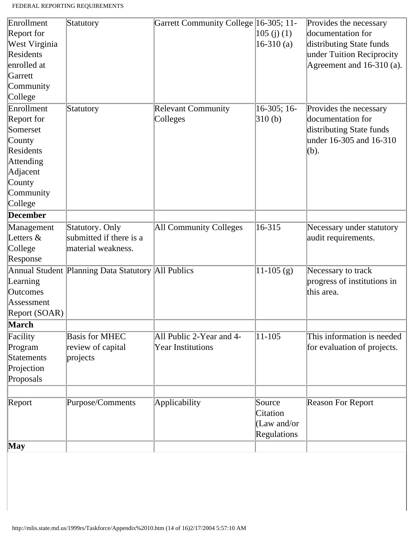| Enrollment      | Statutory                                          | Garrett Community College 16-305; 11- |               | Provides the necessary      |
|-----------------|----------------------------------------------------|---------------------------------------|---------------|-----------------------------|
| Report for      |                                                    |                                       | 105(j)(1)     | documentation for           |
| West Virginia   |                                                    |                                       | $16-310(a)$   | distributing State funds    |
| Residents       |                                                    |                                       |               | under Tuition Reciprocity   |
| enrolled at     |                                                    |                                       |               | Agreement and $16-310$ (a). |
| Garrett         |                                                    |                                       |               |                             |
| Community       |                                                    |                                       |               |                             |
| College         |                                                    |                                       |               |                             |
| Enrollment      | Statutory                                          | <b>Relevant Community</b>             | $16-305; 16-$ | Provides the necessary      |
| Report for      |                                                    | Colleges                              | 310(b)        | documentation for           |
| Somerset        |                                                    |                                       |               | distributing State funds    |
| County          |                                                    |                                       |               | under 16-305 and 16-310     |
| Residents       |                                                    |                                       |               | (b).                        |
| Attending       |                                                    |                                       |               |                             |
| Adjacent        |                                                    |                                       |               |                             |
| County          |                                                    |                                       |               |                             |
| Community       |                                                    |                                       |               |                             |
| College         |                                                    |                                       |               |                             |
| December        |                                                    |                                       |               |                             |
| Management      | Statutory. Only                                    | All Community Colleges                | 16-315        | Necessary under statutory   |
| Letters $\&$    | submitted if there is a                            |                                       |               | audit requirements.         |
| College         | material weakness.                                 |                                       |               |                             |
| Response        |                                                    |                                       |               |                             |
|                 | Annual Student Planning Data Statutory All Publics |                                       | $11-105$ (g)  | Necessary to track          |
| Learning        |                                                    |                                       |               | progress of institutions in |
| <b>Outcomes</b> |                                                    |                                       |               | this area.                  |
| Assessment      |                                                    |                                       |               |                             |
| Report (SOAR)   |                                                    |                                       |               |                             |
| March           |                                                    |                                       |               |                             |
| Facility        | <b>Basis for MHEC</b>                              | All Public 2-Year and 4-              | $11 - 105$    | This information is needed  |
| Program         | review of capital                                  | <b>Year Institutions</b>              |               | for evaluation of projects. |
| Statements      | projects                                           |                                       |               |                             |
| Projection      |                                                    |                                       |               |                             |
| Proposals       |                                                    |                                       |               |                             |
|                 |                                                    |                                       |               |                             |
| Report          | Purpose/Comments                                   | Applicability                         | Source        | <b>Reason For Report</b>    |
|                 |                                                    |                                       | Citation      |                             |
|                 |                                                    |                                       | (Law and/or   |                             |
|                 |                                                    |                                       | Regulations   |                             |
| <b>May</b>      |                                                    |                                       |               |                             |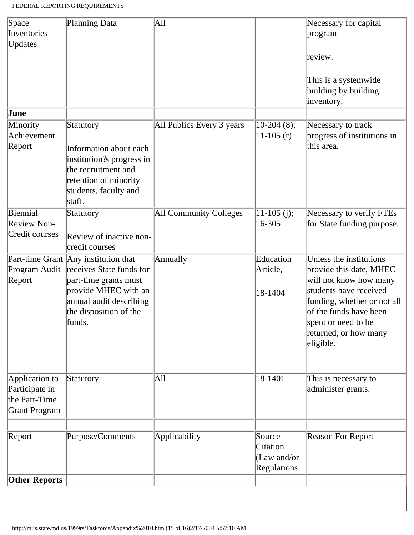| Space                | Planning Data                          | All                       |                  | Necessary for capital                                      |
|----------------------|----------------------------------------|---------------------------|------------------|------------------------------------------------------------|
| Inventories          |                                        |                           |                  | program                                                    |
| <b>Updates</b>       |                                        |                           |                  |                                                            |
|                      |                                        |                           |                  | review.                                                    |
|                      |                                        |                           |                  | This is a systemwide<br>building by building<br>inventory. |
| June                 |                                        |                           |                  |                                                            |
| Minority             | Statutory                              | All Publics Every 3 years | $ 10-204 \ (8);$ | Necessary to track                                         |
| Achievement          |                                        |                           | $11-105(r)$      | progress of institutions in                                |
| Report               | Information about each                 |                           |                  | this area.                                                 |
|                      | institution?s progress in              |                           |                  |                                                            |
|                      | the recruitment and                    |                           |                  |                                                            |
|                      | retention of minority                  |                           |                  |                                                            |
|                      | students, faculty and                  |                           |                  |                                                            |
|                      | staff.                                 |                           |                  |                                                            |
| Biennial             | Statutory                              | All Community Colleges    | $ 11-105(j);$    | Necessary to verify FTEs                                   |
| Review Non-          |                                        |                           | 16-305           | for State funding purpose.                                 |
| Credit courses       |                                        |                           |                  |                                                            |
|                      | Review of inactive non-                |                           |                  |                                                            |
|                      | credit courses                         |                           |                  |                                                            |
|                      | Part-time Grant Any institution that   | <b>Annually</b>           | Education        | Unless the institutions                                    |
|                      | Program Audit receives State funds for |                           | Article,         | provide this date, MHEC                                    |
| Report               | part-time grants must                  |                           |                  | will not know how many                                     |
|                      | provide MHEC with an                   |                           | 18-1404          | students have received                                     |
|                      | annual audit describing                |                           |                  | funding, whether or not all                                |
|                      | the disposition of the                 |                           |                  | of the funds have been                                     |
|                      | funds.                                 |                           |                  | spent or need to be                                        |
|                      |                                        |                           |                  | returned, or how many                                      |
|                      |                                        |                           |                  | eligible.                                                  |
|                      |                                        |                           |                  |                                                            |
| Application to       | Statutory                              | All                       | 18-1401          | This is necessary to                                       |
| Participate in       |                                        |                           |                  | administer grants.                                         |
| the Part-Time        |                                        |                           |                  |                                                            |
| Grant Program        |                                        |                           |                  |                                                            |
|                      |                                        |                           |                  |                                                            |
|                      |                                        |                           | Source           |                                                            |
| Report               | Purpose/Comments                       | Applicability             | Citation         | <b>Reason For Report</b>                                   |
|                      |                                        |                           | (Law and/or      |                                                            |
|                      |                                        |                           | Regulations      |                                                            |
|                      |                                        |                           |                  |                                                            |
| <b>Other Reports</b> |                                        |                           |                  |                                                            |